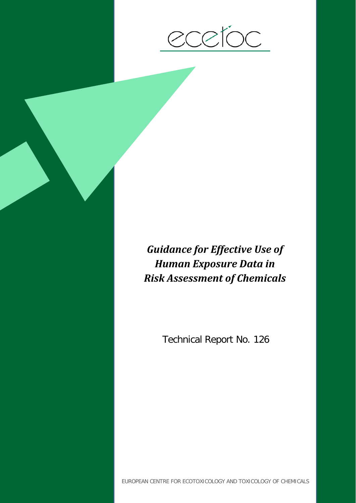

# *Guidance for Effective Use of Human Exposure Data in Risk Assessment of Chemicals*

Technical Report No. 126

EUROPEAN CENTRE FOR ECOTOXICOLOGY AND TOXICOLOGY OF CHEMICALS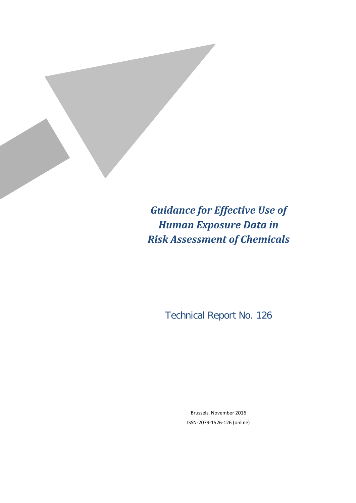

*Guidance for Effective Use of Human Exposure Data in Risk Assessment of Chemicals*

Technical Report No. 126

Brussels, November 2016 ISSN-2079-1526-126 (online)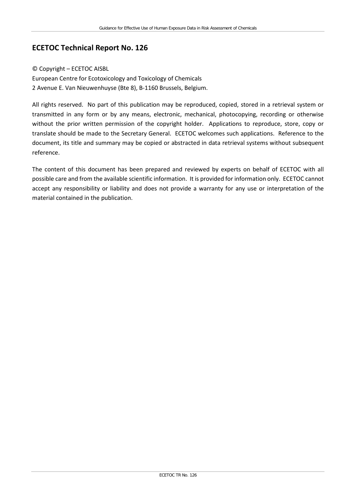### **ECETOC Technical Report No. 126**

#### © Copyright – ECETOC AISBL

European Centre for Ecotoxicology and Toxicology of Chemicals 2 Avenue E. Van Nieuwenhuyse (Bte 8), B-1160 Brussels, Belgium.

All rights reserved. No part of this publication may be reproduced, copied, stored in a retrieval system or transmitted in any form or by any means, electronic, mechanical, photocopying, recording or otherwise without the prior written permission of the copyright holder. Applications to reproduce, store, copy or translate should be made to the Secretary General. ECETOC welcomes such applications. Reference to the document, its title and summary may be copied or abstracted in data retrieval systems without subsequent reference.

The content of this document has been prepared and reviewed by experts on behalf of ECETOC with all possible care and from the available scientific information. It is provided for information only. ECETOC cannot accept any responsibility or liability and does not provide a warranty for any use or interpretation of the material contained in the publication.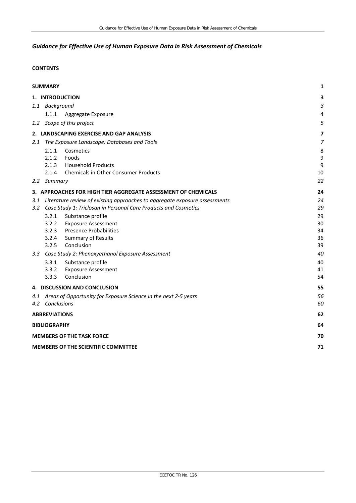### *Guidance for Effective Use of Human Exposure Data in Risk Assessment of Chemicals*

#### **CONTENTS**

|                                            | <b>SUMMARY</b>                                                                 | 1              |  |  |  |
|--------------------------------------------|--------------------------------------------------------------------------------|----------------|--|--|--|
|                                            | 1. INTRODUCTION                                                                | 3              |  |  |  |
|                                            | 1.1 Background                                                                 | 3              |  |  |  |
|                                            | 1.1.1<br>Aggregate Exposure                                                    | 4              |  |  |  |
|                                            | 1.2 Scope of this project                                                      | 5              |  |  |  |
|                                            | 2. LANDSCAPING EXERCISE AND GAP ANALYSIS                                       | 7              |  |  |  |
|                                            | 2.1 The Exposure Landscape: Databases and Tools                                | $\overline{7}$ |  |  |  |
|                                            | 2.1.1<br>Cosmetics                                                             | 8              |  |  |  |
|                                            | 2.1.2<br>Foods                                                                 | 9              |  |  |  |
|                                            | 2.1.3<br><b>Household Products</b>                                             | 9              |  |  |  |
|                                            | 2.1.4<br><b>Chemicals in Other Consumer Products</b>                           | 10             |  |  |  |
|                                            | 2.2 Summary                                                                    | 22             |  |  |  |
|                                            | 3. APPROACHES FOR HIGH TIER AGGREGATE ASSESSMENT OF CHEMICALS                  | 24             |  |  |  |
|                                            | 3.1 Literature review of existing approaches to aggregate exposure assessments | 24             |  |  |  |
|                                            | 3.2 Case Study 1: Triclosan in Personal Care Products and Cosmetics            | 29             |  |  |  |
|                                            | Substance profile<br>3.2.1                                                     | 29             |  |  |  |
|                                            | 3.2.2<br><b>Exposure Assessment</b>                                            | 30             |  |  |  |
|                                            | 3.2.3<br><b>Presence Probabilities</b>                                         | 34             |  |  |  |
|                                            | Summary of Results<br>3.2.4                                                    | 36             |  |  |  |
|                                            | Conclusion<br>3.2.5                                                            | 39             |  |  |  |
|                                            | 3.3 Case Study 2: Phenoxyethanol Exposure Assessment                           | 40             |  |  |  |
|                                            | 3.3.1<br>Substance profile                                                     | 40             |  |  |  |
|                                            | 3.3.2<br><b>Exposure Assessment</b>                                            | 41             |  |  |  |
|                                            | Conclusion<br>3.3.3                                                            | 54             |  |  |  |
|                                            | 4. DISCUSSION AND CONCLUSION                                                   | 55             |  |  |  |
|                                            | 4.1 Areas of Opportunity for Exposure Science in the next 2-5 years            | 56             |  |  |  |
|                                            | 4.2 Conclusions                                                                | 60             |  |  |  |
|                                            | <b>ABBREVIATIONS</b>                                                           | 62             |  |  |  |
|                                            | <b>BIBLIOGRAPHY</b>                                                            | 64             |  |  |  |
|                                            | <b>MEMBERS OF THE TASK FORCE</b>                                               | 70             |  |  |  |
| <b>MEMBERS OF THE SCIENTIFIC COMMITTEE</b> |                                                                                |                |  |  |  |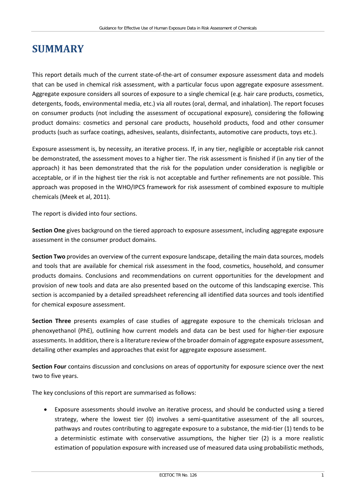# <span id="page-6-0"></span>**SUMMARY**

This report details much of the current state-of-the-art of consumer exposure assessment data and models that can be used in chemical risk assessment, with a particular focus upon aggregate exposure assessment. Aggregate exposure considers all sources of exposure to a single chemical (e.g. hair care products, cosmetics, detergents, foods, environmental media, etc.) via all routes (oral, dermal, and inhalation). The report focuses on consumer products (not including the assessment of occupational exposure), considering the following product domains: cosmetics and personal care products, household products, food and other consumer products (such as surface coatings, adhesives, sealants, disinfectants, automotive care products, toys etc.).

Exposure assessment is, by necessity, an iterative process. If, in any tier, negligible or acceptable risk cannot be demonstrated, the assessment moves to a higher tier. The risk assessment is finished if (in any tier of the approach) it has been demonstrated that the risk for the population under consideration is negligible or acceptable, or if in the highest tier the risk is not acceptable and further refinements are not possible. This approach was proposed in the WHO/IPCS framework for risk assessment of combined exposure to multiple chemicals (Meek et al, 2011).

The report is divided into four sections.

**Section One** gives background on the tiered approach to exposure assessment, including aggregate exposure assessment in the consumer product domains.

**Section Two** provides an overview of the current exposure landscape, detailing the main data sources, models and tools that are available for chemical risk assessment in the food, cosmetics, household, and consumer products domains. Conclusions and recommendations on current opportunities for the development and provision of new tools and data are also presented based on the outcome of this landscaping exercise. This section is accompanied by a detailed spreadsheet referencing all identified data sources and tools identified for chemical exposure assessment.

**Section Three** presents examples of case studies of aggregate exposure to the chemicals triclosan and phenoxyethanol (PhE), outlining how current models and data can be best used for higher-tier exposure assessments. In addition, there is a literature review of the broader domain of aggregate exposure assessment, detailing other examples and approaches that exist for aggregate exposure assessment.

**Section Four** contains discussion and conclusions on areas of opportunity for exposure science over the next two to five years.

The key conclusions of this report are summarised as follows:

• Exposure assessments should involve an iterative process, and should be conducted using a tiered strategy, where the lowest tier (0) involves a semi-quantitative assessment of the all sources, pathways and routes contributing to aggregate exposure to a substance, the mid-tier (1) tends to be a deterministic estimate with conservative assumptions, the higher tier (2) is a more realistic estimation of population exposure with increased use of measured data using probabilistic methods,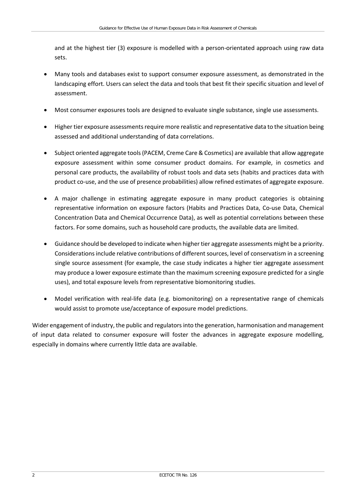and at the highest tier (3) exposure is modelled with a person-orientated approach using raw data sets.

- Many tools and databases exist to support consumer exposure assessment, as demonstrated in the landscaping effort. Users can select the data and tools that best fit their specific situation and level of assessment.
- Most consumer exposures tools are designed to evaluate single substance, single use assessments.
- Higher tier exposure assessments require more realistic and representative data to the situation being assessed and additional understanding of data correlations.
- Subject oriented aggregate tools (PACEM, Creme Care & Cosmetics) are available that allow aggregate exposure assessment within some consumer product domains. For example, in cosmetics and personal care products, the availability of robust tools and data sets (habits and practices data with product co-use, and the use of presence probabilities) allow refined estimates of aggregate exposure.
- A major challenge in estimating aggregate exposure in many product categories is obtaining representative information on exposure factors (Habits and Practices Data, Co-use Data, Chemical Concentration Data and Chemical Occurrence Data), as well as potential correlations between these factors. For some domains, such as household care products, the available data are limited.
- Guidance should be developed to indicate when higher tier aggregate assessments might be a priority. Considerations include relative contributions of different sources, level of conservatism in a screening single source assessment (for example, the case study indicates a higher tier aggregate assessment may produce a lower exposure estimate than the maximum screening exposure predicted for a single uses), and total exposure levels from representative biomonitoring studies.
- Model verification with real-life data (e.g. biomonitoring) on a representative range of chemicals would assist to promote use/acceptance of exposure model predictions.

Wider engagement of industry, the public and regulators into the generation, harmonisation and management of input data related to consumer exposure will foster the advances in aggregate exposure modelling, especially in domains where currently little data are available.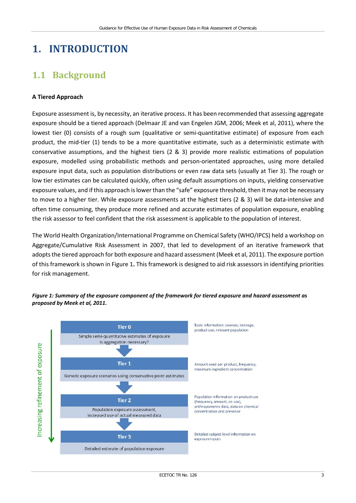# <span id="page-8-0"></span>**1. INTRODUCTION**

# <span id="page-8-1"></span>**1.1 Background**

#### **A Tiered Approach**

Exposure assessment is, by necessity, an iterative process. It has been recommended that assessing aggregate exposure should be a tiered approach (Delmaar JE and van Engelen JGM, 2006; Meek et al, 2011), where the lowest tier (0) consists of a rough sum (qualitative or semi-quantitative estimate) of exposure from each product, the mid-tier (1) tends to be a more quantitative estimate, such as a deterministic estimate with conservative assumptions, and the highest tiers (2 & 3) provide more realistic estimations of population exposure, modelled using probabilistic methods and person-orientated approaches, using more detailed exposure input data, such as population distributions or even raw data sets (usually at Tier 3). The rough or low tier estimates can be calculated quickly, often using default assumptions on inputs, yielding conservative exposure values, and if this approach is lower than the "safe" exposure threshold, then it may not be necessary to move to a higher tier. While exposure assessments at the highest tiers (2 & 3) will be data-intensive and often time consuming, they produce more refined and accurate estimates of population exposure, enabling the risk assessor to feel confident that the risk assessment is applicable to the population of interest.

The World Health Organization/International Programme on Chemical Safety (WHO/IPCS) held a workshop on Aggregate/Cumulative Risk Assessment in 2007, that led to development of an iterative framework that adopts the tiered approach for both exposure and hazard assessment (Meek et al, 2011). The exposure portion of this framework is shown in Figure 1**.** This framework is designed to aid risk assessors in identifying priorities for risk management.



#### *Figure 1: Summary of the exposure component of the framework for tiered exposure and hazard assessment as proposed by Meek et al, 2011.*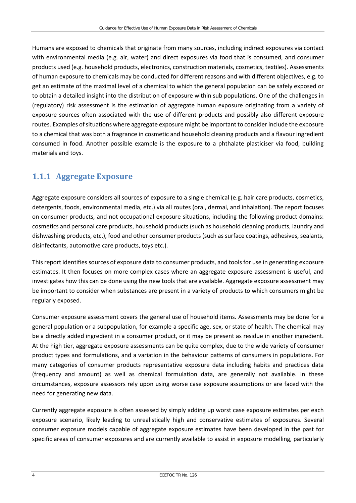Humans are exposed to chemicals that originate from many sources, including indirect exposures via contact with environmental media (e.g. air, water) and direct exposures via food that is consumed, and consumer products used (e.g. household products, electronics, construction materials, cosmetics, textiles). Assessments of human exposure to chemicals may be conducted for different reasons and with different objectives, e.g. to get an estimate of the maximal level of a chemical to which the general population can be safely exposed or to obtain a detailed insight into the distribution of exposure within sub populations. One of the challenges in (regulatory) risk assessment is the estimation of aggregate human exposure originating from a variety of exposure sources often associated with the use of different products and possibly also different exposure routes. Examples of situations where aggregate exposure might be important to consider include the exposure to a chemical that was both a fragrance in cosmetic and household cleaning products and a flavour ingredient consumed in food. Another possible example is the exposure to a phthalate plasticiser via food, building materials and toys.

### <span id="page-9-0"></span>**1.1.1 Aggregate Exposure**

Aggregate exposure considers all sources of exposure to a single chemical (e.g. hair care products, cosmetics, detergents, foods, environmental media, etc.) via all routes (oral, dermal, and inhalation). The report focuses on consumer products, and not occupational exposure situations, including the following product domains: cosmetics and personal care products, household products (such as household cleaning products, laundry and dishwashing products, etc.), food and other consumer products (such as surface coatings, adhesives, sealants, disinfectants, automotive care products, toys etc.).

This report identifies sources of exposure data to consumer products, and tools for use in generating exposure estimates. It then focuses on more complex cases where an aggregate exposure assessment is useful, and investigates how this can be done using the new tools that are available. Aggregate exposure assessment may be important to consider when substances are present in a variety of products to which consumers might be regularly exposed.

Consumer exposure assessment covers the general use of household items. Assessments may be done for a general population or a subpopulation, for example a specific age, sex, or state of health. The chemical may be a directly added ingredient in a consumer product, or it may be present as residue in another ingredient. At the high tier, aggregate exposure assessments can be quite complex, due to the wide variety of consumer product types and formulations, and a variation in the behaviour patterns of consumers in populations. For many categories of consumer products representative exposure data including habits and practices data (frequency and amount) as well as chemical formulation data, are generally not available. In these circumstances, exposure assessors rely upon using worse case exposure assumptions or are faced with the need for generating new data.

Currently aggregate exposure is often assessed by simply adding up worst case exposure estimates per each exposure scenario, likely leading to unrealistically high and conservative estimates of exposures. Several consumer exposure models capable of aggregate exposure estimates have been developed in the past for specific areas of consumer exposures and are currently available to assist in exposure modelling, particularly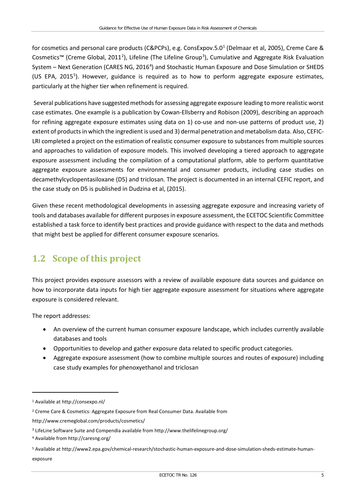for cosmetics and personal care products (C&PCPs), e.g. ConsExpov.5.0[1](#page-10-1) (Delmaar et al, 2005), Creme Care & Cosmetics<sup>™</sup> (Creme Global, [2](#page-10-2)011<sup>2</sup>), Lifeline (The Lifeline Group<sup>[3](#page-10-3)</sup>), Cumulative and Aggregate Risk Evaluation System - Next Generation (CARES NG, 2016<sup>[4](#page-10-4)</sup>) and Stochastic Human Exposure and Dose Simulation or SHEDS (US EPA, 201[5](#page-10-5)<sup>5</sup>). However, guidance is required as to how to perform aggregate exposure estimates, particularly at the higher tier when refinement is required.

Several publications have suggested methods for assessing aggregate exposure leading to more realistic worst case estimates. One example is a publication by Cowan-Ellsberry and Robison (2009), describing an approach for refining aggregate exposure estimates using data on 1) co-use and non-use patterns of product use, 2) extent of products in which the ingredient is used and 3) dermal penetration and metabolism data. Also, CEFIC-LRI completed a project on the estimation of realistic consumer exposure to substances from multiple sources and approaches to validation of exposure models. This involved developing a tiered approach to aggregate exposure assessment including the compilation of a computational platform, able to perform quantitative aggregate exposure assessments for environmental and consumer products, including case studies on decamethylcyclopentasiloxane (D5) and triclosan. The project is documented in an internal CEFIC report, and the case study on D5 is published in Dudzina et al, (2015).

Given these recent methodological developments in assessing aggregate exposure and increasing variety of tools and databases available for different purposes in exposure assessment, the ECETOC Scientific Committee established a task force to identify best practices and provide guidance with respect to the data and methods that might best be applied for different consumer exposure scenarios.

# <span id="page-10-0"></span>**1.2 Scope of this project**

This project provides exposure assessors with a review of available exposure data sources and guidance on how to incorporate data inputs for high tier aggregate exposure assessment for situations where aggregate exposure is considered relevant.

The report addresses:

- An overview of the current human consumer exposure landscape, which includes currently available databases and tools
- Opportunities to develop and gather exposure data related to specific product categories.
- Aggregate exposure assessment (how to combine multiple sources and routes of exposure) including case study examples for phenoxyethanol and triclosan

 $\overline{a}$ 

<span id="page-10-1"></span><sup>1</sup> Available a[t http://consexpo.nl/](http://consexpo.nl/)

<span id="page-10-2"></span><sup>2</sup> Creme Care & Cosmetics: Aggregate Exposure from Real Consumer Data. Available from

<http://www.cremeglobal.com/products/cosmetics/>

<span id="page-10-3"></span><sup>3</sup> LifeLine Software Suite and Compendia available fro[m http://www.thelifelinegroup.org/](http://www.thelifelinegroup.org/)

<span id="page-10-4"></span><sup>4</sup> Available from<http://caresng.org/>

<span id="page-10-5"></span><sup>5</sup> Available a[t http://www2.epa.gov/chemical-research/stochastic-human-exposure-and-dose-simulation-sheds-estimate-human](http://www2.epa.gov/chemical-research/stochastic-human-exposure-and-dose-simulation-sheds-estimate-human-exposure)[exposure](http://www2.epa.gov/chemical-research/stochastic-human-exposure-and-dose-simulation-sheds-estimate-human-exposure)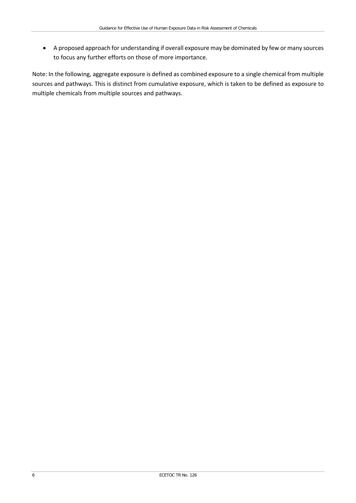• A proposed approach for understanding if overall exposure may be dominated by few or many sources to focus any further efforts on those of more importance.

Note: In the following, aggregate exposure is defined as combined exposure to a single chemical from multiple sources and pathways. This is distinct from cumulative exposure, which is taken to be defined as exposure to multiple chemicals from multiple sources and pathways.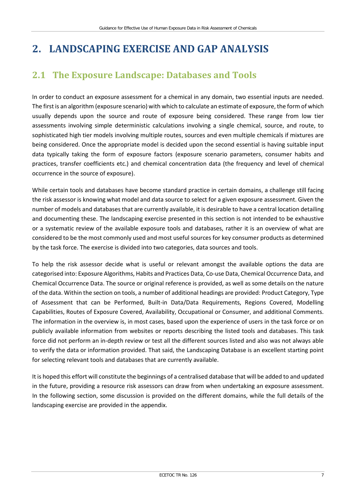# <span id="page-12-0"></span>**2. LANDSCAPING EXERCISE AND GAP ANALYSIS**

## <span id="page-12-1"></span>**2.1 The Exposure Landscape: Databases and Tools**

In order to conduct an exposure assessment for a chemical in any domain, two essential inputs are needed. The first is an algorithm (exposure scenario) with which to calculate an estimate of exposure, the form of which usually depends upon the source and route of exposure being considered. These range from low tier assessments involving simple deterministic calculations involving a single chemical, source, and route, to sophisticated high tier models involving multiple routes, sources and even multiple chemicals if mixtures are being considered. Once the appropriate model is decided upon the second essential is having suitable input data typically taking the form of exposure factors (exposure scenario parameters, consumer habits and practices, transfer coefficients etc.) and chemical concentration data (the frequency and level of chemical occurrence in the source of exposure).

While certain tools and databases have become standard practice in certain domains, a challenge still facing the risk assessor is knowing what model and data source to select for a given exposure assessment. Given the number of models and databases that are currently available, it is desirable to have a central location detailing and documenting these. The landscaping exercise presented in this section is not intended to be exhaustive or a systematic review of the available exposure tools and databases, rather it is an overview of what are considered to be the most commonly used and most useful sources for key consumer products as determined by the task force. The exercise is divided into two categories, data sources and tools.

To help the risk assessor decide what is useful or relevant amongst the available options the data are categorised into: Exposure Algorithms, Habits and Practices Data, Co-use Data, Chemical Occurrence Data, and Chemical Occurrence Data. The source or original reference is provided, as well as some details on the nature of the data. Within the section on tools, a number of additional headings are provided: Product Category, Type of Assessment that can be Performed, Built-in Data/Data Requirements, Regions Covered, Modelling Capabilities, Routes of Exposure Covered, Availability, Occupational or Consumer, and additional Comments. The information in the overview is, in most cases, based upon the experience of users in the task force or on publicly available information from websites or reports describing the listed tools and databases. This task force did not perform an in-depth review or test all the different sources listed and also was not always able to verify the data or information provided. That said, the Landscaping Database is an excellent starting point for selecting relevant tools and databases that are currently available.

It is hoped this effort will constitute the beginnings of a centralised database that will be added to and updated in the future, providing a resource risk assessors can draw from when undertaking an exposure assessment. In the following section, some discussion is provided on the different domains, while the full details of the landscaping exercise are provided in the appendix.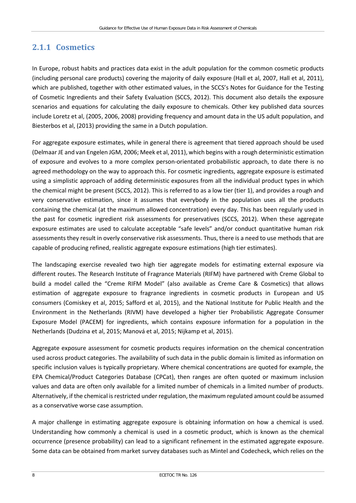## <span id="page-13-0"></span>**2.1.1 Cosmetics**

In Europe, robust habits and practices data exist in the adult population for the common cosmetic products (including personal care products) covering the majority of daily exposure (Hall et al, 2007, Hall et al, 2011), which are published, together with other estimated values, in the SCCS's Notes for Guidance for the Testing of Cosmetic Ingredients and their Safety Evaluation (SCCS, 2012). This document also details the exposure scenarios and equations for calculating the daily exposure to chemicals. Other key published data sources include Loretz et al, (2005, 2006, 2008) providing frequency and amount data in the US adult population, and Biesterbos et al, (2013) providing the same in a Dutch population.

For aggregate exposure estimates, while in general there is agreement that tiered approach should be used (Delmaar JE and van Engelen JGM, 2006; Meek et al, 2011), which begins with a rough deterministic estimation of exposure and evolves to a more complex person-orientated probabilistic approach, to date there is no agreed methodology on the way to approach this. For cosmetic ingredients, aggregate exposure is estimated using a simplistic approach of adding deterministic exposures from all the individual product types in which the chemical might be present (SCCS, 2012). This is referred to as a low tier (tier 1), and provides a rough and very conservative estimation, since it assumes that everybody in the population uses all the products containing the chemical (at the maximum allowed concentration) every day. This has been regularly used in the past for cosmetic ingredient risk assessments for preservatives (SCCS, 2012). When these aggregate exposure estimates are used to calculate acceptable "safe levels" and/or conduct quantitative human risk assessments they result in overly conservative risk assessments. Thus, there is a need to use methods that are capable of producing refined, realistic aggregate exposure estimations (high tier estimates).

The landscaping exercise revealed two high tier aggregate models for estimating external exposure via different routes. The Research Institute of Fragrance Materials (RIFM) have partnered with Creme Global to build a model called the "Creme RIFM Model" (also available as Creme Care & Cosmetics) that allows estimation of aggregate exposure to fragrance ingredients in cosmetic products in European and US consumers (Comiskey et al, 2015; Safford et al, 2015), and the National Institute for Public Health and the Environment in the Netherlands (RIVM) have developed a higher tier Probabilistic Aggregate Consumer Exposure Model (PACEM) for ingredients, which contains exposure information for a population in the Netherlands (Dudzina et al, 2015; Manová et al, 2015; Nijkamp et al, 2015).

Aggregate exposure assessment for cosmetic products requires information on the chemical concentration used across product categories. The availability of such data in the public domain is limited as information on specific inclusion values is typically proprietary. Where chemical concentrations are quoted for example, the EPA Chemical/Product Categories Database (CPCat), then ranges are often quoted or maximum inclusion values and data are often only available for a limited number of chemicals in a limited number of products. Alternatively, if the chemical is restricted under regulation, the maximum regulated amount could be assumed as a conservative worse case assumption.

A major challenge in estimating aggregate exposure is obtaining information on how a chemical is used. Understanding how commonly a chemical is used in a cosmetic product, which is known as the chemical occurrence (presence probability) can lead to a significant refinement in the estimated aggregate exposure. Some data can be obtained from market survey databases such as Mintel and Codecheck, which relies on the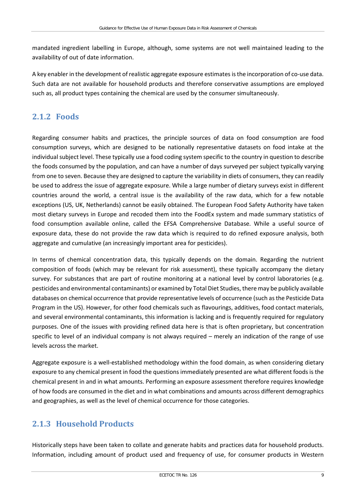mandated ingredient labelling in Europe, although, some systems are not well maintained leading to the availability of out of date information.

A key enabler in the development of realistic aggregate exposure estimates is the incorporation of co-use data. Such data are not available for household products and therefore conservative assumptions are employed such as, all product types containing the chemical are used by the consumer simultaneously.

### <span id="page-14-0"></span>**2.1.2 Foods**

Regarding consumer habits and practices, the principle sources of data on food consumption are food consumption surveys, which are designed to be nationally representative datasets on food intake at the individual subject level. These typically use a food coding system specific to the country in question to describe the foods consumed by the population, and can have a number of days surveyed per subject typically varying from one to seven. Because they are designed to capture the variability in diets of consumers, they can readily be used to address the issue of aggregate exposure. While a large number of dietary surveys exist in different countries around the world, a central issue is the availability of the raw data, which for a few notable exceptions (US, UK, Netherlands) cannot be easily obtained. The European Food Safety Authority have taken most dietary surveys in Europe and recoded them into the FoodEx system and made summary statistics of food consumption available online, called the EFSA Comprehensive Database. While a useful source of exposure data, these do not provide the raw data which is required to do refined exposure analysis, both aggregate and cumulative (an increasingly important area for pesticides).

In terms of chemical concentration data, this typically depends on the domain. Regarding the nutrient composition of foods (which may be relevant for risk assessment), these typically accompany the dietary survey. For substances that are part of routine monitoring at a national level by control laboratories (e.g. pesticides and environmental contaminants) or examined by Total Diet Studies, there may be publicly available databases on chemical occurrence that provide representative levels of occurrence (such as the Pesticide Data Program in the US). However, for other food chemicals such as flavourings, additives, food contact materials, and several environmental contaminants, this information is lacking and is frequently required for regulatory purposes. One of the issues with providing refined data here is that is often proprietary, but concentration specific to level of an individual company is not always required – merely an indication of the range of use levels across the market.

Aggregate exposure is a well-established methodology within the food domain, as when considering dietary exposure to any chemical present in food the questions immediately presented are what different foods is the chemical present in and in what amounts. Performing an exposure assessment therefore requires knowledge of how foods are consumed in the diet and in what combinations and amounts across different demographics and geographies, as well as the level of chemical occurrence for those categories.

## <span id="page-14-1"></span>**2.1.3 Household Products**

Historically steps have been taken to collate and generate habits and practices data for household products. Information, including amount of product used and frequency of use, for consumer products in Western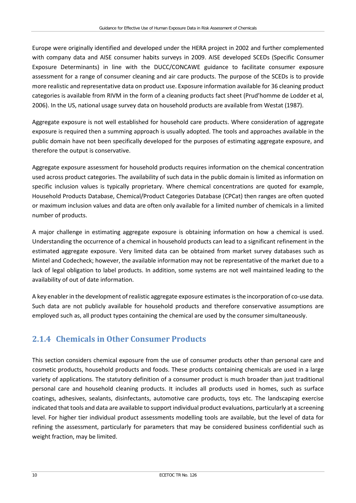Europe were originally identified and developed under the HERA project in 2002 and further complemented with company data and AISE consumer habits surveys in 2009. AISE developed SCEDs (Specific Consumer Exposure Determinants) in line with the DUCC/CONCAWE guidance to facilitate consumer exposure assessment for a range of consumer cleaning and air care products. The purpose of the SCEDs is to provide more realistic and representative data on product use. Exposure information available for 36 cleaning product categories is available from RIVM in the form of a cleaning products fact sheet (Prud'homme de Lodder et al, 2006). In the US, national usage survey data on household products are available from Westat (1987).

Aggregate exposure is not well established for household care products. Where consideration of aggregate exposure is required then a summing approach is usually adopted. The tools and approaches available in the public domain have not been specifically developed for the purposes of estimating aggregate exposure, and therefore the output is conservative.

Aggregate exposure assessment for household products requires information on the chemical concentration used across product categories. The availability of such data in the public domain is limited as information on specific inclusion values is typically proprietary. Where chemical concentrations are quoted for example, Household Products Database, Chemical/Product Categories Database (CPCat) then ranges are often quoted or maximum inclusion values and data are often only available for a limited number of chemicals in a limited number of products.

A major challenge in estimating aggregate exposure is obtaining information on how a chemical is used. Understanding the occurrence of a chemical in household products can lead to a significant refinement in the estimated aggregate exposure. Very limited data can be obtained from market survey databases such as Mintel and Codecheck; however, the available information may not be representative of the market due to a lack of legal obligation to label products. In addition, some systems are not well maintained leading to the availability of out of date information.

A key enabler in the development of realistic aggregate exposure estimates is the incorporation of co-use data. Such data are not publicly available for household products and therefore conservative assumptions are employed such as, all product types containing the chemical are used by the consumer simultaneously.

## <span id="page-15-0"></span>**2.1.4 Chemicals in Other Consumer Products**

This section considers chemical exposure from the use of consumer products other than personal care and cosmetic products, household products and foods. These products containing chemicals are used in a large variety of applications. The statutory definition of a consumer product is much broader than just traditional personal care and household cleaning products. It includes all products used in homes, such as surface coatings, adhesives, sealants, disinfectants, automotive care products, toys etc. The landscaping exercise indicated that tools and data are available to support individual product evaluations, particularly at a screening level. For higher tier individual product assessments modelling tools are available, but the level of data for refining the assessment, particularly for parameters that may be considered business confidential such as weight fraction, may be limited.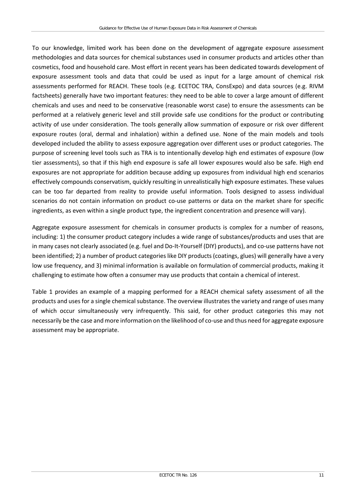To our knowledge, limited work has been done on the development of aggregate exposure assessment methodologies and data sources for chemical substances used in consumer products and articles other than cosmetics, food and household care. Most effort in recent years has been dedicated towards development of exposure assessment tools and data that could be used as input for a large amount of chemical risk assessments performed for REACH. These tools (e.g. ECETOC TRA, ConsExpo) and data sources (e.g. RIVM factsheets) generally have two important features: they need to be able to cover a large amount of different chemicals and uses and need to be conservative (reasonable worst case) to ensure the assessments can be performed at a relatively generic level and still provide safe use conditions for the product or contributing activity of use under consideration. The tools generally allow summation of exposure or risk over different exposure routes (oral, dermal and inhalation) within a defined use. None of the main models and tools developed included the ability to assess exposure aggregation over different uses or product categories. The purpose of screening level tools such as TRA is to intentionally develop high end estimates of exposure (low tier assessments), so that if this high end exposure is safe all lower exposures would also be safe. High end exposures are not appropriate for addition because adding up exposures from individual high end scenarios effectively compounds conservatism, quickly resulting in unrealistically high exposure estimates. These values can be too far departed from reality to provide useful information. Tools designed to assess individual scenarios do not contain information on product co-use patterns or data on the market share for specific ingredients, as even within a single product type, the ingredient concentration and presence will vary).

Aggregate exposure assessment for chemicals in consumer products is complex for a number of reasons, including: 1) the consumer product category includes a wide range of substances/products and uses that are in many cases not clearly associated (e.g. fuel and Do-It-Yourself (DIY) products), and co-use patterns have not been identified; 2) a number of product categories like DIY products (coatings, glues) will generally have a very low use frequency, and 3) minimal information is available on formulation of commercial products, making it challenging to estimate how often a consumer may use products that contain a chemical of interest.

Table 1 provides an example of a mapping performed for a REACH chemical safety assessment of all the products and uses for a single chemical substance. The overview illustrates the variety and range of uses many of which occur simultaneously very infrequently. This said, for other product categories this may not necessarily be the case and more information on the likelihood of co-use and thus need for aggregate exposure assessment may be appropriate.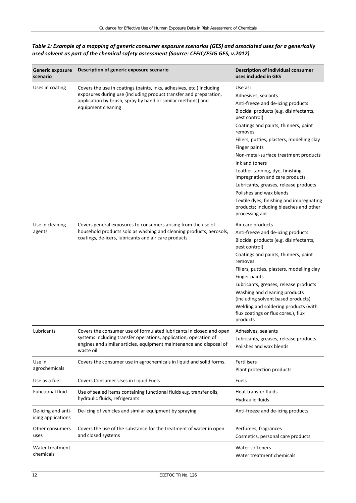| <b>Generic exposure</b><br>scenario      | Description of generic exposure scenario                                                                                                                                                                                       | Description of individual consumer<br>uses included in GES                                                                                                                                                                                                                                                                                                                                                                                                                                                                                                   |
|------------------------------------------|--------------------------------------------------------------------------------------------------------------------------------------------------------------------------------------------------------------------------------|--------------------------------------------------------------------------------------------------------------------------------------------------------------------------------------------------------------------------------------------------------------------------------------------------------------------------------------------------------------------------------------------------------------------------------------------------------------------------------------------------------------------------------------------------------------|
| Uses in coating                          | Covers the use in coatings (paints, inks, adhesives, etc.) including<br>exposures during use (including product transfer and preparation,<br>application by brush, spray by hand or similar methods) and<br>equipment cleaning | Use as:<br>Adhesives, sealants<br>Anti-freeze and de-icing products<br>Biocidal products (e.g. disinfectants,<br>pest control)<br>Coatings and paints, thinners, paint<br>removes<br>Fillers, putties, plasters, modelling clay<br>Finger paints<br>Non-metal-surface treatment products<br>Ink and toners<br>Leather tanning, dye, finishing,<br>impregnation and care products<br>Lubricants, greases, release products<br>Polishes and wax blends<br>Textile dyes, finishing and impregnating<br>products; including bleaches and other<br>processing aid |
| Use in cleaning<br>agents                | Covers general exposures to consumers arising from the use of<br>household products sold as washing and cleaning products, aerosols,<br>coatings, de-icers, lubricants and air care products                                   | Air care products<br>Anti-freeze and de-icing products<br>Biocidal products (e.g. disinfectants,<br>pest control)<br>Coatings and paints, thinners, paint<br>removes<br>Fillers, putties, plasters, modelling clay<br>Finger paints<br>Lubricants, greases, release products<br>Washing and cleaning products<br>(including solvent based products)<br>Welding and soldering products (with<br>flux coatings or flux cores.), flux<br>products                                                                                                               |
| Lubricants                               | Covers the consumer use of formulated lubricants in closed and open<br>systems including transfer operations, application, operation of<br>engines and similar articles, equipment maintenance and disposal of<br>waste oil    | Adhesives, sealants<br>Lubricants, greases, release products<br>Polishes and wax blends                                                                                                                                                                                                                                                                                                                                                                                                                                                                      |
| Use in<br>agrochemicals                  | Covers the consumer use in agrochemicals in liquid and solid forms.                                                                                                                                                            | <b>Fertilisers</b><br>Plant protection products                                                                                                                                                                                                                                                                                                                                                                                                                                                                                                              |
| Use as a fuel                            | Covers Consumer Uses in Liquid Fuels                                                                                                                                                                                           | Fuels                                                                                                                                                                                                                                                                                                                                                                                                                                                                                                                                                        |
| <b>Functional fluid</b>                  | Use of sealed items containing functional fluids e.g. transfer oils,<br>hydraulic fluids, refrigerants                                                                                                                         | Heat transfer fluids<br>Hydraulic fluids                                                                                                                                                                                                                                                                                                                                                                                                                                                                                                                     |
| De-icing and anti-<br>icing applications | De-icing of vehicles and similar equipment by spraying                                                                                                                                                                         | Anti-freeze and de-icing products                                                                                                                                                                                                                                                                                                                                                                                                                                                                                                                            |
| Other consumers<br>uses                  | Covers the use of the substance for the treatment of water in open<br>and closed systems                                                                                                                                       | Perfumes, fragrances<br>Cosmetics, personal care products                                                                                                                                                                                                                                                                                                                                                                                                                                                                                                    |
| Water treatment<br>chemicals             |                                                                                                                                                                                                                                | Water softeners<br>Water treatment chemicals                                                                                                                                                                                                                                                                                                                                                                                                                                                                                                                 |

#### *Table 1: Example of a mapping of generic consumer exposure scenarios (GES) and associated uses for a generically used solvent as part of the chemical safety assessment (Source: CEFIC/ESIG GES, v.2012)*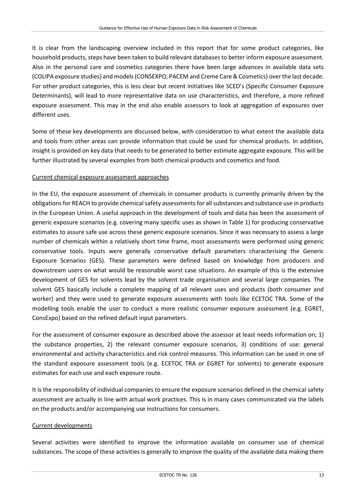It is clear from the landscaping overview included in this report that for some product categories, like household products, steps have been taken to build relevant databases to better inform exposure assessment. Also in the personal care and cosmetics categories there have been large advances in available data sets (COLIPA exposure studies) and models (CONSEXPO, PACEM and Creme Care & Cosmetics) over the last decade. For other product categories, this is less clear but recent initiatives like SCED's (Specific Consumer Exposure Determinants), will lead to more representative data on use characteristics, and therefore, a more refined exposure assessment. This may in the end also enable assessors to look at aggregation of exposures over different uses.

Some of these key developments are discussed below, with consideration to what extent the available data and tools from other areas can provide information that could be used for chemical products. In addition, insight is provided on key data that needs to be generated to better estimate aggregate exposure. This will be further illustrated by several examples from both chemical products and cosmetics and food.

#### Current chemical exposure assessment approaches

In the EU, the exposure assessment of chemicals in consumer products is currently primarily driven by the obligations for REACH to provide chemical safety assessments for all substances and substance use in products in the European Union. A useful approach in the development of tools and data has been the assessment of generic exposure scenarios (e.g. covering many specific uses as shown in Table 1) for producing conservative estimates to assure safe use across these generic exposure scenarios. Since it was necessary to assess a large number of chemicals within a relatively short time frame, most assessments were performed using generic conservative tools. Inputs were generally conservative default parameters characterising the Generic Exposure Scenarios (GES). These parameters were defined based on knowledge from producers and downstream users on what would be reasonable worst case situations. An example of this is the extensive development of GES for solvents lead by the solvent trade organisation and several large companies. The solvent GES basically include a complete mapping of all relevant uses and products (both consumer and worker) and they were used to generate exposure assessments with tools like ECETOC TRA. Some of the modelling tools enable the user to conduct a more realistic consumer exposure assessment (e.g. EGRET, ConsExpo) based on the refined default input parameters.

For the assessment of consumer exposure as described above the assessor at least needs information on; 1) the substance properties, 2) the relevant consumer exposure scenarios, 3) conditions of use: general environmental and activity characteristics and risk control measures. This information can be used in one of the standard exposure assessment tools (e.g. ECETOC TRA or EGRET for solvents) to generate exposure estimates for each use and each exposure route.

It is the responsibility of individual companies to ensure the exposure scenarios defined in the chemical safety assessment are actually in line with actual work practices. This is in many cases communicated via the labels on the products and/or accompanying use instructions for consumers.

#### Current developments

Several activities were identified to improve the information available on consumer use of chemical substances. The scope of these activities is generally to improve the quality of the available data making them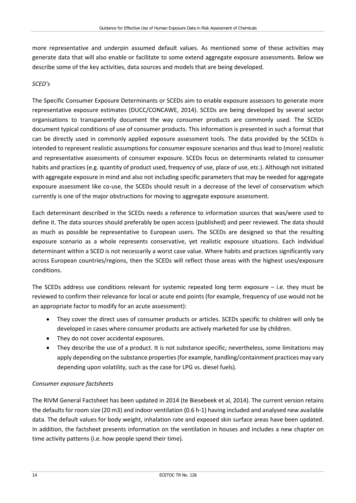more representative and underpin assumed default values. As mentioned some of these activities may generate data that will also enable or facilitate to some extend aggregate exposure assessments. Below we describe some of the key activities, data sources and models that are being developed.

#### *SCED's*

The Specific Consumer Exposure Determinants or SCEDs aim to enable exposure assessors to generate more representative exposure estimates (DUCC/CONCAWE, 2014). SCEDs are being developed by several sector organisations to transparently document the way consumer products are commonly used. The SCEDs document typical conditions of use of consumer products. This information is presented in such a format that can be directly used in commonly applied exposure assessment tools. The data provided by the SCEDs is intended to represent realistic assumptions for consumer exposure scenarios and thus lead to (more) realistic and representative assessments of consumer exposure. SCEDs focus on determinants related to consumer habits and practices (e.g. quantity of product used, frequency of use, place of use, etc.). Although not initiated with aggregate exposure in mind and also not including specific parameters that may be needed for aggregate exposure assessment like co-use, the SCEDs should result in a decrease of the level of conservatism which currently is one of the major obstructions for moving to aggregate exposure assessment.

Each determinant described in the SCEDs needs a reference to information sources that was/were used to define it. The data sources should preferably be open access (published) and peer reviewed. The data should as much as possible be representative to European users. The SCEDs are designed so that the resulting exposure scenario as a whole represents conservative, yet realistic exposure situations. Each individual determinant within a SCED is not necessarily a worst case value. Where habits and practices significantly vary across European countries/regions, then the SCEDs will reflect those areas with the highest uses/exposure conditions.

The SCEDs address use conditions relevant for systemic repeated long term exposure  $-$  i.e. they must be reviewed to confirm their relevance for local or acute end points (for example, frequency of use would not be an appropriate factor to modify for an acute assessment):

- They cover the direct uses of consumer products or articles. SCEDs specific to children will only be developed in cases where consumer products are actively marketed for use by children.
- They do not cover accidental exposures.
- They describe the use of a product. It is not substance specific; nevertheless, some limitations may apply depending on the substance properties (for example, handling/containment practices may vary depending upon volatility, such as the case for LPG vs. diesel fuels).

#### *Consumer exposure factsheets*

The RIVM General Factsheet has been updated in 2014 (te Biesebeek et al, 2014). The current version retains the defaults for room size (20 m3) and indoor ventilation (0.6 h-1) having included and analysed new available data. The default values for body weight, inhalation rate and exposed skin surface areas have been updated. In addition, the factsheet presents information on the ventilation in houses and includes a new chapter on time activity patterns (i.e. how people spend their time).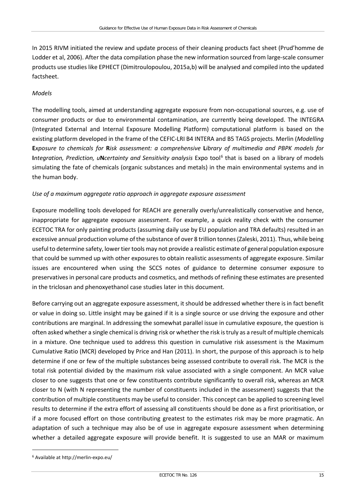In 2015 RIVM initiated the review and update process of their cleaning products fact sheet (Prud'homme de Lodder et al, 2006). After the data compilation phase the new information sourced from large-scale consumer products use studies like EPHECT (Dimitroulopoulou, 2015a,b) will be analysed and compiled into the updated factsheet.

#### *Models*

The modelling tools, aimed at understanding aggregate exposure from non-occupational sources, e.g. use of consumer products or due to environmental contamination, are currently being developed. The INTEGRA (Integrated External and Internal Exposure Modelling Platform) computational platform is based on the existing platform developed in the frame of the CEFIC-LRI B4 INTERA and B5 TAGS projects. Merlin (*Modelling*  **E***xposure to chemicals for* **R***isk assessment: a comprehensive* **L***ibrary of multimedia and PBPK models for*  **I***ntegration, Prediction, uNcertainty and Sensitivity analysis Expo tool<sup>6</sup> that is based on a library of models* simulating the fate of chemicals (organic substances and metals) in the main environmental systems and in the human body.

#### *Use of a maximum aggregate ratio approach in aggregate exposure assessment*

Exposure modelling tools developed for REACH are generally overly/unrealistically conservative and hence, inappropriate for aggregate exposure assessment. For example, a quick reality check with the consumer ECETOC TRA for only painting products (assuming daily use by EU population and TRA defaults) resulted in an excessive annual production volume of the substance of over 8 trillion tonnes (Zaleski, 2011). Thus, while being useful to determine safety, lower tier tools may not provide a realistic estimate of general population exposure that could be summed up with other exposures to obtain realistic assessments of aggregate exposure. Similar issues are encountered when using the SCCS notes of guidance to determine consumer exposure to preservatives in personal care products and cosmetics, and methods of refining these estimates are presented in the triclosan and phenoxyethanol case studies later in this document.

Before carrying out an aggregate exposure assessment, it should be addressed whether there is in fact benefit or value in doing so. Little insight may be gained if it is a single source or use driving the exposure and other contributions are marginal. In addressing the somewhat parallel issue in cumulative exposure, the question is often asked whether a single chemical is driving risk or whether the risk is truly as a result of multiple chemicals in a mixture. One technique used to address this question in cumulative risk assessment is the Maximum Cumulative Ratio (MCR) developed by Price and Han (2011). In short, the purpose of this approach is to help determine if one or few of the multiple substances being assessed contribute to overall risk. The MCR is the total risk potential divided by the maximum risk value associated with a single component. An MCR value closer to one suggests that one or few constituents contribute significantly to overall risk, whereas an MCR closer to N (with N representing the number of constituents included in the assessment) suggests that the contribution of multiple constituents may be useful to consider. This concept can be applied to screening level results to determine if the extra effort of assessing all constituents should be done as a first prioritisation, or if a more focused effort on those contributing greatest to the estimates risk may be more pragmatic. An adaptation of such a technique may also be of use in aggregate exposure assessment when determining whether a detailed aggregate exposure will provide benefit. It is suggested to use an MAR or maximum

<span id="page-20-0"></span> <sup>6</sup> Available a[t http://merlin-expo.eu/](http://merlin-expo.eu/)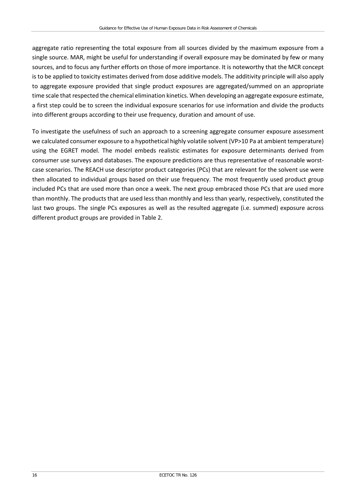aggregate ratio representing the total exposure from all sources divided by the maximum exposure from a single source. MAR, might be useful for understanding if overall exposure may be dominated by few or many sources, and to focus any further efforts on those of more importance. It is noteworthy that the MCR concept is to be applied to toxicity estimates derived from dose additive models. The additivity principle will also apply to aggregate exposure provided that single product exposures are aggregated/summed on an appropriate time scale that respected the chemical elimination kinetics. When developing an aggregate exposure estimate, a first step could be to screen the individual exposure scenarios for use information and divide the products into different groups according to their use frequency, duration and amount of use.

To investigate the usefulness of such an approach to a screening aggregate consumer exposure assessment we calculated consumer exposure to a hypothetical highly volatile solvent (VP>10 Pa at ambient temperature) using the EGRET model. The model embeds realistic estimates for exposure determinants derived from consumer use surveys and databases. The exposure predictions are thus representative of reasonable worstcase scenarios. The REACH use descriptor product categories (PCs) that are relevant for the solvent use were then allocated to individual groups based on their use frequency. The most frequently used product group included PCs that are used more than once a week. The next group embraced those PCs that are used more than monthly. The products that are used less than monthly and less than yearly, respectively, constituted the last two groups. The single PCs exposures as well as the resulted aggregate (i.e. summed) exposure across different product groups are provided in Table 2.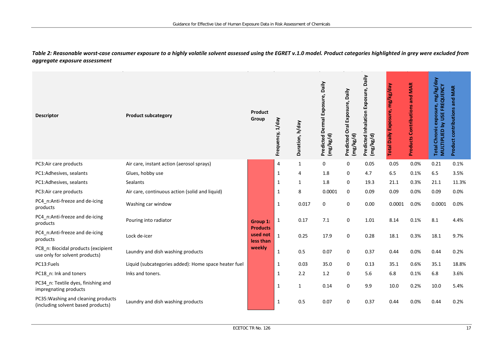*Table 2: Reasonable worst-case consumer exposure to a highly volatile solvent assessed using the EGRET v.1.0 model. Product categories highlighted in grey were excluded from aggregate exposure assessment*

| <b>Descriptor</b>                                                         | <b>Product subcategory</b>                           | Product<br>Group                         | Frequency, 1/day | Duration, h/day | Predicted Dermal Exposure, Daily<br>(mg/kg/d) | Predicted Oral Exposure, Daily<br>(mg/kg/d) | Daily<br>Exposure,<br><b>Predicted Inhalation</b><br>(mg/kg/d) | mg/kg/day<br>Exposure,<br><b>Total Daily</b> | <b>Products Contributions and MAR</b> | mg/kg/day<br><b>FREQUENCY</b><br>exposure,<br>MULTIPLIED by USE<br><b>Total Chronic</b> | <b>Product contributions and MAR</b> |
|---------------------------------------------------------------------------|------------------------------------------------------|------------------------------------------|------------------|-----------------|-----------------------------------------------|---------------------------------------------|----------------------------------------------------------------|----------------------------------------------|---------------------------------------|-----------------------------------------------------------------------------------------|--------------------------------------|
| PC3:Air care products                                                     | Air care, instant action (aerosol sprays)            | Group 1:                                 | 4                | $\mathbf{1}$    | 0                                             | 0                                           | 0.05                                                           | 0.05                                         | 0.0%                                  | 0.21                                                                                    | 0.1%                                 |
| PC1:Adhesives, sealants                                                   | Glues, hobby use                                     |                                          | $\mathbf{1}$     | 4               | 1.8                                           | 0                                           | 4.7                                                            | 6.5                                          | 0.1%                                  | 6.5                                                                                     | 3.5%                                 |
| PC1:Adhesives, sealants                                                   | Sealants                                             |                                          | $\mathbf{1}$     | 1               | 1.8                                           | 0                                           | 19.3                                                           | 21.1                                         | 0.3%                                  | 21.1                                                                                    | 11.3%                                |
| PC3:Air care products                                                     | Air care, continuous action (solid and liquid)       |                                          | $\mathbf 1$      | 8               | 0.0001                                        | 0                                           | 0.09                                                           | 0.09                                         | 0.0%                                  | 0.09                                                                                    | 0.0%                                 |
| PC4_n:Anti-freeze and de-icing<br>products                                | Washing car window                                   |                                          | $\mathbf 1$      | 0.017           | 0                                             | 0                                           | 0.00                                                           | 0.0001                                       | 0.0%                                  | 0.0001                                                                                  | 0.0%                                 |
| PC4_n:Anti-freeze and de-icing<br>products                                | Pouring into radiator                                |                                          | $\mathbf 1$      | 0.17            | 7.1                                           | 0                                           | 1.01                                                           | 8.14                                         | 0.1%                                  | 8.1                                                                                     | 4.4%                                 |
| PC4_n:Anti-freeze and de-icing<br>products                                | Lock de-icer                                         | <b>Products</b><br>used not<br>less than | $\mathbf{1}$     | 0.25            | 17.9                                          | $\pmb{0}$                                   | 0.28                                                           | 18.1                                         | 0.3%                                  | 18.1                                                                                    | 9.7%                                 |
| PC8 n: Biocidal products (excipient<br>use only for solvent products)     | Laundry and dish washing products                    | weekly                                   | $\mathbf{1}$     | 0.5             | 0.07                                          | 0                                           | 0.37                                                           | 0.44                                         | 0.0%                                  | 0.44                                                                                    | 0.2%                                 |
| PC13:Fuels                                                                | Liquid (subcategories added): Home space heater fuel |                                          | $\mathbf{1}$     | 0.03            | 35.0                                          | 0                                           | 0.13                                                           | 35.1                                         | 0.6%                                  | 35.1                                                                                    | 18.8%                                |
| PC18_n: Ink and toners                                                    | Inks and toners.                                     |                                          | $\mathbf{1}$     | 2.2             | 1.2                                           | 0                                           | 5.6                                                            | 6.8                                          | 0.1%                                  | 6.8                                                                                     | 3.6%                                 |
| PC34_n: Textile dyes, finishing and<br>impregnating products              |                                                      |                                          | $\mathbf 1$      | 1               | 0.14                                          | 0                                           | 9.9                                                            | 10.0                                         | 0.2%                                  | 10.0                                                                                    | 5.4%                                 |
| PC35: Washing and cleaning products<br>(including solvent based products) | Laundry and dish washing products                    |                                          | $\mathbf{1}$     | 0.5             | 0.07                                          | 0                                           | 0.37                                                           | 0.44                                         | 0.0%                                  | 0.44                                                                                    | 0.2%                                 |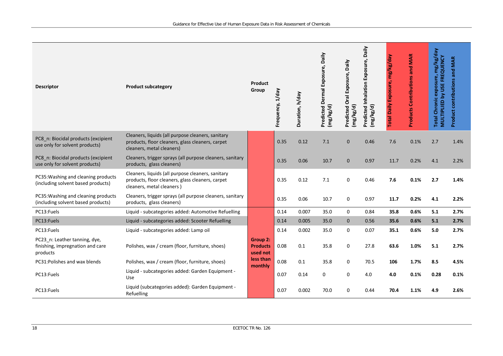| <b>Descriptor</b>                                                             | <b>Product subcategory</b>                                                                                                         | Product<br>Group                                                       | Frequency, 1/day | Duration, h/day | Predicted Dermal Exposure, Daily<br>(mg/kg/d) | Predicted Oral Exposure, Daily<br>(mg/kg/d) | Predicted Inhalation Exposure, Daily<br>(mg/kg/d) | mg/kg/day<br>Exposure,<br><b>Total Daily</b> | and MAR<br><b>Products Contributions</b> | Total Chronic exposure, mg/kg/day<br>MULTIPLIED by USE FREQUENCY | Product contributions and MAR |
|-------------------------------------------------------------------------------|------------------------------------------------------------------------------------------------------------------------------------|------------------------------------------------------------------------|------------------|-----------------|-----------------------------------------------|---------------------------------------------|---------------------------------------------------|----------------------------------------------|------------------------------------------|------------------------------------------------------------------|-------------------------------|
| PC8_n: Biocidal products (excipient<br>use only for solvent products)         | Cleaners, liquids (all purpose cleaners, sanitary<br>products, floor cleaners, glass cleaners, carpet<br>cleaners, metal cleaners) |                                                                        | 0.35             | 0.12            | 7.1                                           | 0                                           | 0.46                                              | 7.6                                          | 0.1%                                     | 2.7                                                              | 1.4%                          |
| PC8_n: Biocidal products (excipient<br>use only for solvent products)         | Cleaners, trigger sprays (all purpose cleaners, sanitary<br>products, glass cleaners)                                              |                                                                        | 0.35             | 0.06            | 10.7                                          | $\mathbf 0$                                 | 0.97                                              | 11.7                                         | 0.2%                                     | 4.1                                                              | 2.2%                          |
| PC35: Washing and cleaning products<br>(including solvent based products)     | Cleaners, liquids (all purpose cleaners, sanitary<br>products, floor cleaners, glass cleaners, carpet<br>cleaners, metal cleaners) |                                                                        | 0.35             | 0.12            | 7.1                                           | 0                                           | 0.46                                              | 7.6                                          | 0.1%                                     | 2.7                                                              | 1.4%                          |
| PC35: Washing and cleaning products<br>(including solvent based products)     | Cleaners, trigger sprays (all purpose cleaners, sanitary<br>products, glass cleaners)                                              |                                                                        | 0.35             | 0.06            | 10.7                                          | 0                                           | 0.97                                              | 11.7                                         | 0.2%                                     | 4.1                                                              | 2.2%                          |
| PC13:Fuels                                                                    | Liquid - subcategories added: Automotive Refuelling                                                                                |                                                                        | 0.14             | 0.007           | 35.0                                          | 0                                           | 0.84                                              | 35.8                                         | 0.6%                                     | 5.1                                                              | 2.7%                          |
| PC13:Fuels                                                                    | Liquid - subcategories added: Scooter Refuelling                                                                                   |                                                                        | 0.14             | 0.005           | 35.0                                          | $\mathbf{0}$                                | 0.56                                              | 35.6                                         | 0.6%                                     | 5.1                                                              | 2.7%                          |
| PC13:Fuels                                                                    | Liquid - subcategories added: Lamp oil                                                                                             |                                                                        | 0.14             | 0.002           | 35.0                                          | 0                                           | 0.07                                              | 35.1                                         | 0.6%                                     | 5.0                                                              | 2.7%                          |
| PC23_n: Leather tanning, dye,<br>finishing, impregnation and care<br>products | Polishes, wax / cream (floor, furniture, shoes)                                                                                    | <b>Group 2:</b><br><b>Products</b><br>used not<br>less than<br>monthly | 0.08             | 0.1             | 35.8                                          | 0                                           | 27.8                                              | 63.6                                         | 1.0%                                     | 5.1                                                              | 2.7%                          |
| PC31: Polishes and wax blends                                                 | Polishes, wax / cream (floor, furniture, shoes)                                                                                    |                                                                        | 0.08             | 0.1             | 35.8                                          | 0                                           | 70.5                                              | 106                                          | 1.7%                                     | 8.5                                                              | 4.5%                          |
| PC13:Fuels                                                                    | Liquid - subcategories added: Garden Equipment -<br>Use                                                                            |                                                                        | 0.07             | 0.14            | 0                                             | 0                                           | 4.0                                               | 4.0                                          | 0.1%                                     | 0.28                                                             | 0.1%                          |
| PC13:Fuels                                                                    | Liquid (subcategories added): Garden Equipment -<br>Refuelling                                                                     |                                                                        | 0.07             | 0.002           | 70.0                                          | 0                                           | 0.44                                              | 70.4                                         | 1.1%                                     | 4.9                                                              | 2.6%                          |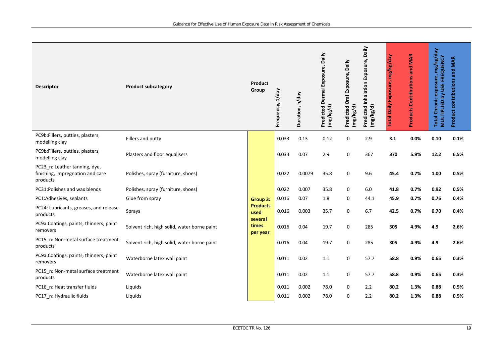| <b>Descriptor</b>                                                             | <b>Product subcategory</b>                  | Product<br>Group             | Frequency, 1/day | Duration, h/day | Predicted Dermal Exposure, Daily<br>(mg/kg/d) | Predicted Oral Exposure, Daily<br>(mg/kg/d) | Daily<br>Predicted Inhalation Exposure,<br>(mg/kg/d) | mg/kg/day<br>Exposure,<br>Daily<br>Total | <b>Products Contributions and MAR</b> | exposure, mg/kg/day<br>MULTIPLIED by USE FREQUENCY<br><b>Total Chronic</b> | Product contributions and MAR |
|-------------------------------------------------------------------------------|---------------------------------------------|------------------------------|------------------|-----------------|-----------------------------------------------|---------------------------------------------|------------------------------------------------------|------------------------------------------|---------------------------------------|----------------------------------------------------------------------------|-------------------------------|
| PC9b:Fillers, putties, plasters,<br>modelling clay                            | Fillers and putty                           |                              | 0.033            | 0.13            | 0.12                                          | 0                                           | 2.9                                                  | 3.1                                      | 0.0%                                  | 0.10                                                                       | 0.1%                          |
| PC9b:Fillers, putties, plasters,<br>modelling clay                            | Plasters and floor equalisers               |                              | 0.033            | 0.07            | 2.9                                           | $\mathsf 0$                                 | 367                                                  | 370                                      | 5.9%                                  | 12.2                                                                       | 6.5%                          |
| PC23_n: Leather tanning, dye,<br>finishing, impregnation and care<br>products | Polishes, spray (furniture, shoes)          |                              | 0.022            | 0.0079          | 35.8                                          | 0                                           | 9.6                                                  | 45.4                                     | 0.7%                                  | 1.00                                                                       | 0.5%                          |
| PC31:Polishes and wax blends                                                  | Polishes, spray (furniture, shoes)          |                              | 0.022            | 0.007           | 35.8                                          | 0                                           | $6.0\,$                                              | 41.8                                     | 0.7%                                  | 0.92                                                                       | 0.5%                          |
| PC1:Adhesives, sealants                                                       | Glue from spray                             | Group 3:                     | 0.016            | 0.07            | 1.8                                           | 0                                           | 44.1                                                 | 45.9                                     | 0.7%                                  | 0.76                                                                       | 0.4%                          |
| PC24: Lubricants, greases, and release<br>products                            | Sprays                                      | <b>Products</b><br>used      | 0.016            | 0.003           | 35.7                                          | 0                                           | 6.7                                                  | 42.5                                     | 0.7%                                  | 0.70                                                                       | 0.4%                          |
| PC9a:Coatings, paints, thinners, paint<br>removers                            | Solvent rich, high solid, water borne paint | several<br>times<br>per year | 0.016            | 0.04            | 19.7                                          | 0                                           | 285                                                  | 305                                      | 4.9%                                  | 4.9                                                                        | 2.6%                          |
| PC15_n: Non-metal surface treatment<br>products                               | Solvent rich, high solid, water borne paint |                              | 0.016            | 0.04            | 19.7                                          | 0                                           | 285                                                  | 305                                      | 4.9%                                  | 4.9                                                                        | 2.6%                          |
| PC9a:Coatings, paints, thinners, paint<br>removers                            | Waterborne latex wall paint                 |                              | 0.011            | 0.02            | 1.1                                           | 0                                           | 57.7                                                 | 58.8                                     | 0.9%                                  | 0.65                                                                       | 0.3%                          |
| PC15_n: Non-metal surface treatment<br>products                               | Waterborne latex wall paint                 |                              | 0.011            | 0.02            | 1.1                                           | 0                                           | 57.7                                                 | 58.8                                     | 0.9%                                  | 0.65                                                                       | 0.3%                          |
| PC16_n: Heat transfer fluids                                                  | Liquids                                     |                              | 0.011            | 0.002           | 78.0                                          | 0                                           | 2.2                                                  | 80.2                                     | 1.3%                                  | 0.88                                                                       | 0.5%                          |
| PC17_n: Hydraulic fluids                                                      | Liquids                                     |                              | 0.011            | 0.002           | 78.0                                          | 0                                           | 2.2                                                  | 80.2                                     | 1.3%                                  | 0.88                                                                       | 0.5%                          |
|                                                                               |                                             |                              |                  |                 |                                               |                                             |                                                      |                                          |                                       |                                                                            |                               |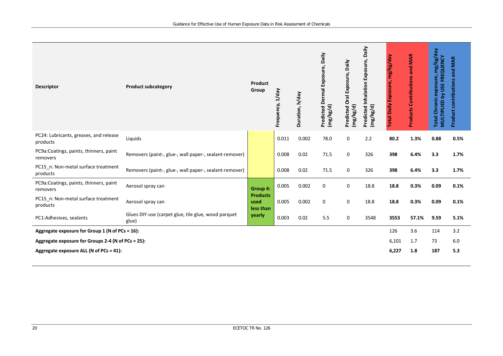| <b>Descriptor</b>                                  | <b>Product subcategory</b>                                   | <b>Product</b><br>Group              | T/day<br>Frequency, | Duration, h/day | Predicted Dermal Exposure, Daily<br>(mg/kg/d) | Daily<br>Predicted Oral Exposure,<br>(mg/kg/d) | Daily<br>Predicted Inhalation Exposure,<br>(mg/kg/d) | mg/kg/day<br>Exposure,<br><b>Total Daily</b> | <b>Products Contributions and MAR</b> | mg/kg/day<br>MULTIPLIED by USE FREQUENCY<br>exposure,<br><b>Total Chronic</b> | <b>Product contributions and MAR</b> |
|----------------------------------------------------|--------------------------------------------------------------|--------------------------------------|---------------------|-----------------|-----------------------------------------------|------------------------------------------------|------------------------------------------------------|----------------------------------------------|---------------------------------------|-------------------------------------------------------------------------------|--------------------------------------|
| PC24: Lubricants, greases, and release<br>products | Liquids                                                      |                                      | 0.011               | 0.002           | 78.0                                          | 0                                              | 2.2                                                  | 80.2                                         | 1.3%                                  | 0.88                                                                          | 0.5%                                 |
| PC9a:Coatings, paints, thinners, paint<br>removers | Removers (paint-, glue-, wall paper-, sealant-remover)       |                                      | 0.008               | 0.02            | 71.5                                          | 0                                              | 326                                                  | 398                                          | 6.4%                                  | 3.3                                                                           | 1.7%                                 |
| PC15 n: Non-metal surface treatment<br>products    | Removers (paint-, glue-, wall paper-, sealant-remover)       |                                      | 0.008               | 0.02            | 71.5                                          | 0                                              | 326                                                  | 398                                          | 6.4%                                  | 3.3                                                                           | 1.7%                                 |
| PC9a:Coatings, paints, thinners, paint<br>removers | Aerosol spray can                                            | Group 4:                             | 0.005               | 0.002           | 0                                             | 0                                              | 18.8                                                 | 18.8                                         | 0.3%                                  | 0.09                                                                          | 0.1%                                 |
| PC15_n: Non-metal surface treatment<br>products    | Aerosol spray can                                            | <b>Products</b><br>used<br>less than | 0.005               | 0.002           | 0                                             | 0                                              | 18.8                                                 | 18.8                                         | 0.3%                                  | 0.09                                                                          | 0.1%                                 |
| PC1:Adhesives, sealants                            | Glues DIY-use (carpet glue, tile glue, wood parquet<br>glue) | yearly                               | 0.003               | 0.02            | 5.5                                           | 0                                              | 3548                                                 | 3553                                         | 57.1%                                 | 9.59                                                                          | 5.1%                                 |
| Aggregate exposure for Group 1 (N of PCs = 16):    |                                                              |                                      |                     |                 |                                               |                                                | 126                                                  | 3.6                                          | 114                                   | 3.2                                                                           |                                      |
| Aggregate exposure for Groups 2-4 (N of PCs = 25): |                                                              |                                      |                     |                 |                                               |                                                | 6,101                                                | 1.7                                          | 73                                    | 6.0                                                                           |                                      |
| Aggregate exposure ALL (N of PCs = 41):            |                                                              |                                      |                     |                 |                                               |                                                | 6,227                                                | 1.8                                          | 187                                   | 5.3                                                                           |                                      |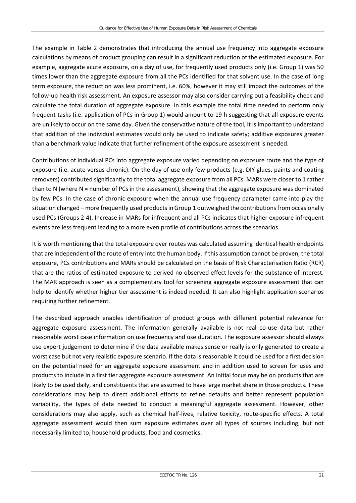The example in Table 2 demonstrates that introducing the annual use frequency into aggregate exposure calculations by means of product grouping can result in a significant reduction of the estimated exposure. For example, aggregate acute exposure, on a day of use, for frequently used products only (i.e. Group 1) was 50 times lower than the aggregate exposure from all the PCs identified for that solvent use. In the case of long term exposure, the reduction was less prominent, i.e. 60%, however it may still impact the outcomes of the follow-up health risk assessment. An exposure assessor may also consider carrying out a feasibility check and calculate the total duration of aggregate exposure. In this example the total time needed to perform only frequent tasks (i.e. application of PCs in Group 1) would amount to 19 h suggesting that all exposure events are unlikely to occur on the same day. Given the conservative nature of the tool, it is important to understand that addition of the individual estimates would only be used to indicate safety; additive exposures greater than a benchmark value indicate that further refinement of the exposure assessment is needed.

Contributions of individual PCs into aggregate exposure varied depending on exposure route and the type of exposure (i.e. acute versus chronic). On the day of use only few products (e.g. DIY glues, paints and coating removers) contributed significantly to the total aggregate exposure from all PCs. MARs were closer to 1 rather than to N (where N = number of PCs in the assessment), showing that the aggregate exposure was dominated by few PCs. In the case of chronic exposure when the annual use frequency parameter came into play the situation changed – more frequently used products in Group 1 outweighed the contributions from occasionally used PCs (Groups 2-4). Increase in MARs for infrequent and all PCs indicates that higher exposure infrequent events are less frequent leading to a more even profile of contributions across the scenarios.

It is worth mentioning that the total exposure over routes was calculated assuming identical health endpoints that are independent of the route of entry into the human body. If this assumption cannot be proven, the total exposure, PCs contributions and MARs should be calculated on the basis of Risk Characterisation Ratio (RCR) that are the ratios of estimated exposure to derived no observed effect levels for the substance of interest. The MAR approach is seen as a complementary tool for screening aggregate exposure assessment that can help to identify whether higher tier assessment is indeed needed. It can also highlight application scenarios requiring further refinement.

The described approach enables identification of product groups with different potential relevance for aggregate exposure assessment. The information generally available is not real co-use data but rather reasonable worst case information on use frequency and use duration. The exposure assessor should always use expert judgement to determine if the data available makes sense or really is only generated to create a worst case but not very realistic exposure scenario. If the data is reasonable it could be used for a first decision on the potential need for an aggregate exposure assessment and in addition used to screen for uses and products to include in a first tier aggregate exposure assessment. An initial focus may be on products that are likely to be used daily, and constituents that are assumed to have large market share in those products. These considerations may help to direct additional efforts to refine defaults and better represent population variability, the types of data needed to conduct a meaningful aggregate assessment. However, other considerations may also apply, such as chemical half-lives, relative toxicity, route-specific effects. A total aggregate assessment would then sum exposure estimates over all types of sources including, but not necessarily limited to, household products, food and cosmetics.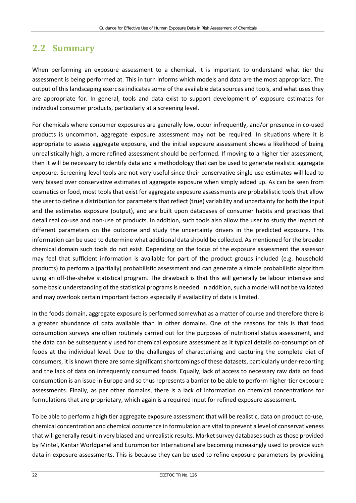## <span id="page-27-0"></span>**2.2 Summary**

When performing an exposure assessment to a chemical, it is important to understand what tier the assessment is being performed at. This in turn informs which models and data are the most appropriate. The output of this landscaping exercise indicates some of the available data sources and tools, and what uses they are appropriate for. In general, tools and data exist to support development of exposure estimates for individual consumer products, particularly at a screening level.

For chemicals where consumer exposures are generally low, occur infrequently, and/or presence in co-used products is uncommon, aggregate exposure assessment may not be required. In situations where it is appropriate to assess aggregate exposure, and the initial exposure assessment shows a likelihood of being unrealistically high, a more refined assessment should be performed. If moving to a higher tier assessment, then it will be necessary to identify data and a methodology that can be used to generate realistic aggregate exposure. Screening level tools are not very useful since their conservative single use estimates will lead to very biased over conservative estimates of aggregate exposure when simply added up. As can be seen from cosmetics or food, most tools that exist for aggregate exposure assessments are probabilistic tools that allow the user to define a distribution for parameters that reflect (true) variability and uncertainty for both the input and the estimates exposure (output), and are built upon databases of consumer habits and practices that detail real co-use and non-use of products. In addition, such tools also allow the user to study the impact of different parameters on the outcome and study the uncertainty drivers in the predicted exposure. This information can be used to determine what additional data should be collected. As mentioned for the broader chemical domain such tools do not exist. Depending on the focus of the exposure assessment the assessor may feel that sufficient information is available for part of the product groups included (e.g. household products) to perform a (partially) probabilistic assessment and can generate a simple probabilistic algorithm using an off-the-shelve statistical program. The drawback is that this will generally be labour intensive and some basic understanding of the statistical programs is needed. In addition, such a model will not be validated and may overlook certain important factors especially if availability of data is limited.

In the foods domain, aggregate exposure is performed somewhat as a matter of course and therefore there is a greater abundance of data available than in other domains. One of the reasons for this is that food consumption surveys are often routinely carried out for the purposes of nutritional status assessment, and the data can be subsequently used for chemical exposure assessment as it typical details co-consumption of foods at the individual level. Due to the challenges of characterising and capturing the complete diet of consumers, it is known there are some significant shortcomings of these datasets, particularly under-reporting and the lack of data on infrequently consumed foods. Equally, lack of access to necessary raw data on food consumption is an issue in Europe and so thus represents a barrier to be able to perform higher-tier exposure assessments. Finally, as per other domains, there is a lack of information on chemical concentrations for formulations that are proprietary, which again is a required input for refined exposure assessment.

To be able to perform a high tier aggregate exposure assessment that will be realistic, data on product co-use, chemical concentration and chemical occurrence in formulation are vital to prevent a level of conservativeness that will generally result in very biased and unrealistic results. Market survey databases such as those provided by Mintel, Kantar Worldpanel and Euromonitor International are becoming increasingly used to provide such data in exposure assessments. This is because they can be used to refine exposure parameters by providing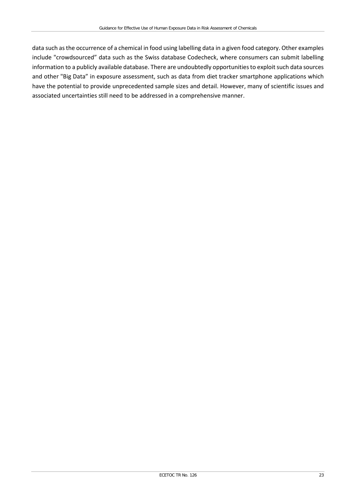data such as the occurrence of a chemical in food using labelling data in a given food category. Other examples include "crowdsourced" data such as the Swiss database Codecheck, where consumers can submit labelling information to a publicly available database. There are undoubtedly opportunities to exploit such data sources and other "Big Data" in exposure assessment, such as data from diet tracker smartphone applications which have the potential to provide unprecedented sample sizes and detail. However, many of scientific issues and associated uncertainties still need to be addressed in a comprehensive manner.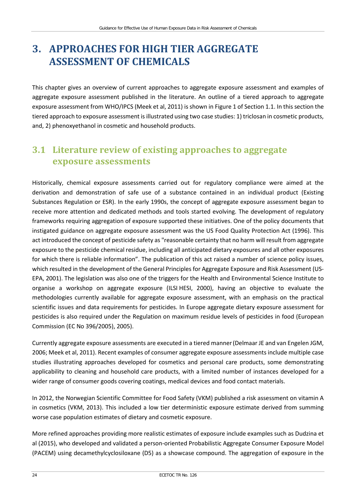# <span id="page-29-0"></span>**3. APPROACHES FOR HIGH TIER AGGREGATE ASSESSMENT OF CHEMICALS**

This chapter gives an overview of current approaches to aggregate exposure assessment and examples of aggregate exposure assessment published in the literature. An outline of a tiered approach to aggregate exposure assessment from WHO/IPCS (Meek et al, 2011) is shown in Figure 1 of Section 1.1. In this section the tiered approach to exposure assessment is illustrated using two case studies: 1) triclosan in cosmetic products, and, 2) phenoxyethanol in cosmetic and household products.

## <span id="page-29-1"></span>**3.1 Literature review of existing approaches to aggregate exposure assessments**

Historically, chemical exposure assessments carried out for regulatory compliance were aimed at the derivation and demonstration of safe use of a substance contained in an individual product (Existing Substances Regulation or ESR). In the early 1990s, the concept of aggregate exposure assessment began to receive more attention and dedicated methods and tools started evolving. The development of regulatory frameworks requiring aggregation of exposure supported these initiatives. One of the policy documents that instigated guidance on aggregate exposure assessment was the US Food Quality Protection Act (1996). This act introduced the concept of pesticide safety as "reasonable certainty that no harm will result from aggregate exposure to the pesticide chemical residue, including all anticipated dietary exposures and all other exposures for which there is reliable information". The publication of this act raised a number of science policy issues, which resulted in the development of the General Principles for Aggregate Exposure and Risk Assessment (US-EPA, 2001). The legislation was also one of the triggers for the Health and Environmental Science Institute to organise a workshop on aggregate exposure (ILSI HESI, 2000), having an objective to evaluate the methodologies currently available for aggregate exposure assessment, with an emphasis on the practical scientific issues and data requirements for pesticides. In Europe aggregate dietary exposure assessment for pesticides is also required under the Regulation on maximum residue levels of pesticides in food (European Commission (EC No 396/2005), 2005).

Currently aggregate exposure assessments are executed in a tiered manner(Delmaar JE and van Engelen JGM, 2006; Meek et al, 2011). Recent examples of consumer aggregate exposure assessments include multiple case studies illustrating approaches developed for cosmetics and personal care products, some demonstrating applicability to cleaning and household care products, with a limited number of instances developed for a wider range of consumer goods covering coatings, medical devices and food contact materials.

In 2012, the Norwegian Scientific Committee for Food Safety (VKM) published a risk assessment on vitamin A in cosmetics (VKM, 2013). This included a low tier deterministic exposure estimate derived from summing worse case population estimates of dietary and cosmetic exposure.

More refined approaches providing more realistic estimates of exposure include examples such as Dudzina et al (2015), who developed and validated a person-oriented Probabilistic Aggregate Consumer Exposure Model (PACEM) using decamethylcyclosiloxane (D5) as a showcase compound. The aggregation of exposure in the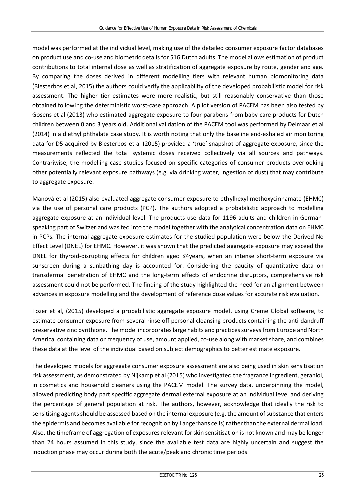model was performed at the individual level, making use of the detailed consumer exposure factor databases on product use and co-use and biometric details for 516 Dutch adults. The model allows estimation of product contributions to total internal dose as well as stratification of aggregate exposure by route, gender and age. By comparing the doses derived in different modelling tiers with relevant human biomonitoring data (Biesterbos et al, 2015) the authors could verify the applicability of the developed probabilistic model for risk assessment. The higher tier estimates were more realistic, but still reasonably conservative than those obtained following the deterministic worst-case approach. A pilot version of PACEM has been also tested by Gosens et al (2013) who estimated aggregate exposure to four parabens from baby care products for Dutch children between 0 and 3 years old. Additional validation of the PACEM tool was performed by Delmaar et al (2014) in a diethyl phthalate case study. It is worth noting that only the baseline end-exhaled air monitoring data for D5 acquired by Biesterbos et al (2015) provided a 'true' snapshot of aggregate exposure, since the measurements reflected the total systemic doses received collectively via all sources and pathways. Contrariwise, the modelling case studies focused on specific categories of consumer products overlooking other potentially relevant exposure pathways (e.g. via drinking water, ingestion of dust) that may contribute to aggregate exposure.

Manová et al (2015) also evaluated aggregate consumer exposure to ethylhexyl methoxycinnamate (EHMC) via the use of personal care products (PCP). The authors adopted a probabilistic approach to modelling aggregate exposure at an individual level. The products use data for 1196 adults and children in Germanspeaking part of Switzerland was fed into the model together with the analytical concentration data on EHMC in PCPs. The internal aggregate exposure estimates for the studied population were below the Derived No Effect Level (DNEL) for EHMC. However, it was shown that the predicted aggregate exposure may exceed the DNEL for thyroid-disrupting effects for children aged ≤4years, when an intense short-term exposure via sunscreen during a sunbathing day is accounted for. Considering the paucity of quantitative data on transdermal penetration of EHMC and the long-term effects of endocrine disruptors, comprehensive risk assessment could not be performed. The finding of the study highlighted the need for an alignment between advances in exposure modelling and the development of reference dose values for accurate risk evaluation.

Tozer et al, (2015) developed a probabilistic aggregate exposure model, using Creme Global software, to estimate consumer exposure from several rinse off personal cleansing products containing the anti-dandruff preservative zinc pyrithione. The model incorporates large habits and practices surveys from Europe and North America, containing data on frequency of use, amount applied, co-use along with market share, and combines these data at the level of the individual based on subject demographics to better estimate exposure.

The developed models for aggregate consumer exposure assessment are also being used in skin sensitisation risk assessment, as demonstrated by Nijkamp et al (2015) who investigated the fragrance ingredient, geraniol, in cosmetics and household cleaners using the PACEM model. The survey data, underpinning the model, allowed predicting body part specific aggregate dermal external exposure at an individual level and deriving the percentage of general population at risk. The authors, however, acknowledge that ideally the risk to sensitising agents should be assessed based on the internal exposure (e.g. the amount of substance that enters the epidermis and becomes available for recognition by Langerhans cells) rather than the external dermal load. Also, the timeframe of aggregation of exposures relevant for skin sensitisation is not known and may be longer than 24 hours assumed in this study, since the available test data are highly uncertain and suggest the induction phase may occur during both the acute/peak and chronic time periods.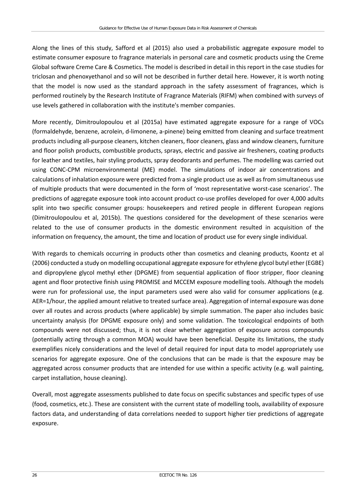Along the lines of this study, Safford et al (2015) also used a probabilistic aggregate exposure model to estimate consumer exposure to fragrance materials in personal care and cosmetic products using the Creme Global software Creme Care & Cosmetics. The model is described in detail in this report in the case studies for triclosan and phenoxyethanol and so will not be described in further detail here. However, it is worth noting that the model is now used as the standard approach in the safety assessment of fragrances, which is performed routinely by the Research Institute of Fragrance Materials (RIFM) when combined with surveys of use levels gathered in collaboration with the institute's member companies.

More recently, Dimitroulopoulou et al (2015a) have estimated aggregate exposure for a range of VOCs (formaldehyde, benzene, acrolein, d-limonene, a-pinene) being emitted from cleaning and surface treatment products including all-purpose cleaners, kitchen cleaners, floor cleaners, glass and window cleaners, furniture and floor polish products, combustible products, sprays, electric and passive air fresheners, coating products for leather and textiles, hair styling products, spray deodorants and perfumes. The modelling was carried out using CONC-CPM microenvironmental (ME) model. The simulations of indoor air concentrations and calculations of inhalation exposure were predicted from a single product use as well as from simultaneous use of multiple products that were documented in the form of 'most representative worst-case scenarios'. The predictions of aggregate exposure took into account product co-use profiles developed for over 4,000 adults split into two specific consumer groups: housekeepers and retired people in different European regions (Dimitroulopoulou et al, 2015b). The questions considered for the development of these scenarios were related to the use of consumer products in the domestic environment resulted in acquisition of the information on frequency, the amount, the time and location of product use for every single individual.

With regards to chemicals occurring in products other than cosmetics and cleaning products, Koontz et al (2006) conducted a study on modelling occupational aggregate exposure for ethylene glycol butyl ether(EGBE) and dipropylene glycol methyl ether (DPGME) from sequential application of floor stripper, floor cleaning agent and floor protective finish using PROMISE and MCCEM exposure modelling tools. Although the models were run for professional use, the input parameters used were also valid for consumer applications (e.g. AER=1/hour, the applied amount relative to treated surface area). Aggregation of internal exposure was done over all routes and across products (where applicable) by simple summation. The paper also includes basic uncertainty analysis (for DPGME exposure only) and some validation. The toxicological endpoints of both compounds were not discussed; thus, it is not clear whether aggregation of exposure across compounds (potentially acting through a common MOA) would have been beneficial. Despite its limitations, the study exemplifies nicely considerations and the level of detail required for input data to model appropriately use scenarios for aggregate exposure. One of the conclusions that can be made is that the exposure may be aggregated across consumer products that are intended for use within a specific activity (e.g. wall painting, carpet installation, house cleaning).

Overall, most aggregate assessments published to date focus on specific substances and specific types of use (food, cosmetics, etc.). These are consistent with the current state of modelling tools, availability of exposure factors data, and understanding of data correlations needed to support higher tier predictions of aggregate exposure.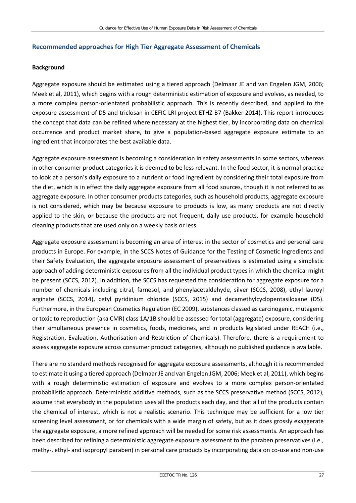### **Recommended approaches for High Tier Aggregate Assessment of Chemicals**

### **Background**

Aggregate exposure should be estimated using a tiered approach (Delmaar JE and van Engelen JGM, 2006; Meek et al, 2011), which begins with a rough deterministic estimation of exposure and evolves, as needed, to a more complex person-orientated probabilistic approach. This is recently described, and applied to the exposure assessment of D5 and triclosan in CEFIC-LRI project ETHZ-B7 (Bakker 2014). This report introduces the concept that data can be refined where necessary at the highest tier, by incorporating data on chemical occurrence and product market share, to give a population-based aggregate exposure estimate to an ingredient that incorporates the best available data.

Aggregate exposure assessment is becoming a consideration in safety assessments in some sectors, whereas in other consumer product categories it is deemed to be less relevant. In the food sector, it is normal practice to look at a person's daily exposure to a nutrient or food ingredient by considering their total exposure from the diet, which is in effect the daily aggregate exposure from all food sources, though it is not referred to as aggregate exposure. In other consumer products categories, such as household products, aggregate exposure is not considered, which may be because exposure to products is low, as many products are not directly applied to the skin, or because the products are not frequent, daily use products, for example household cleaning products that are used only on a weekly basis or less.

Aggregate exposure assessment is becoming an area of interest in the sector of cosmetics and personal care products in Europe. For example, in the SCCS Notes of Guidance for the Testing of Cosmetic Ingredients and their Safety Evaluation, the aggregate exposure assessment of preservatives is estimated using a simplistic approach of adding deterministic exposures from all the individual product types in which the chemical might be present (SCCS, 2012). In addition, the SCCS has requested the consideration for aggregate exposure for a number of chemicals including citral, farnesol, and phenylacetaldehyde, silver (SCCS, 2008), ethyl lauroyl arginate (SCCS, 2014), cetyl pyridinium chloride (SCCS, 2015) and decamethylcyclopentasiloxane (D5). Furthermore, in the European Cosmetics Regulation (EC 2009), substances classed as carcinogenic, mutagenic or toxic to reproduction (aka CMR) class 1A/1B should be assessed for total (aggregate) exposure, considering their simultaneous presence in cosmetics, foods, medicines, and in products legislated under REACH (i.e., Registration, Evaluation, Authorisation and Restriction of Chemicals). Therefore, there is a requirement to assess aggregate exposure across consumer product categories, although no published guidance is available.

There are no standard methods recognised for aggregate exposure assessments, although it is recommended to estimate it using a tiered approach (Delmaar JE and van Engelen JGM, 2006; Meek et al, 2011), which begins with a rough deterministic estimation of exposure and evolves to a more complex person-orientated probabilistic approach. Deterministic additive methods, such as the SCCS preservative method (SCCS, 2012), assume that everybody in the population uses all the products each day, and that all of the products contain the chemical of interest, which is not a realistic scenario. This technique may be sufficient for a low tier screening level assessment, or for chemicals with a wide margin of safety, but as it does grossly exaggerate the aggregate exposure, a more refined approach will be needed for some risk assessments. An approach has been described for refining a deterministic aggregate exposure assessment to the paraben preservatives (i.e., methy-, ethyl- and isopropyl paraben) in personal care products by incorporating data on co-use and non-use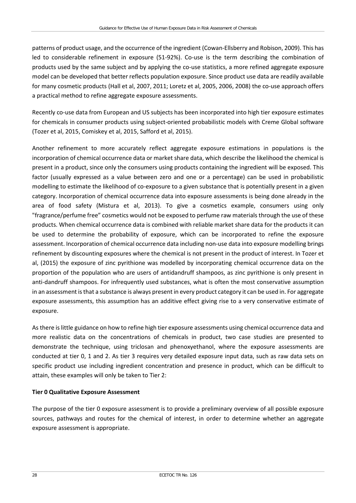patterns of product usage, and the occurrence of the ingredient (Cowan-Ellsberry and Robison, 2009). This has led to considerable refinement in exposure (51-92%). Co-use is the term describing the combination of products used by the same subject and by applying the co-use statistics, a more refined aggregate exposure model can be developed that better reflects population exposure. Since product use data are readily available for many cosmetic products (Hall et al, 2007, 2011; Loretz et al, 2005, 2006, 2008) the co-use approach offers a practical method to refine aggregate exposure assessments.

Recently co-use data from European and US subjects has been incorporated into high tier exposure estimates for chemicals in consumer products using subject-oriented probabilistic models with Creme Global software (Tozer et al, 2015, Comiskey et al, 2015, Safford et al, 2015).

Another refinement to more accurately reflect aggregate exposure estimations in populations is the incorporation of chemical occurrence data or market share data, which describe the likelihood the chemical is present in a product, since only the consumers using products containing the ingredient will be exposed. This factor (usually expressed as a value between zero and one or a percentage) can be used in probabilistic modelling to estimate the likelihood of co-exposure to a given substance that is potentially present in a given category. Incorporation of chemical occurrence data into exposure assessments is being done already in the area of food safety (Mistura et al, 2013). To give a cosmetics example, consumers using only "fragrance/perfume free" cosmetics would not be exposed to perfume raw materials through the use of these products. When chemical occurrence data is combined with reliable market share data for the products it can be used to determine the probability of exposure, which can be incorporated to refine the exposure assessment. Incorporation of chemical occurrence data including non-use data into exposure modelling brings refinement by discounting exposures where the chemical is not present in the product of interest. In Tozer et al, (2015) the exposure of zinc pyrithione was modelled by incorporating chemical occurrence data on the proportion of the population who are users of antidandruff shampoos, as zinc pyrithione is only present in anti-dandruff shampoos. For infrequently used substances, what is often the most conservative assumption in an assessment is that a substance is always present in every product category it can be used in. For aggregate exposure assessments, this assumption has an additive effect giving rise to a very conservative estimate of exposure.

As there is little guidance on how to refine high tier exposure assessments using chemical occurrence data and more realistic data on the concentrations of chemicals in product, two case studies are presented to demonstrate the technique, using triclosan and phenoxyethanol, where the exposure assessments are conducted at tier 0, 1 and 2. As tier 3 requires very detailed exposure input data, such as raw data sets on specific product use including ingredient concentration and presence in product, which can be difficult to attain, these examples will only be taken to Tier 2:

#### **Tier 0 Qualitative Exposure Assessment**

The purpose of the tier 0 exposure assessment is to provide a preliminary overview of all possible exposure sources, pathways and routes for the chemical of interest, in order to determine whether an aggregate exposure assessment is appropriate.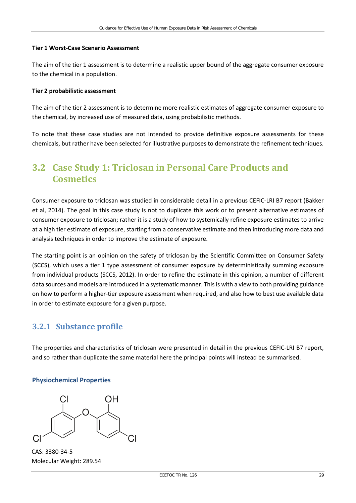#### **Tier 1 Worst-Case Scenario Assessment**

The aim of the tier 1 assessment is to determine a realistic upper bound of the aggregate consumer exposure to the chemical in a population.

#### **Tier 2 probabilistic assessment**

The aim of the tier 2 assessment is to determine more realistic estimates of aggregate consumer exposure to the chemical, by increased use of measured data, using probabilistic methods.

To note that these case studies are not intended to provide definitive exposure assessments for these chemicals, but rather have been selected for illustrative purposes to demonstrate the refinement techniques.

## <span id="page-34-0"></span>**3.2 Case Study 1: Triclosan in Personal Care Products and Cosmetics**

Consumer exposure to triclosan was studied in considerable detail in a previous CEFIC-LRI B7 report (Bakker et al, 2014). The goal in this case study is not to duplicate this work or to present alternative estimates of consumer exposure to triclosan; rather it is a study of how to systemically refine exposure estimates to arrive at a high tier estimate of exposure, starting from a conservative estimate and then introducing more data and analysis techniques in order to improve the estimate of exposure.

The starting point is an opinion on the safety of triclosan by the Scientific Committee on Consumer Safety (SCCS), which uses a tier 1 type assessment of consumer exposure by deterministically summing exposure from individual products (SCCS, 2012). In order to refine the estimate in this opinion, a number of different data sources and models are introduced in a systematic manner. This is with a view to both providing guidance on how to perform a higher-tier exposure assessment when required, and also how to best use available data in order to estimate exposure for a given purpose.

### <span id="page-34-1"></span>**3.2.1 Substance profile**

The properties and characteristics of triclosan were presented in detail in the previous CEFIC-LRI B7 report, and so rather than duplicate the same material here the principal points will instead be summarised.

#### **Physiochemical Properties**

CAS: 3380-34-5 Molecular Weight: 289.54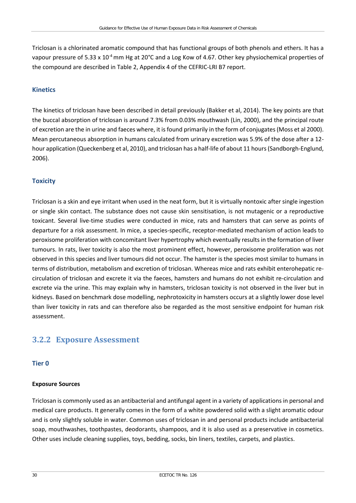Triclosan is a chlorinated aromatic compound that has functional groups of both phenols and ethers. It has a vapour pressure of 5.33 x 10<sup>-4</sup> mm Hg at 20°C and a Log Kow of 4.67. Other key physiochemical properties of the compound are described in Table 2, Appendix 4 of the CEFRIC-LRI B7 report.

#### **Kinetics**

The kinetics of triclosan have been described in detail previously (Bakker et al, 2014). The key points are that the buccal absorption of triclosan is around 7.3% from 0.03% mouthwash (Lin, 2000), and the principal route of excretion are the in urine and faeces where, it is found primarily in the form of conjugates (Moss et al 2000). Mean percutaneous absorption in humans calculated from urinary excretion was 5.9% of the dose after a 12 hour application (Queckenberg et al, 2010), and triclosan has a half-life of about 11 hours (Sandborgh-Englund, 2006).

#### **Toxicity**

Triclosan is a skin and eye irritant when used in the neat form, but it is virtually nontoxic after single ingestion or single skin contact. The substance does not cause skin sensitisation, is not mutagenic or a reproductive toxicant. Several live-time studies were conducted in mice, rats and hamsters that can serve as points of departure for a risk assessment. In mice, a species-specific, receptor-mediated mechanism of action leads to peroxisome proliferation with concomitant liver hypertrophy which eventually results in the formation of liver tumours. In rats, liver toxicity is also the most prominent effect, however, peroxisome proliferation was not observed in this species and liver tumours did not occur. The hamster is the species most similar to humans in terms of distribution, metabolism and excretion of triclosan. Whereas mice and rats exhibit enterohepatic recirculation of triclosan and excrete it via the faeces, hamsters and humans do not exhibit re-circulation and excrete via the urine. This may explain why in hamsters, triclosan toxicity is not observed in the liver but in kidneys. Based on benchmark dose modelling, nephrotoxicity in hamsters occurs at a slightly lower dose level than liver toxicity in rats and can therefore also be regarded as the most sensitive endpoint for human risk assessment.

### <span id="page-35-0"></span>**3.2.2 Exposure Assessment**

#### **Tier 0**

#### **Exposure Sources**

Triclosan is commonly used as an antibacterial and antifungal agent in a variety of applications in personal and medical care products. It generally comes in the form of a white powdered solid with a slight aromatic odour and is only slightly soluble in water. Common uses of triclosan in and personal products include antibacterial soap, mouthwashes, toothpastes, deodorants, shampoos, and it is also used as a preservative in cosmetics. Other uses include cleaning supplies, toys, bedding, socks, bin liners, textiles, carpets, and plastics.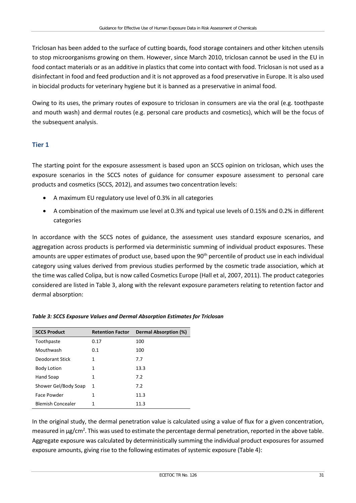Triclosan has been added to the surface of cutting boards, food storage containers and other kitchen utensils to stop microorganisms growing on them. However, since March 2010, triclosan cannot be used in the EU in food contact materials or as an additive in plastics that come into contact with food. Triclosan is not used as a disinfectant in food and feed production and it is not approved as a food preservative in Europe. It is also used in biocidal products for veterinary hygiene but it is banned as a preservative in animal food.

Owing to its uses, the primary routes of exposure to triclosan in consumers are via the oral (e.g. toothpaste and mouth wash) and dermal routes (e.g. personal care products and cosmetics), which will be the focus of the subsequent analysis.

#### **Tier 1**

The starting point for the exposure assessment is based upon an SCCS opinion on triclosan, which uses the exposure scenarios in the SCCS notes of guidance for consumer exposure assessment to personal care products and cosmetics (SCCS, 2012), and assumes two concentration levels:

- A maximum EU regulatory use level of 0.3% in all categories
- A combination of the maximum use level at 0.3% and typical use levels of 0.15% and 0.2% in different categories

In accordance with the SCCS notes of guidance, the assessment uses standard exposure scenarios, and aggregation across products is performed via deterministic summing of individual product exposures. These amounts are upper estimates of product use, based upon the 90<sup>th</sup> percentile of product use in each individual category using values derived from previous studies performed by the cosmetic trade association, which at the time was called Colipa, but is now called Cosmetics Europe (Hall et al, 2007, 2011). The product categories considered are listed in Table 3, along with the relevant exposure parameters relating to retention factor and dermal absorption:

| <b>SCCS Product</b>      | <b>Retention Factor</b> | Dermal Absorption (%) |
|--------------------------|-------------------------|-----------------------|
| Toothpaste               | 0.17                    | 100                   |
| Mouthwash                | 0.1                     | 100                   |
| Deodorant Stick          | 1                       | 7.7                   |
| <b>Body Lotion</b>       | 1                       | 13.3                  |
| Hand Soap                | 1                       | 7.2                   |
| Shower Gel/Body Soap     | 1                       | 7.2                   |
| Face Powder              | 1                       | 11.3                  |
| <b>Blemish Concealer</b> | 1                       | 11.3                  |

#### *Table 3: SCCS Exposure Values and Dermal Absorption Estimates for Triclosan*

In the original study, the dermal penetration value is calculated using a value of flux for a given concentration, measured in µg/cm<sup>2</sup>. This was used to estimate the percentage dermal penetration, reported in the above table. Aggregate exposure was calculated by deterministically summing the individual product exposures for assumed exposure amounts, giving rise to the following estimates of systemic exposure (Table 4):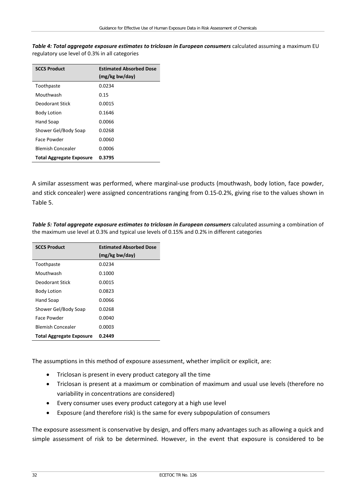| <b>SCCS Product</b>             | <b>Estimated Absorbed Dose</b> |
|---------------------------------|--------------------------------|
|                                 | (mg/kg bw/day)                 |
| Toothpaste                      | 0.0234                         |
| Mouthwash                       | 0.15                           |
| Deodorant Stick                 | 0.0015                         |
| <b>Body Lotion</b>              | 0.1646                         |
| Hand Soap                       | 0.0066                         |
| Shower Gel/Body Soap            | 0.0268                         |
| Face Powder                     | 0.0060                         |
| <b>Blemish Concealer</b>        | 0.0006                         |
| <b>Total Aggregate Exposure</b> | 0.3795                         |

Table 4: Total aggregate exposure estimates to triclosan in European consumers calculated assuming a maximum EU regulatory use level of 0.3% in all categories

A similar assessment was performed, where marginal-use products (mouthwash, body lotion, face powder, and stick concealer) were assigned concentrations ranging from 0.15-0.2%, giving rise to the values shown in Table 5.

Table 5: Total aggregate exposure estimates to triclosan in European consumers calculated assuming a combination of the maximum use level at 0.3% and typical use levels of 0.15% and 0.2% in different categories

| <b>SCCS Product</b>             | <b>Estimated Absorbed Dose</b> |
|---------------------------------|--------------------------------|
|                                 | (mg/kg bw/day)                 |
| Toothpaste                      | 0.0234                         |
| Mouthwash                       | 0.1000                         |
| Deodorant Stick                 | 0.0015                         |
| <b>Body Lotion</b>              | 0.0823                         |
| Hand Soap                       | 0.0066                         |
| Shower Gel/Body Soap            | 0.0268                         |
| Face Powder                     | 0.0040                         |
| <b>Blemish Concealer</b>        | 0.0003                         |
| <b>Total Aggregate Exposure</b> | 0.2449                         |

The assumptions in this method of exposure assessment, whether implicit or explicit, are:

- Triclosan is present in every product category all the time
- Triclosan is present at a maximum or combination of maximum and usual use levels (therefore no variability in concentrations are considered)
- Every consumer uses every product category at a high use level
- Exposure (and therefore risk) is the same for every subpopulation of consumers

The exposure assessment is conservative by design, and offers many advantages such as allowing a quick and simple assessment of risk to be determined. However, in the event that exposure is considered to be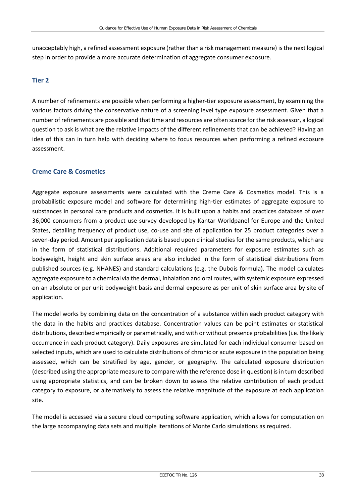unacceptably high, a refined assessment exposure (rather than a risk management measure) is the next logical step in order to provide a more accurate determination of aggregate consumer exposure.

#### **Tier 2**

A number of refinements are possible when performing a higher-tier exposure assessment, by examining the various factors driving the conservative nature of a screening level type exposure assessment. Given that a number of refinements are possible and that time and resources are often scarce for the risk assessor, a logical question to ask is what are the relative impacts of the different refinements that can be achieved? Having an idea of this can in turn help with deciding where to focus resources when performing a refined exposure assessment.

#### **Creme Care & Cosmetics**

Aggregate exposure assessments were calculated with the Creme Care & Cosmetics model. This is a probabilistic exposure model and software for determining high-tier estimates of aggregate exposure to substances in personal care products and cosmetics. It is built upon a habits and practices database of over 36,000 consumers from a product use survey developed by Kantar Worldpanel for Europe and the United States, detailing frequency of product use, co-use and site of application for 25 product categories over a seven-day period. Amount per application data is based upon clinical studies for the same products, which are in the form of statistical distributions. Additional required parameters for exposure estimates such as bodyweight, height and skin surface areas are also included in the form of statistical distributions from published sources (e.g. NHANES) and standard calculations (e.g. the Dubois formula). The model calculates aggregate exposure to a chemical via the dermal, inhalation and oral routes, with systemic exposure expressed on an absolute or per unit bodyweight basis and dermal exposure as per unit of skin surface area by site of application.

The model works by combining data on the concentration of a substance within each product category with the data in the habits and practices database. Concentration values can be point estimates or statistical distributions, described empirically or parametrically, and with or without presence probabilities (i.e. the likely occurrence in each product category). Daily exposures are simulated for each individual consumer based on selected inputs, which are used to calculate distributions of chronic or acute exposure in the population being assessed, which can be stratified by age, gender, or geography. The calculated exposure distribution (described using the appropriate measure to compare with the reference dose in question) is in turn described using appropriate statistics, and can be broken down to assess the relative contribution of each product category to exposure, or alternatively to assess the relative magnitude of the exposure at each application site.

The model is accessed via a secure cloud computing software application, which allows for computation on the large accompanying data sets and multiple iterations of Monte Carlo simulations as required.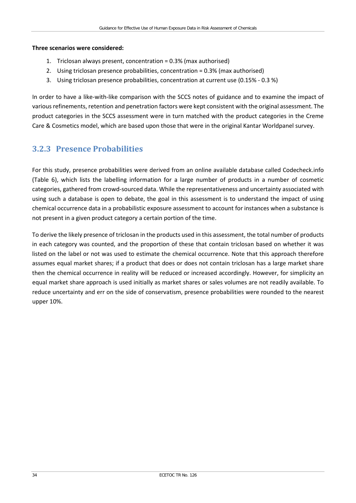#### **Three scenarios were considered:**

- 1. Triclosan always present, concentration = 0.3% (max authorised)
- 2. Using triclosan presence probabilities, concentration = 0.3% (max authorised)
- 3. Using triclosan presence probabilities, concentration at current use (0.15% 0.3 %)

In order to have a like-with-like comparison with the SCCS notes of guidance and to examine the impact of various refinements, retention and penetration factors were kept consistent with the original assessment. The product categories in the SCCS assessment were in turn matched with the product categories in the Creme Care & Cosmetics model, which are based upon those that were in the original Kantar Worldpanel survey.

### **3.2.3 Presence Probabilities**

For this study, presence probabilities were derived from an online available database called Codecheck.info (Table 6), which lists the labelling information for a large number of products in a number of cosmetic categories, gathered from crowd-sourced data. While the representativeness and uncertainty associated with using such a database is open to debate, the goal in this assessment is to understand the impact of using chemical occurrence data in a probabilistic exposure assessment to account for instances when a substance is not present in a given product category a certain portion of the time.

To derive the likely presence of triclosan in the products used in this assessment, the total number of products in each category was counted, and the proportion of these that contain triclosan based on whether it was listed on the label or not was used to estimate the chemical occurrence. Note that this approach therefore assumes equal market shares; if a product that does or does not contain triclosan has a large market share then the chemical occurrence in reality will be reduced or increased accordingly. However, for simplicity an equal market share approach is used initially as market shares or sales volumes are not readily available. To reduce uncertainty and err on the side of conservatism, presence probabilities were rounded to the nearest upper 10%.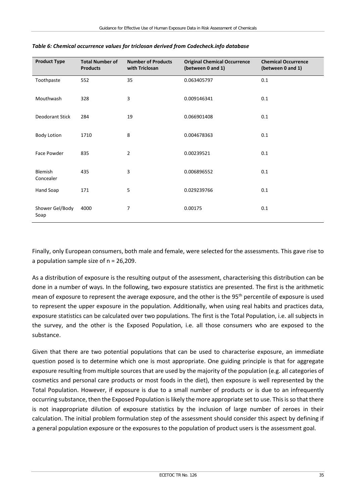| <b>Product Type</b>     | <b>Total Number of</b><br><b>Products</b> | <b>Number of Products</b><br>with Triclosan | <b>Original Chemical Occurrence</b><br>(between 0 and 1) | <b>Chemical Occurrence</b><br>(between 0 and 1) |
|-------------------------|-------------------------------------------|---------------------------------------------|----------------------------------------------------------|-------------------------------------------------|
| Toothpaste              | 552                                       | 35                                          | 0.063405797                                              | 0.1                                             |
| Mouthwash               | 328                                       | 3                                           | 0.009146341                                              | 0.1                                             |
| Deodorant Stick         | 284                                       | 19                                          | 0.066901408                                              | 0.1                                             |
| <b>Body Lotion</b>      | 1710                                      | 8                                           | 0.004678363                                              | 0.1                                             |
| Face Powder             | 835                                       | $\overline{2}$                              | 0.00239521                                               | 0.1                                             |
| Blemish<br>Concealer    | 435                                       | 3                                           | 0.006896552                                              | 0.1                                             |
| Hand Soap               | 171                                       | 5                                           | 0.029239766                                              | 0.1                                             |
| Shower Gel/Body<br>Soap | 4000                                      | 7                                           | 0.00175                                                  | 0.1                                             |

#### *Table 6: Chemical occurrence values for triclosan derived from Codecheck.info database*

Finally, only European consumers, both male and female, were selected for the assessments. This gave rise to a population sample size of n = 26,209.

As a distribution of exposure is the resulting output of the assessment, characterising this distribution can be done in a number of ways. In the following, two exposure statistics are presented. The first is the arithmetic mean of exposure to represent the average exposure, and the other is the 95th percentile of exposure is used to represent the upper exposure in the population. Additionally, when using real habits and practices data, exposure statistics can be calculated over two populations. The first is the Total Population, i.e. all subjects in the survey, and the other is the Exposed Population, i.e. all those consumers who are exposed to the substance.

Given that there are two potential populations that can be used to characterise exposure, an immediate question posed is to determine which one is most appropriate. One guiding principle is that for aggregate exposure resulting from multiple sources that are used by the majority of the population (e.g. all categories of cosmetics and personal care products or most foods in the diet), then exposure is well represented by the Total Population. However, if exposure is due to a small number of products or is due to an infrequently occurring substance, then the Exposed Population is likely the more appropriate set to use. This is so that there is not inappropriate dilution of exposure statistics by the inclusion of large number of zeroes in their calculation. The initial problem formulation step of the assessment should consider this aspect by defining if a general population exposure or the exposures to the population of product users is the assessment goal.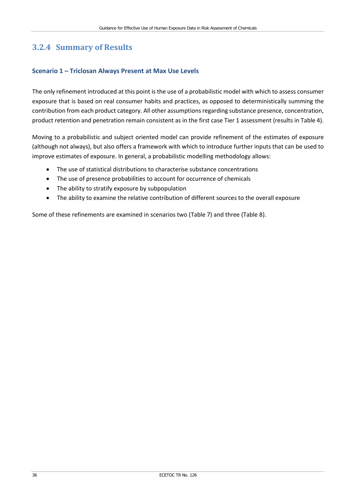### **3.2.4 Summary of Results**

#### **Scenario 1 – Triclosan Always Present at Max Use Levels**

The only refinement introduced at this point is the use of a probabilistic model with which to assess consumer exposure that is based on real consumer habits and practices, as opposed to deterministically summing the contribution from each product category. All other assumptions regarding substance presence, concentration, product retention and penetration remain consistent as in the first case Tier 1 assessment (results in Table 4).

Moving to a probabilistic and subject oriented model can provide refinement of the estimates of exposure (although not always), but also offers a framework with which to introduce further inputs that can be used to improve estimates of exposure. In general, a probabilistic modelling methodology allows:

- The use of statistical distributions to characterise substance concentrations
- The use of presence probabilities to account for occurrence of chemicals
- The ability to stratify exposure by subpopulation
- The ability to examine the relative contribution of different sources to the overall exposure

Some of these refinements are examined in scenarios two (Table 7) and three (Table 8).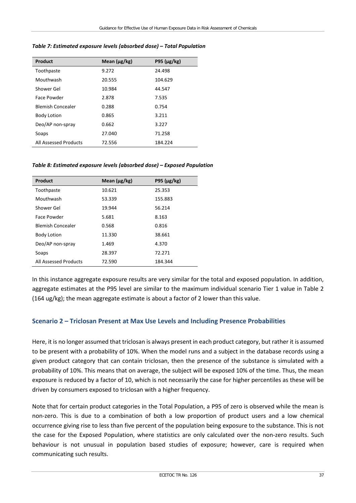| Product                  | Mean $(\mu g/kg)$ | P95 ( $\mu$ g/kg) |
|--------------------------|-------------------|-------------------|
| Toothpaste               | 9.272             | 24.498            |
| Mouthwash                | 20.555            | 104.629           |
| Shower Gel               | 10.984            | 44.547            |
| Face Powder              | 2.878             | 7.535             |
| <b>Blemish Concealer</b> | 0.288             | 0.754             |
| <b>Body Lotion</b>       | 0.865             | 3.211             |
| Deo/AP non-spray         | 0.662             | 3.227             |
| Soaps                    | 27.040            | 71.258            |
| All Assessed Products    | 72.556            | 184.224           |

#### *Table 7: Estimated exposure levels (absorbed dose) – Total Population*

#### *Table 8: Estimated exposure levels (absorbed dose) – Exposed Population*

| Product                  | Mean $(\mu g/kg)$ | P95 ( $\mu$ g/kg) |
|--------------------------|-------------------|-------------------|
| Toothpaste               | 10.621            | 25.353            |
| Mouthwash                | 53.339            | 155.883           |
| Shower Gel               | 19.944            | 56.214            |
| Face Powder              | 5.681             | 8.163             |
| <b>Blemish Concealer</b> | 0.568             | 0.816             |
| <b>Body Lotion</b>       | 11.330            | 38.661            |
| Deo/AP non-spray         | 1.469             | 4.370             |
| Soaps                    | 28.397            | 72.271            |
| All Assessed Products    | 72.590            | 184.344           |

In this instance aggregate exposure results are very similar for the total and exposed population. In addition, aggregate estimates at the P95 level are similar to the maximum individual scenario Tier 1 value in Table 2 (164 ug/kg); the mean aggregate estimate is about a factor of 2 lower than this value.

#### **Scenario 2 – Triclosan Present at Max Use Levels and Including Presence Probabilities**

Here, it is no longer assumed that triclosan is always present in each product category, but rather it is assumed to be present with a probability of 10%. When the model runs and a subject in the database records using a given product category that can contain triclosan, then the presence of the substance is simulated with a probability of 10%. This means that on average, the subject will be exposed 10% of the time. Thus, the mean exposure is reduced by a factor of 10, which is not necessarily the case for higher percentiles as these will be driven by consumers exposed to triclosan with a higher frequency.

Note that for certain product categories in the Total Population, a P95 of zero is observed while the mean is non-zero. This is due to a combination of both a low proportion of product users and a low chemical occurrence giving rise to less than five percent of the population being exposure to the substance. This is not the case for the Exposed Population, where statistics are only calculated over the non-zero results. Such behaviour is not unusual in population based studies of exposure; however, care is required when communicating such results.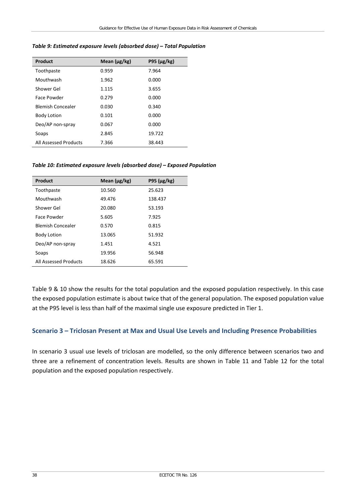| Product                  | Mean $(\mu g/kg)$ | P95 ( $\mu$ g/kg) |
|--------------------------|-------------------|-------------------|
| Toothpaste               | 0.959             | 7.964             |
| Mouthwash                | 1.962             | 0.000             |
| Shower Gel               | 1.115             | 3.655             |
| Face Powder              | 0.279             | 0.000             |
| <b>Blemish Concealer</b> | 0.030             | 0.340             |
| <b>Body Lotion</b>       | 0.101             | 0.000             |
| Deo/AP non-spray         | 0.067             | 0.000             |
| Soaps                    | 2.845             | 19.722            |
| All Assessed Products    | 7.366             | 38.443            |

#### *Table 9: Estimated exposure levels (absorbed dose) – Total Population*

#### *Table 10: Estimated exposure levels (absorbed dose) – Exposed Population*

| Product                  | Mean (µg/kg) | P95 ( $\mu$ g/kg) |
|--------------------------|--------------|-------------------|
| Toothpaste               | 10.560       | 25.623            |
| Mouthwash                | 49.476       | 138.437           |
| Shower Gel               | 20.080       | 53.193            |
| Face Powder              | 5.605        | 7.925             |
| <b>Blemish Concealer</b> | 0.570        | 0.815             |
| <b>Body Lotion</b>       | 13.065       | 51.932            |
| Deo/AP non-spray         | 1.451        | 4.521             |
| Soaps                    | 19.956       | 56.948            |
| All Assessed Products    | 18.626       | 65.591            |

Table 9 & 10 show the results for the total population and the exposed population respectively. In this case the exposed population estimate is about twice that of the general population. The exposed population value at the P95 level is less than half of the maximal single use exposure predicted in Tier 1.

#### **Scenario 3 – Triclosan Present at Max and Usual Use Levels and Including Presence Probabilities**

In scenario 3 usual use levels of triclosan are modelled, so the only difference between scenarios two and three are a refinement of concentration levels. Results are shown in Table 11 and Table 12 for the total population and the exposed population respectively.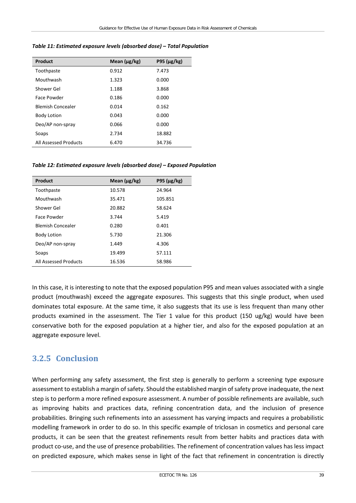| Product                  | Mean $(\mu$ g/kg) | P95 $(\mu$ g/kg) |
|--------------------------|-------------------|------------------|
| Toothpaste               | 0.912             | 7.473            |
| Mouthwash                | 1.323             | 0.000            |
| Shower Gel               | 1.188             | 3.868            |
| Face Powder              | 0.186             | 0.000            |
| <b>Blemish Concealer</b> | 0.014             | 0.162            |
| <b>Body Lotion</b>       | 0.043             | 0.000            |
| Deo/AP non-spray         | 0.066             | 0.000            |
| Soaps                    | 2.734             | 18.882           |
| All Assessed Products    | 6.470             | 34.736           |

*Table 11: Estimated exposure levels (absorbed dose) – Total Population*

*Table 12: Estimated exposure levels (absorbed dose) – Exposed Population*

| Product                  | Mean $(\mu g/kg)$ | P95 ( $\mu$ g/kg) |
|--------------------------|-------------------|-------------------|
| Toothpaste               | 10.578            | 24.964            |
| Mouthwash                | 35.471            | 105.851           |
| Shower Gel               | 20.882            | 58.624            |
| Face Powder              | 3.744             | 5.419             |
| <b>Blemish Concealer</b> | 0.280             | 0.401             |
| <b>Body Lotion</b>       | 5.730             | 21.306            |
| Deo/AP non-spray         | 1.449             | 4.306             |
| Soaps                    | 19.499            | 57.111            |
| All Assessed Products    | 16.536            | 58.986            |

In this case, it is interesting to note that the exposed population P95 and mean values associated with a single product (mouthwash) exceed the aggregate exposures. This suggests that this single product, when used dominates total exposure. At the same time, it also suggests that its use is less frequent than many other products examined in the assessment. The Tier 1 value for this product (150 ug/kg) would have been conservative both for the exposed population at a higher tier, and also for the exposed population at an aggregate exposure level.

### **3.2.5 Conclusion**

When performing any safety assessment, the first step is generally to perform a screening type exposure assessment to establish a margin of safety. Should the established margin of safety prove inadequate, the next step is to perform a more refined exposure assessment. A number of possible refinements are available, such as improving habits and practices data, refining concentration data, and the inclusion of presence probabilities. Bringing such refinements into an assessment has varying impacts and requires a probabilistic modelling framework in order to do so. In this specific example of triclosan in cosmetics and personal care products, it can be seen that the greatest refinements result from better habits and practices data with product co-use, and the use of presence probabilities. The refinement of concentration values has less impact on predicted exposure, which makes sense in light of the fact that refinement in concentration is directly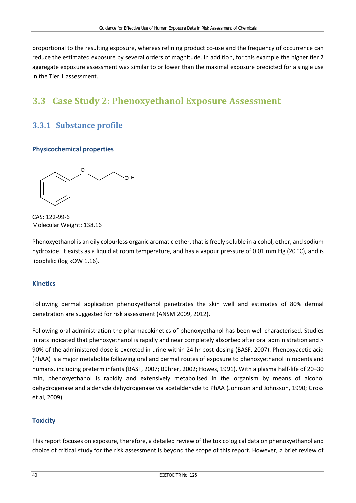proportional to the resulting exposure, whereas refining product co-use and the frequency of occurrence can reduce the estimated exposure by several orders of magnitude. In addition, for this example the higher tier 2 aggregate exposure assessment was similar to or lower than the maximal exposure predicted for a single use in the Tier 1 assessment.

## **3.3 Case Study 2: Phenoxyethanol Exposure Assessment**

### **3.3.1 Substance profile**

#### **Physicochemical properties**

O H O

CAS: 122-99-6 Molecular Weight: 138.16

Phenoxyethanol is an oily colourless organic aromatic ether, that is freely soluble in alcohol, ether, and sodium hydroxide. It exists as a liquid at room temperature, and has a vapour pressure of 0.01 mm Hg (20 °C), and is lipophilic (log kOW 1.16).

#### **Kinetics**

Following dermal application phenoxyethanol penetrates the skin well and estimates of 80% dermal penetration are suggested for risk assessment (ANSM 2009, 2012).

Following oral administration the pharmacokinetics of phenoxyethanol has been well characterised. Studies in rats indicated that phenoxyethanol is rapidly and near completely absorbed after oral administration and > 90% of the administered dose is excreted in urine within 24 hr post-dosing (BASF, 2007). Phenoxyacetic acid (PhAA) is a major metabolite following oral and dermal routes of exposure to phenoxyethanol in rodents and humans, including preterm infants (BASF, 2007; Bührer, 2002; Howes, 1991). With a plasma half-life of 20–30 min, phenoxyethanol is rapidly and extensively metabolised in the organism by means of alcohol dehydrogenase and aldehyde dehydrogenase via acetaldehyde to PhAA (Johnson and Johnsson, 1990; Gross et al, 2009).

#### **Toxicity**

This report focuses on exposure, therefore, a detailed review of the toxicological data on phenoxyethanol and choice of critical study for the risk assessment is beyond the scope of this report. However, a brief review of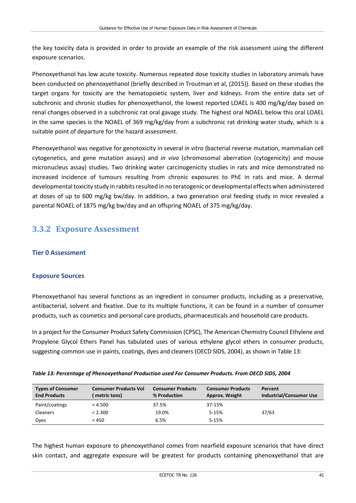the key toxicity data is provided in order to provide an example of the risk assessment using the different exposure scenarios.

Phenoxyethanol has low acute toxicity. Numerous repeated dose toxicity studies in laboratory animals have been conducted on phenoxyethanol (briefly described in Troutman et al, (2015)). Based on these studies the target organs for toxicity are the hematopoietic system, liver and kidneys. From the entire data set of subchronic and chronic studies for phenoxyethanol, the lowest reported LOAEL is 400 mg/kg/day based on renal changes observed in a subchronic rat oral gavage study. The highest oral NOAEL below this oral LOAEL in the same species is the NOAEL of 369 mg/kg/day from a subchronic rat drinking water study, which is a suitable point of departure for the hazard assessment.

Phenoxyethanol was negative for genotoxicity in several *in vitro* (bacterial reverse mutation, mammalian cell cytogenetics, and gene mutation assays) and *in vivo* (chromosomal aberration (cytogenicity) and mouse micronucleus assay) studies. Two drinking water carcinogenicity studies in rats and mice demonstrated no increased incidence of tumours resulting from chronic exposures to PhE in rats and mice. A dermal developmental toxicity study in rabbits resulted in no teratogenic or developmental effects when administered at doses of up to 600 mg/kg bw/day. In addition, a two generation oral feeding study in mice revealed a parental NOAEL of 1875 mg/kg bw/day and an offspring NOAEL of 375 mg/kg/day.

### **3.3.2 Exposure Assessment**

#### **Tier 0 Assessment**

#### **Exposure Sources**

Phenoxyethanol has several functions as an ingredient in consumer products, including as a preservative, antibacterial, solvent and fixative. Due to its multiple functions, it can be found in a number of consumer products, such as cosmetics and personal care products, pharmaceuticals and household care products.

In a project for the Consumer Product Safety Commission (CPSC), The American Chemistry Council Ethylene and Propylene Glycol Ethers Panel has tabulated uses of various ethylene glycol ethers in consumer products, suggesting common use in paints, coatings, dyes and cleaners (OECD SIDS, 2004), as shown in Table 13:

|  |  | Table 13: Percentage of Phenoxyethanol Production used For Consumer Products. From OECD SIDS, 2004 |
|--|--|----------------------------------------------------------------------------------------------------|
|  |  |                                                                                                    |

| <b>Types of Consumer</b><br><b>End Products</b> | <b>Consumer Products Vol</b><br>metric tons) | <b>Consumer Products</b><br>% Production | <b>Consumer Products</b><br>Approx. Weight | Percent<br><b>Industrial/Consumer Use</b> |
|-------------------------------------------------|----------------------------------------------|------------------------------------------|--------------------------------------------|-------------------------------------------|
| Paint/coatings                                  | < 4.500                                      | 37.5%                                    | 37-15%                                     |                                           |
| <b>Cleaners</b>                                 | < 2.300                                      | 19.0%                                    | 5-15%                                      | 37/63                                     |
| <b>Dyes</b>                                     | < 450                                        | 6.5%                                     | 5-15%                                      |                                           |

The highest human exposure to phenoxyethanol comes from nearfield exposure scenarios that have direct skin contact, and aggregate exposure will be greatest for products containing phenoxyethanol that are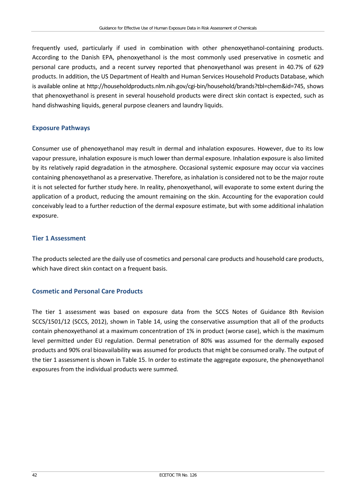frequently used, particularly if used in combination with other phenoxyethanol-containing products. According to the Danish EPA, phenoxyethanol is the most commonly used preservative in cosmetic and personal care products, and a recent survey reported that phenoxyethanol was present in 40.7% of 629 products. In addition, the US Department of Health and Human Services Household Products Database, which is available online at [http://householdproducts.nlm.nih.gov/cgi-bin/household/brands?tbl=chem&id=745,](http://householdproducts.nlm.nih.gov/cgi-bin/household/brands?tbl=chem&id=745) shows that phenoxyethanol is present in several household products were direct skin contact is expected, such as hand dishwashing liquids, general purpose cleaners and laundry liquids.

#### **Exposure Pathways**

Consumer use of phenoxyethanol may result in dermal and inhalation exposures. However, due to its low vapour pressure, inhalation exposure is much lower than dermal exposure. Inhalation exposure is also limited by its relatively rapid degradation in the atmosphere. Occasional systemic exposure may occur via vaccines containing phenoxyethanol as a preservative. Therefore, as inhalation is considered not to be the major route it is not selected for further study here. In reality, phenoxyethanol, will evaporate to some extent during the application of a product, reducing the amount remaining on the skin. Accounting for the evaporation could conceivably lead to a further reduction of the dermal exposure estimate, but with some additional inhalation exposure.

#### **Tier 1 Assessment**

The products selected are the daily use of cosmetics and personal care products and household care products, which have direct skin contact on a frequent basis.

#### **Cosmetic and Personal Care Products**

The tier 1 assessment was based on exposure data from the SCCS Notes of Guidance 8th Revision SCCS/1501/12 (SCCS, 2012), shown in Table 14, using the conservative assumption that all of the products contain phenoxyethanol at a maximum concentration of 1% in product (worse case), which is the maximum level permitted under EU regulation. Dermal penetration of 80% was assumed for the dermally exposed products and 90% oral bioavailability was assumed for products that might be consumed orally. The output of the tier 1 assessment is shown in Table 15. In order to estimate the aggregate exposure, the phenoxyethanol exposures from the individual products were summed.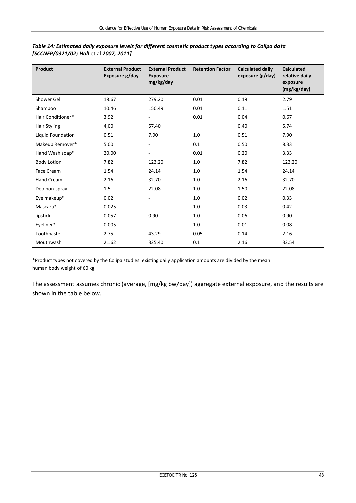| <b>Product</b>      | <b>External Product</b><br>Exposure g/day | <b>External Product</b><br><b>Exposure</b><br>mg/kg/day | <b>Retention Factor</b> | <b>Calculated daily</b><br>exposure (g/day) | <b>Calculated</b><br>relative daily<br>exposure<br>(mg/kg/day) |
|---------------------|-------------------------------------------|---------------------------------------------------------|-------------------------|---------------------------------------------|----------------------------------------------------------------|
| Shower Gel          | 18.67                                     | 279.20                                                  | 0.01                    | 0.19                                        | 2.79                                                           |
| Shampoo             | 10.46                                     | 150.49                                                  | 0.01                    | 0.11                                        | 1.51                                                           |
| Hair Conditioner*   | 3.92                                      | $\overline{\phantom{0}}$                                | 0.01                    | 0.04                                        | 0.67                                                           |
| <b>Hair Styling</b> | 4,00                                      | 57.40                                                   |                         | 0.40                                        | 5.74                                                           |
| Liquid Foundation   | 0.51                                      | 7.90                                                    | 1.0                     | 0.51                                        | 7.90                                                           |
| Makeup Remover*     | 5.00                                      | Ξ.                                                      | 0.1                     | 0.50                                        | 8.33                                                           |
| Hand Wash soap*     | 20.00                                     |                                                         | 0.01                    | 0.20                                        | 3.33                                                           |
| <b>Body Lotion</b>  | 7.82                                      | 123.20                                                  | $1.0\,$                 | 7.82                                        | 123.20                                                         |
| Face Cream          | 1.54                                      | 24.14                                                   | 1.0                     | 1.54                                        | 24.14                                                          |
| Hand Cream          | 2.16                                      | 32.70                                                   | $1.0\,$                 | 2.16                                        | 32.70                                                          |
| Deo non-spray       | 1.5                                       | 22.08                                                   | $1.0\,$                 | 1.50                                        | 22.08                                                          |
| Eye makeup*         | 0.02                                      | Ξ.                                                      | 1.0                     | 0.02                                        | 0.33                                                           |
| Mascara*            | 0.025                                     |                                                         | 1.0                     | 0.03                                        | 0.42                                                           |
| lipstick            | 0.057                                     | 0.90                                                    | $1.0\,$                 | 0.06                                        | 0.90                                                           |
| Eyeliner*           | 0.005                                     |                                                         | $1.0\,$                 | 0.01                                        | 0.08                                                           |
| Toothpaste          | 2.75                                      | 43.29                                                   | 0.05                    | 0.14                                        | 2.16                                                           |
| Mouthwash           | 21.62                                     | 325.40                                                  | 0.1                     | 2.16                                        | 32.54                                                          |

#### *Table 14: Estimated daily exposure levels for different cosmetic product types according to Colipa data [SCCNFP/0321/02; Hall* et al *2007, 2011]*

\*Product types not covered by the Colipa studies: existing daily application amounts are divided by the mean human body weight of 60 kg.

The assessment assumes chronic (average, [mg/kg bw/day]) aggregate external exposure, and the results are shown in the table below.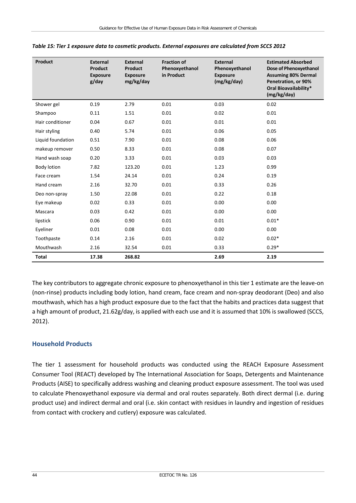| <b>Product</b>    | <b>External</b><br><b>Product</b><br><b>Exposure</b><br>g/day | <b>External</b><br><b>Product</b><br><b>Exposure</b><br>mg/kg/day | <b>Fraction of</b><br>Phenoxyethanol<br>in Product | <b>External</b><br>Phenoxyethanol<br><b>Exposure</b><br>(mg/kg/day) | <b>Estimated Absorbed</b><br>Dose of Phenoxyethanol<br><b>Assuming 80% Dermal</b><br>Penetration, or 90%<br>Oral Bioavailability*<br>(mg/kg/day) |
|-------------------|---------------------------------------------------------------|-------------------------------------------------------------------|----------------------------------------------------|---------------------------------------------------------------------|--------------------------------------------------------------------------------------------------------------------------------------------------|
| Shower gel        | 0.19                                                          | 2.79                                                              | 0.01                                               | 0.03                                                                | 0.02                                                                                                                                             |
| Shampoo           | 0.11                                                          | 1.51                                                              | 0.01                                               | 0.02                                                                | 0.01                                                                                                                                             |
| Hair conditioner  | 0.04                                                          | 0.67                                                              | 0.01                                               | 0.01                                                                | 0.01                                                                                                                                             |
| Hair styling      | 0.40                                                          | 5.74                                                              | 0.01                                               | 0.06                                                                | 0.05                                                                                                                                             |
| Liquid foundation | 0.51                                                          | 7.90                                                              | 0.01                                               | 0.08                                                                | 0.06                                                                                                                                             |
| makeup remover    | 0.50                                                          | 8.33                                                              | 0.01                                               | 0.08                                                                | 0.07                                                                                                                                             |
| Hand wash soap    | 0.20                                                          | 3.33                                                              | 0.01                                               | 0.03                                                                | 0.03                                                                                                                                             |
| Body lotion       | 7.82                                                          | 123.20                                                            | 0.01                                               | 1.23                                                                | 0.99                                                                                                                                             |
| Face cream        | 1.54                                                          | 24.14                                                             | 0.01                                               | 0.24                                                                | 0.19                                                                                                                                             |
| Hand cream        | 2.16                                                          | 32.70                                                             | 0.01                                               | 0.33                                                                | 0.26                                                                                                                                             |
| Deo non-spray     | 1.50                                                          | 22.08                                                             | 0.01                                               | 0.22                                                                | 0.18                                                                                                                                             |
| Eye makeup        | 0.02                                                          | 0.33                                                              | 0.01                                               | 0.00                                                                | 0.00                                                                                                                                             |
| Mascara           | 0.03                                                          | 0.42                                                              | 0.01                                               | 0.00                                                                | 0.00                                                                                                                                             |
| lipstick          | 0.06                                                          | 0.90                                                              | 0.01                                               | 0.01                                                                | $0.01*$                                                                                                                                          |
| Eyeliner          | 0.01                                                          | 0.08                                                              | 0.01                                               | 0.00                                                                | 0.00                                                                                                                                             |
| Toothpaste        | 0.14                                                          | 2.16                                                              | 0.01                                               | 0.02                                                                | $0.02*$                                                                                                                                          |
| Mouthwash         | 2.16                                                          | 32.54                                                             | 0.01                                               | 0.33                                                                | $0.29*$                                                                                                                                          |
| <b>Total</b>      | 17.38                                                         | 268.82                                                            |                                                    | 2.69                                                                | 2.19                                                                                                                                             |

| Table 15: Tier 1 exposure data to cosmetic products. External exposures are calculated from SCCS 2012 |  |  |
|-------------------------------------------------------------------------------------------------------|--|--|
|-------------------------------------------------------------------------------------------------------|--|--|

The key contributors to aggregate chronic exposure to phenoxyethanol in this tier 1 estimate are the leave-on (non-rinse) products including body lotion, hand cream, face cream and non-spray deodorant (Deo) and also mouthwash, which has a high product exposure due to the fact that the habits and practices data suggest that a high amount of product, 21.62g/day, is applied with each use and it is assumed that 10% is swallowed (SCCS, 2012).

#### **Household Products**

The tier 1 assessment for household products was conducted using the REACH Exposure Assessment Consumer Tool (REACT) developed by The International Association for Soaps, Detergents and Maintenance Products (AISE) to specifically address washing and cleaning product exposure assessment. The tool was used to calculate Phenoxyethanol exposure via dermal and oral routes separately. Both direct dermal (i.e. during product use) and indirect dermal and oral (i.e. skin contact with residues in laundry and ingestion of residues from contact with crockery and cutlery) exposure was calculated.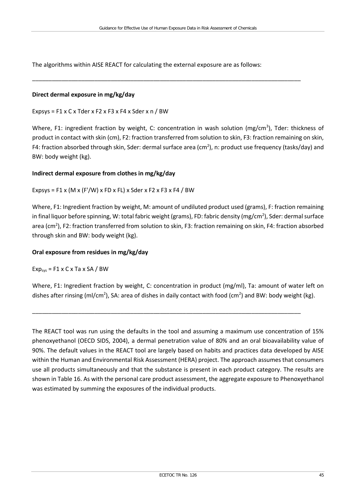\_\_\_\_\_\_\_\_\_\_\_\_\_\_\_\_\_\_\_\_\_\_\_\_\_\_\_\_\_\_\_\_\_\_\_\_\_\_\_\_\_\_\_\_\_\_\_\_\_\_\_\_\_\_\_\_\_\_\_\_\_\_\_\_\_\_\_\_\_\_\_\_\_\_\_\_\_\_\_\_\_\_

The algorithms within AISE REACT for calculating the external exposure are as follows:

#### **Direct dermal exposure in mg/kg/day**

Expsys =  $F1 x C x Tder x F2 x F3 x F4 x Sder x n / BW$ 

Where, F1: ingredient fraction by weight, C: concentration in wash solution (mg/cm<sup>3</sup>), Tder: thickness of product in contact with skin (cm), F2: fraction transferred from solution to skin, F3: fraction remaining on skin, F4: fraction absorbed through skin, Sder: dermal surface area (cm<sup>2</sup>), n: product use frequency (tasks/day) and BW: body weight (kg).

#### **Indirect dermal exposure from clothes in mg/kg/day**

Expsys = F1 x (M x (F'/W) x FD x FL) x Sder x F2 x F3 x F4 / BW

Where, F1: Ingredient fraction by weight, M: amount of undiluted product used (grams), F: fraction remaining in final liquor before spinning, W: total fabric weight (grams), FD: fabric density (mg/cm<sup>2</sup>), Sder: dermal surface area (cm<sup>2</sup>), F2: fraction transferred from solution to skin, F3: fraction remaining on skin, F4: fraction absorbed through skin and BW: body weight (kg).

#### **Oral exposure from residues in mg/kg/day**

 $Exp_{sys} = F1 \times C \times Ta \times SA / BW$ 

Where, F1: Ingredient fraction by weight, C: concentration in product (mg/ml), Ta: amount of water left on dishes after rinsing (ml/cm<sup>2</sup>), SA: area of dishes in daily contact with food (cm<sup>2</sup>) and BW: body weight (kg).

\_\_\_\_\_\_\_\_\_\_\_\_\_\_\_\_\_\_\_\_\_\_\_\_\_\_\_\_\_\_\_\_\_\_\_\_\_\_\_\_\_\_\_\_\_\_\_\_\_\_\_\_\_\_\_\_\_\_\_\_\_\_\_\_\_\_\_\_\_\_\_\_\_\_\_\_\_\_\_\_\_\_

The REACT tool was run using the defaults in the tool and assuming a maximum use concentration of 15% phenoxyethanol (OECD SIDS, 2004), a dermal penetration value of 80% and an oral bioavailability value of 90%. The default values in the REACT tool are largely based on habits and practices data developed by AISE within the Human and Environmental Risk Assessment (HERA) project. The approach assumes that consumers use all products simultaneously and that the substance is present in each product category. The results are shown in Table 16. As with the personal care product assessment, the aggregate exposure to Phenoxyethanol was estimated by summing the exposures of the individual products.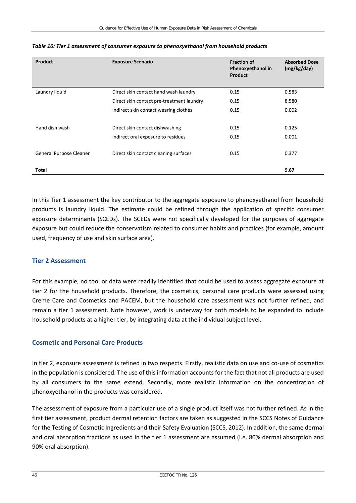| Product                 | <b>Exposure Scenario</b>                  | <b>Fraction of</b><br>Phenoxyethanol in<br><b>Product</b> | <b>Absorbed Dose</b><br>(mg/kg/day) |
|-------------------------|-------------------------------------------|-----------------------------------------------------------|-------------------------------------|
| Laundry liquid          | Direct skin contact hand wash laundry     | 0.15                                                      | 0.583                               |
|                         | Direct skin contact pre-treatment laundry | 0.15                                                      | 8.580                               |
|                         | Indirect skin contact wearing clothes     | 0.15                                                      | 0.002                               |
|                         |                                           |                                                           |                                     |
| Hand dish wash          | Direct skin contact dishwashing           | 0.15                                                      | 0.125                               |
|                         | Indirect oral exposure to residues        | 0.15                                                      | 0.001                               |
| General Purpose Cleaner | Direct skin contact cleaning surfaces     | 0.15                                                      | 0.377                               |
| Total                   |                                           |                                                           | 9.67                                |

#### *Table 16: Tier 1 assessment of consumer exposure to phenoxyethanol from household products*

In this Tier 1 assessment the key contributor to the aggregate exposure to phenoxyethanol from household products is laundry liquid. The estimate could be refined through the application of specific consumer exposure determinants (SCEDs). The SCEDs were not specifically developed for the purposes of aggregate exposure but could reduce the conservatism related to consumer habits and practices (for example, amount used, frequency of use and skin surface area).

#### **Tier 2 Assessment**

For this example, no tool or data were readily identified that could be used to assess aggregate exposure at tier 2 for the household products. Therefore, the cosmetics, personal care products were assessed using Creme Care and Cosmetics and PACEM, but the household care assessment was not further refined, and remain a tier 1 assessment. Note however, work is underway for both models to be expanded to include household products at a higher tier, by integrating data at the individual subject level.

#### **Cosmetic and Personal Care Products**

In tier 2, exposure assessment is refined in two respects. Firstly, realistic data on use and co-use of cosmetics in the population is considered. The use of this information accounts for the fact that not all products are used by all consumers to the same extend. Secondly, more realistic information on the concentration of phenoxyethanol in the products was considered.

The assessment of exposure from a particular use of a single product itself was not further refined. As in the first tier assessment, product dermal retention factors are taken as suggested in the SCCS Notes of Guidance for the Testing of Cosmetic Ingredients and their Safety Evaluation (SCCS, 2012). In addition, the same dermal and oral absorption fractions as used in the tier 1 assessment are assumed (i.e. 80% dermal absorption and 90% oral absorption).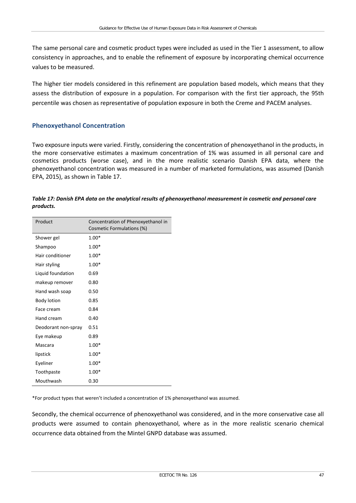The same personal care and cosmetic product types were included as used in the Tier 1 assessment, to allow consistency in approaches, and to enable the refinement of exposure by incorporating chemical occurrence values to be measured.

The higher tier models considered in this refinement are population based models, which means that they assess the distribution of exposure in a population. For comparison with the first tier approach, the 95th percentile was chosen as representative of population exposure in both the Creme and PACEM analyses.

#### **Phenoxyethanol Concentration**

Two exposure inputs were varied. Firstly, considering the concentration of phenoxyethanol in the products, in the more conservative estimates a maximum concentration of 1% was assumed in all personal care and cosmetics products (worse case), and in the more realistic scenario Danish EPA data, where the phenoxyethanol concentration was measured in a number of marketed formulations, was assumed (Danish EPA, 2015), as shown in Table 17.

| Table 17: Danish EPA data on the analytical results of phenoxyethanol measurement in cosmetic and personal care |  |
|-----------------------------------------------------------------------------------------------------------------|--|
| products.                                                                                                       |  |

| Product             | Concentration of Phenoxyethanol in<br>Cosmetic Formulations (%) |
|---------------------|-----------------------------------------------------------------|
| Shower gel          | $1.00*$                                                         |
| Shampoo             | $1.00*$                                                         |
| Hair conditioner    | $1.00*$                                                         |
| Hair styling        | $1.00*$                                                         |
| Liquid foundation   | 0.69                                                            |
| makeup remover      | 0.80                                                            |
| Hand wash soap      | 0.50                                                            |
| Body lotion         | 0.85                                                            |
| Face cream          | 0.84                                                            |
| Hand cream          | 0.40                                                            |
| Deodorant non-spray | 0.51                                                            |
| Eye makeup          | 0.89                                                            |
| Mascara             | $1.00*$                                                         |
| lipstick            | $1.00*$                                                         |
| Eyeliner            | $1.00*$                                                         |
| Toothpaste          | $1.00*$                                                         |
| Mouthwash           | 0.30                                                            |

\*For product types that weren't included a concentration of 1% phenoxyethanol was assumed.

Secondly, the chemical occurrence of phenoxyethanol was considered, and in the more conservative case all products were assumed to contain phenoxyethanol, where as in the more realistic scenario chemical occurrence data obtained from the Mintel GNPD database was assumed.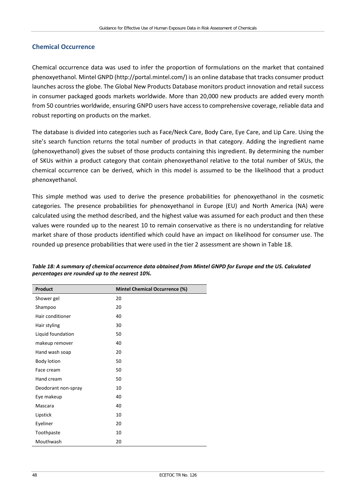#### **Chemical Occurrence**

Chemical occurrence data was used to infer the proportion of formulations on the market that contained phenoxyethanol. Mintel GNPD [\(http://portal.mintel.com/\)](http://portal.mintel.com/) is an online database that tracks consumer product launches across the globe. The Global New Products Database monitors product innovation and retail success in consumer packaged goods markets worldwide. More than 20,000 new products are added every month from 50 countries worldwide, ensuring GNPD users have access to comprehensive coverage, reliable data and robust reporting on products on the market.

The database is divided into categories such as Face/Neck Care, Body Care, Eye Care, and Lip Care. Using the site's search function returns the total number of products in that category. Adding the ingredient name (phenoxyethanol) gives the subset of those products containing this ingredient. By determining the number of SKUs within a product category that contain phenoxyethanol relative to the total number of SKUs, the chemical occurrence can be derived, which in this model is assumed to be the likelihood that a product phenoxyethanol.

This simple method was used to derive the presence probabilities for phenoxyethanol in the cosmetic categories. The presence probabilities for phenoxyethanol in Europe (EU) and North America (NA) were calculated using the method described, and the highest value was assumed for each product and then these values were rounded up to the nearest 10 to remain conservative as there is no understanding for relative market share of those products identified which could have an impact on likelihood for consumer use. The rounded up presence probabilities that were used in the tier 2 assessment are shown in Table 18.

| <b>Product</b>      | <b>Mintel Chemical Occurrence (%)</b> |
|---------------------|---------------------------------------|
| Shower gel          | 20                                    |
| Shampoo             | 20                                    |
| Hair conditioner    | 40                                    |
| Hair styling        | 30                                    |
| Liquid foundation   | 50                                    |
| makeup remover      | 40                                    |
| Hand wash soap      | 20                                    |
| Body lotion         | 50                                    |
| Face cream          | 50                                    |
| Hand cream          | 50                                    |
| Deodorant non-spray | 10                                    |
| Eye makeup          | 40                                    |
| Mascara             | 40                                    |
| Lipstick            | 10                                    |
| Eyeliner            | 20                                    |
| Toothpaste          | 10                                    |
| Mouthwash           | 20                                    |

*Table 18: A summary of chemical occurrence data obtained from Mintel GNPD for Europe and the US. Calculated percentages are rounded up to the nearest 10%.*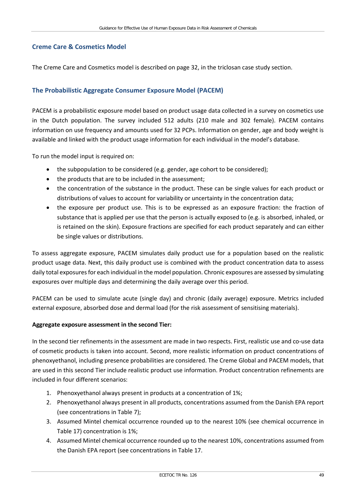#### **Creme Care & Cosmetics Model**

The Creme Care and Cosmetics model is described on page 32, in the triclosan case study section.

#### **The Probabilistic Aggregate Consumer Exposure Model (PACEM)**

PACEM is a probabilistic exposure model based on product usage data collected in a survey on cosmetics use in the Dutch population. The survey included 512 adults (210 male and 302 female). PACEM contains information on use frequency and amounts used for 32 PCPs. Information on gender, age and body weight is available and linked with the product usage information for each individual in the model's database.

To run the model input is required on:

- the subpopulation to be considered (e.g. gender, age cohort to be considered);
- the products that are to be included in the assessment;
- the concentration of the substance in the product. These can be single values for each product or distributions of values to account for variability or uncertainty in the concentration data;
- the exposure per product use. This is to be expressed as an exposure fraction: the fraction of substance that is applied per use that the person is actually exposed to (e.g. is absorbed, inhaled, or is retained on the skin). Exposure fractions are specified for each product separately and can either be single values or distributions.

To assess aggregate exposure, PACEM simulates daily product use for a population based on the realistic product usage data. Next, this daily product use is combined with the product concentration data to assess daily total exposures for each individual in the model population. Chronic exposures are assessed by simulating exposures over multiple days and determining the daily average over this period.

PACEM can be used to simulate acute (single day) and chronic (daily average) exposure. Metrics included external exposure, absorbed dose and dermal load (for the risk assessment of sensitising materials).

#### **Aggregate exposure assessment in the second Tier:**

In the second tier refinements in the assessment are made in two respects. First, realistic use and co-use data of cosmetic products is taken into account. Second, more realistic information on product concentrations of phenoxyethanol, including presence probabilities are considered. The Creme Global and PACEM models, that are used in this second Tier include realistic product use information. Product concentration refinements are included in four different scenarios:

- 1. Phenoxyethanol always present in products at a concentration of 1%;
- 2. Phenoxyethanol always present in all products, concentrations assumed from the Danish EPA report (see concentrations in Table 7);
- 3. Assumed Mintel chemical occurrence rounded up to the nearest 10% (see chemical occurrence in Table 17) concentration is 1%;
- 4. Assumed Mintel chemical occurrence rounded up to the nearest 10%, concentrations assumed from the Danish EPA report (see concentrations in Table 17.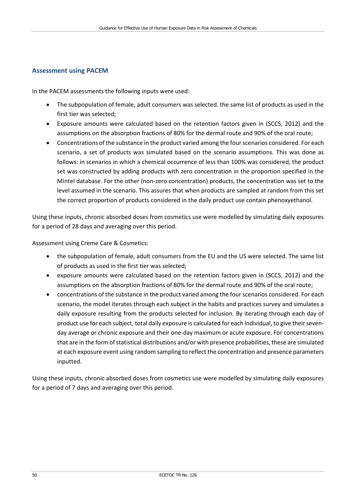#### **Assessment using PACEM**

In the PACEM assessments the following inputs were used:

- The subpopulation of female, adult consumers was selected. the same list of products as used in the first tier was selected;
- Exposure amounts were calculated based on the retention factors given in (SCCS, 2012) and the assumptions on the absorption fractions of 80% for the dermal route and 90% of the oral route;
- Concentrations of the substance in the product varied among the four scenarios considered. For each scenario, a set of products was simulated based on the scenario assumptions. This was done as follows: in scenarios in which a chemical occurrence of less than 100% was considered, the product set was constructed by adding products with zero concentration in the proportion specified in the Mintel database. For the other (non-zero concentration) products, the concentration was set to the level assumed in the scenario. This assures that when products are sampled at random from this set the correct proportion of products considered in the daily product use contain phenoxyethanol.

Using these inputs, chronic absorbed doses from cosmetics use were modelled by simulating daily exposures for a period of 28 days and averaging over this period.

Assessment using Creme Care & Cosmetics:

- the subpopulation of female, adult consumers from the EU and the US were selected. The same list of products as used in the first tier was selected;
- exposure amounts were calculated based on the retention factors given in (SCCS, 2012) and the assumptions on the absorption fractions of 80% for the dermal route and 90% of the oral route;
- concentrations of the substance in the product varied among the four scenarios considered. For each scenario, the model iterates through each subject in the habits and practices survey and simulates a daily exposure resulting from the products selected for inclusion. By iterating through each day of product use for each subject, total daily exposure is calculated for each individual, to give their sevenday average or chronic exposure and their one-day maximum or acute exposure. For concentrations that are in the form of statistical distributions and/or with presence probabilities, these are simulated at each exposure event using random sampling to reflect the concentration and presence parameters inputted.

Using these inputs, chronic absorbed doses from cosmetics use were modelled by simulating daily exposures for a period of 7 days and averaging over this period.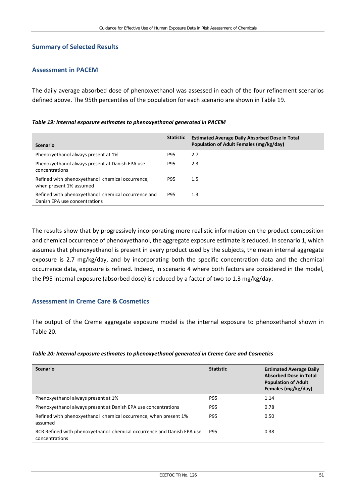#### **Summary of Selected Results**

#### **Assessment in PACEM**

The daily average absorbed dose of phenoxyethanol was assessed in each of the four refinement scenarios defined above. The 95th percentiles of the population for each scenario are shown in Table 19.

| Table 19: Internal exposure estimates to phenoxyethanol generated in PACEM |  |  |
|----------------------------------------------------------------------------|--|--|
|----------------------------------------------------------------------------|--|--|

| <b>Scenario</b>                                                                      | <b>Statistic</b> | <b>Estimated Average Daily Absorbed Dose in Total</b><br>Population of Adult Females (mg/kg/day) |
|--------------------------------------------------------------------------------------|------------------|--------------------------------------------------------------------------------------------------|
| Phenoxyethanol always present at 1%                                                  | P95              | 2.7                                                                                              |
| Phenoxyethanol always present at Danish EPA use<br>concentrations                    | P95              | 2.3                                                                                              |
| Refined with phenoxyethanol chemical occurrence,<br>when present 1% assumed          | P95              | 1.5                                                                                              |
| Refined with phenoxyethanol chemical occurrence and<br>Danish EPA use concentrations | P95              | 1.3                                                                                              |

The results show that by progressively incorporating more realistic information on the product composition and chemical occurrence of phenoxyethanol, the aggregate exposure estimate is reduced. In scenario 1, which assumes that phenoxyethanol is present in every product used by the subjects, the mean internal aggregate exposure is 2.7 mg/kg/day, and by incorporating both the specific concentration data and the chemical occurrence data, exposure is refined. Indeed, in scenario 4 where both factors are considered in the model, the P95 internal exposure (absorbed dose) is reduced by a factor of two to 1.3 mg/kg/day.

#### **Assessment in Creme Care & Cosmetics**

The output of the Creme aggregate exposure model is the internal exposure to phenoxethanol shown in Table 20.

#### *Table 20: Internal exposure estimates to phenoxyethanol generated in Creme Care and Cosmetics*

| <b>Scenario</b>                                                                          | <b>Statistic</b> | <b>Estimated Average Daily</b><br><b>Absorbed Dose in Total</b><br><b>Population of Adult</b><br>Females (mg/kg/day) |
|------------------------------------------------------------------------------------------|------------------|----------------------------------------------------------------------------------------------------------------------|
| Phenoxyethanol always present at 1%                                                      | P95              | 1.14                                                                                                                 |
| Phenoxyethanol always present at Danish EPA use concentrations                           | <b>P95</b>       | 0.78                                                                                                                 |
| Refined with phenoxyethanol chemical occurrence, when present 1%<br>assumed              | <b>P95</b>       | 0.50                                                                                                                 |
| RCR Refined with phenoxyethanol chemical occurrence and Danish EPA use<br>concentrations | <b>P95</b>       | 0.38                                                                                                                 |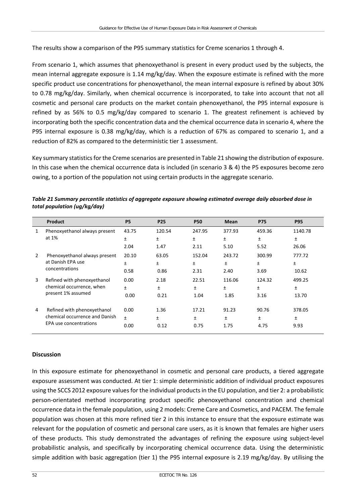The results show a comparison of the P95 summary statistics for Creme scenarios 1 through 4.

From scenario 1, which assumes that phenoxyethanol is present in every product used by the subjects, the mean internal aggregate exposure is 1.14 mg/kg/day. When the exposure estimate is refined with the more specific product use concentrations for phenoxyethanol, the mean internal exposure is refined by about 30% to 0.78 mg/kg/day. Similarly, when chemical occurrence is incorporated, to take into account that not all cosmetic and personal care products on the market contain phenoxyethanol, the P95 internal exposure is refined by as 56% to 0.5 mg/kg/day compared to scenario 1. The greatest refinement is achieved by incorporating both the specific concentration data and the chemical occurrence data in scenario 4, where the P95 internal exposure is 0.38 mg/kg/day, which is a reduction of 67% as compared to scenario 1, and a reduction of 82% as compared to the deterministic tier 1 assessment.

Key summary statistics for the Creme scenarios are presented in Table 21 showing the distribution of exposure. In this case when the chemical occurrence data is included (in scenario 3 & 4) the P5 exposures become zero owing, to a portion of the population not using certain products in the aggregate scenario.

|   | <b>Product</b>                                                                 | <b>P5</b> | <b>P25</b> | <b>P50</b> | <b>Mean</b> | <b>P75</b> | <b>P95</b> |
|---|--------------------------------------------------------------------------------|-----------|------------|------------|-------------|------------|------------|
| 1 | Phenoxyethanol always present                                                  | 43.75     | 120.54     | 247.95     | 377.93      | 459.36     | 1140.78    |
|   | at 1%                                                                          | $\pm$     | Ŧ          | Ŧ          | Ŧ           | Ŧ          | Ŧ.         |
|   |                                                                                | 2.04      | 1.47       | 2.11       | 5.10        | 5.52       | 26.06      |
| 2 | Phenoxyethanol always present                                                  | 20.10     | 63.05      | 152.04     | 243.72      | 300.99     | 777.72     |
|   | at Danish EPA use                                                              | Ŧ         | Ŧ          | Ŧ          | Ŧ.          | Ŧ          | Ŧ          |
|   | concentrations                                                                 | 0.58      | 0.86       | 2.31       | 2.40        | 3.69       | 10.62      |
| 3 | Refined with phenoxyethanol<br>chemical occurrence, when<br>present 1% assumed | 0.00      | 2.18       | 22.51      | 116.06      | 124.32     | 499.25     |
|   |                                                                                | $\pm$     | Ŧ          | Ŧ          | Ŧ           | Ŧ          | Ŧ          |
|   |                                                                                | 0.00      | 0.21       | 1.04       | 1.85        | 3.16       | 13.70      |
| 4 | Refined with phenoxyethanol                                                    | 0.00      | 1.36       | 17.21      | 91.23       | 90.76      | 378.05     |
|   | chemical occurrence and Danish                                                 | $\ddot{}$ | Ŧ.         | Ŧ          | Ŧ           | Ŧ          | Ŧ          |
|   | EPA use concentrations                                                         | 0.00      | 0.12       | 0.75       | 1.75        | 4.75       | 9.93       |

| Table 21 Summary percentile statistics of aggregate exposure showing estimated average daily absorbed dose in |
|---------------------------------------------------------------------------------------------------------------|
| total population (ug/kg/day)                                                                                  |

#### **Discussion**

In this exposure estimate for phenoxyethanol in cosmetic and personal care products, a tiered aggregate exposure assessment was conducted. At tier 1: simple deterministic addition of individual product exposures using the SCCS 2012 exposure values for the individual products in the EU population, and tier 2: a probabilistic person-orientated method incorporating product specific phenoxyethanol concentration and chemical occurrence data in the female population, using 2 models: Creme Care and Cosmetics, and PACEM. The female population was chosen at this more refined tier 2 in this instance to ensure that the exposure estimate was relevant for the population of cosmetic and personal care users, as it is known that females are higher users of these products. This study demonstrated the advantages of refining the exposure using subject-level probabilistic analysis, and specifically by incorporating chemical occurrence data. Using the deterministic simple addition with basic aggregation (tier 1) the P95 internal exposure is 2.19 mg/kg/day. By utilising the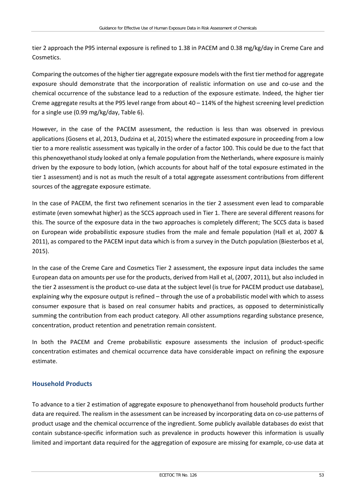tier 2 approach the P95 internal exposure is refined to 1.38 in PACEM and 0.38 mg/kg/day in Creme Care and Cosmetics.

Comparing the outcomes of the higher tier aggregate exposure models with the first tier method for aggregate exposure should demonstrate that the incorporation of realistic information on use and co-use and the chemical occurrence of the substance lead to a reduction of the exposure estimate. Indeed, the higher tier Creme aggregate results at the P95 level range from about 40 – 114% of the highest screening level prediction for a single use (0.99 mg/kg/day, Table 6).

However, in the case of the PACEM assessment, the reduction is less than was observed in previous applications (Gosens et al, 2013, Dudzina et al, 2015) where the estimated exposure in proceeding from a low tier to a more realistic assessment was typically in the order of a factor 100. This could be due to the fact that this phenoxyethanol study looked at only a female population from the Netherlands, where exposure is mainly driven by the exposure to body lotion, (which accounts for about half of the total exposure estimated in the tier 1 assessment) and is not as much the result of a total aggregate assessment contributions from different sources of the aggregate exposure estimate.

In the case of PACEM, the first two refinement scenarios in the tier 2 assessment even lead to comparable estimate (even somewhat higher) as the SCCS approach used in Tier 1. There are several different reasons for this. The source of the exposure data in the two approaches is completely different; The SCCS data is based on European wide probabilistic exposure studies from the male and female population (Hall et al, 2007 & 2011), as compared to the PACEM input data which is from a survey in the Dutch population (Biesterbos et al, 2015).

In the case of the Creme Care and Cosmetics Tier 2 assessment, the exposure input data includes the same European data on amounts per use for the products, derived from Hall et al, (2007, 2011), but also included in the tier 2 assessment is the product co-use data at the subject level (is true for PACEM product use database), explaining why the exposure output is refined – through the use of a probabilistic model with which to assess consumer exposure that is based on real consumer habits and practices, as opposed to deterministically summing the contribution from each product category. All other assumptions regarding substance presence, concentration, product retention and penetration remain consistent.

In both the PACEM and Creme probabilistic exposure assessments the inclusion of product-specific concentration estimates and chemical occurrence data have considerable impact on refining the exposure estimate.

#### **Household Products**

To advance to a tier 2 estimation of aggregate exposure to phenoxyethanol from household products further data are required. The realism in the assessment can be increased by incorporating data on co-use patterns of product usage and the chemical occurrence of the ingredient. Some publicly available databases do exist that contain substance-specific information such as prevalence in products however this information is usually limited and important data required for the aggregation of exposure are missing for example, co-use data at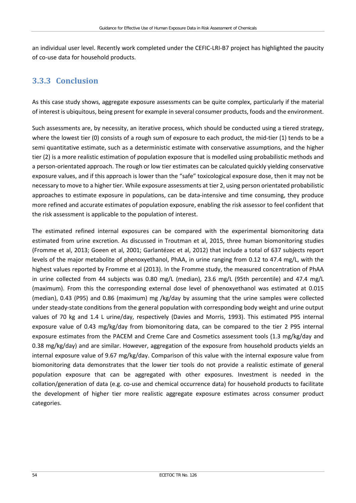an individual user level. Recently work completed under the CEFIC-LRI-B7 project has highlighted the paucity of co-use data for household products.

### **3.3.3 Conclusion**

As this case study shows, aggregate exposure assessments can be quite complex, particularly if the material of interest is ubiquitous, being present for example in several consumer products, foods and the environment.

Such assessments are, by necessity, an iterative process, which should be conducted using a tiered strategy, where the lowest tier (0) consists of a rough sum of exposure to each product, the mid-tier (1) tends to be a semi quantitative estimate, such as a deterministic estimate with conservative assumptions, and the higher tier (2) is a more realistic estimation of population exposure that is modelled using probabilistic methods and a person-orientated approach. The rough or low tier estimates can be calculated quickly yielding conservative exposure values, and if this approach is lower than the "safe" toxicological exposure dose, then it may not be necessary to move to a higher tier. While exposure assessments at tier 2, using person orientated probabilistic approaches to estimate exposure in populations, can be data-intensive and time consuming, they produce more refined and accurate estimates of population exposure, enabling the risk assessor to feel confident that the risk assessment is applicable to the population of interest.

The estimated refined internal exposures can be compared with the experimental biomonitoring data estimated from urine excretion. As discussed in Troutman et al, 2015, three human biomonitoring studies (Fromme et al, 2013; Goeen et al, 2001; Garlantézec et al, 2012) that include a total of 637 subjects report levels of the major metabolite of phenoxyethanol, PhAA, in urine ranging from 0.12 to 47.4 mg/L, with the highest values reported by Fromme et al (2013). In the Fromme study, the measured concentration of PhAA in urine collected from 44 subjects was 0.80 mg/L (median), 23.6 mg/L (95th percentile) and 47.4 mg/L (maximum). From this the corresponding external dose level of phenoxyethanol was estimated at 0.015 (median), 0.43 (P95) and 0.86 (maximum) mg /kg/day by assuming that the urine samples were collected under steady-state conditions from the general population with corresponding body weight and urine output values of 70 kg and 1.4 L urine/day, respectively (Davies and Morris, 1993). This estimated P95 internal exposure value of 0.43 mg/kg/day from biomonitoring data, can be compared to the tier 2 P95 internal exposure estimates from the PACEM and Creme Care and Cosmetics assessment tools (1.3 mg/kg/day and 0.38 mg/kg/day) and are similar. However, aggregation of the exposure from household products yields an internal exposure value of 9.67 mg/kg/day. Comparison of this value with the internal exposure value from biomonitoring data demonstrates that the lower tier tools do not provide a realistic estimate of general population exposure that can be aggregated with other exposures. Investment is needed in the collation/generation of data (e.g. co-use and chemical occurrence data) for household products to facilitate the development of higher tier more realistic aggregate exposure estimates across consumer product categories.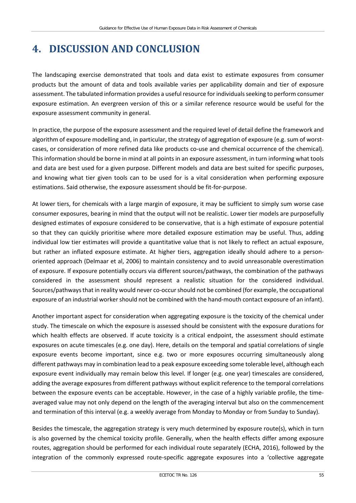# **4. DISCUSSION AND CONCLUSION**

The landscaping exercise demonstrated that tools and data exist to estimate exposures from consumer products but the amount of data and tools available varies per applicability domain and tier of exposure assessment. The tabulated information provides a useful resource for individuals seeking to perform consumer exposure estimation. An evergreen version of this or a similar reference resource would be useful for the exposure assessment community in general.

In practice, the purpose of the exposure assessment and the required level of detail define the framework and algorithm of exposure modelling and, in particular, the strategy of aggregation of exposure (e.g. sum of worstcases, or consideration of more refined data like products co-use and chemical occurrence of the chemical). This information should be borne in mind at all points in an exposure assessment, in turn informing what tools and data are best used for a given purpose. Different models and data are best suited for specific purposes, and knowing what tier given tools can to be used for is a vital consideration when performing exposure estimations. Said otherwise, the exposure assessment should be fit-for-purpose.

At lower tiers, for chemicals with a large margin of exposure, it may be sufficient to simply sum worse case consumer exposures, bearing in mind that the output will not be realistic. Lower tier models are purposefully designed estimates of exposure considered to be conservative, that is a high estimate of exposure potential so that they can quickly prioritise where more detailed exposure estimation may be useful. Thus, adding individual low tier estimates will provide a quantitative value that is not likely to reflect an actual exposure, but rather an inflated exposure estimate. At higher tiers, aggregation ideally should adhere to a personoriented approach (Delmaar et al, 2006) to maintain consistency and to avoid unreasonable overestimation of exposure. If exposure potentially occurs via different sources/pathways, the combination of the pathways considered in the assessment should represent a realistic situation for the considered individual. Sources/pathways that in reality would never co-occur should not be combined (for example, the occupational exposure of an industrial worker should not be combined with the hand-mouth contact exposure of an infant).

Another important aspect for consideration when aggregating exposure is the toxicity of the chemical under study. The timescale on which the exposure is assessed should be consistent with the exposure durations for which health effects are observed. If acute toxicity is a critical endpoint, the assessment should estimate exposures on acute timescales (e.g. one day). Here, details on the temporal and spatial correlations of single exposure events become important, since e.g. two or more exposures occurring simultaneously along different pathways may in combination lead to a peak exposure exceeding some tolerable level, although each exposure event individually may remain below this level. If longer (e.g. one year) timescales are considered, adding the average exposures from different pathways without explicit reference to the temporal correlations between the exposure events can be acceptable. However, in the case of a highly variable profile, the timeaveraged value may not only depend on the length of the averaging interval but also on the commencement and termination of this interval (e.g. a weekly average from Monday to Monday or from Sunday to Sunday).

Besides the timescale, the aggregation strategy is very much determined by exposure route(s), which in turn is also governed by the chemical toxicity profile. Generally, when the health effects differ among exposure routes, aggregation should be performed for each individual route separately (ECHA, 2016), followed by the integration of the commonly expressed route-specific aggregate exposures into a 'collective aggregate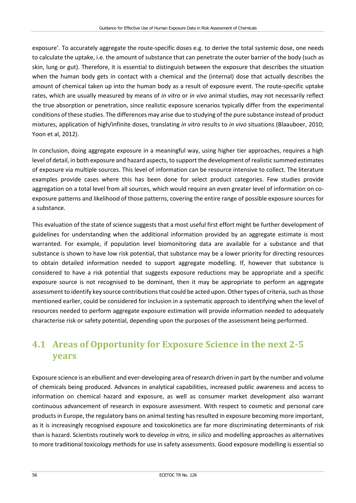exposure'. To accurately aggregate the route-specific doses e.g. to derive the total systemic dose, one needs to calculate the uptake, i.e. the amount of substance that can penetrate the outer barrier of the body (such as skin, lung or gut). Therefore, it is essential to distinguish between the exposure that describes the situation when the human body gets in contact with a chemical and the (internal) dose that actually describes the amount of chemical taken up into the human body as a result of exposure event. The route-specific uptake rates, which are usually measured by means of *in vitro* or *in vivo* animal studies, may not necessarily reflect the true absorption or penetration, since realistic exposure scenarios typically differ from the experimental conditions of these studies. The differences may arise due to studying of the pure substance instead of product mixtures, application of high/infinite doses, translating *in vitro* results to *in vivo* situations (Blaauboer, 2010; Yoon et al, 2012).

In conclusion, doing aggregate exposure in a meaningful way, using higher tier approaches, requires a high level of detail, in both exposure and hazard aspects, to support the development of realistic summed estimates of exposure via multiple sources. This level of information can be resource intensive to collect. The literature examples provide cases where this has been done for select product categories. Few studies provide aggregation on a total level from all sources, which would require an even greater level of information on coexposure patterns and likelihood of those patterns, covering the entire range of possible exposure sources for a substance.

This evaluation of the state of science suggests that a most useful first effort might be further development of guidelines for understanding when the additional information provided by an aggregate estimate is most warranted. For example, if population level biomonitoring data are available for a substance and that substance is shown to have low risk potential, that substance may be a lower priority for directing resources to obtain detailed information needed to support aggregate modelling. If, however that substance is considered to have a risk potential that suggests exposure reductions may be appropriate and a specific exposure source is not recognised to be dominant, then it may be appropriate to perform an aggregate assessment to identify key source contributions that could be acted upon. Other types of criteria, such as those mentioned earlier, could be considered for inclusion in a systematic approach to identifying when the level of resources needed to perform aggregate exposure estimation will provide information needed to adequately characterise risk or safety potential, depending upon the purposes of the assessment being performed.

# **4.1 Areas of Opportunity for Exposure Science in the next 2-5 years**

Exposure science is an ebullient and ever-developing area of research driven in part by the number and volume of chemicals being produced. Advances in analytical capabilities, increased public awareness and access to information on chemical hazard and exposure, as well as consumer market development also warrant continuous advancement of research in exposure assessment. With respect to cosmetic and personal care products in Europe, the regulatory bans on animal testing has resulted in exposure becoming more important, as it is increasingly recognised exposure and toxicokinetics are far more discriminating determinants of risk than is hazard. Scientists routinely work to develop *in vitro, in silico* and modelling approaches as alternatives to more traditional toxicology methods for use in safety assessments. Good exposure modelling is essential so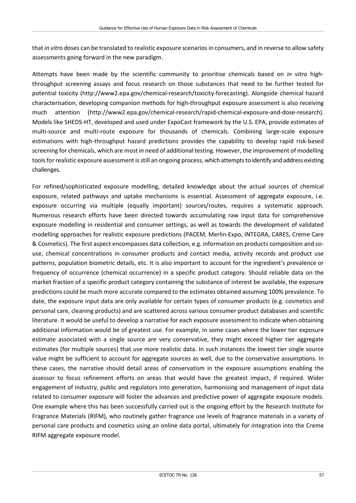that *in vitro* doses can be translated to realistic exposure scenarios in consumers, and in reverse to allow safety assessments going forward in the new paradigm.

Attempts have been made by the scientific community to prioritise chemicals based on *in vitro* highthroughput screening assays and focus research on those substances that need to be further tested for potential toxicity [\(http://www2.epa.gov/chemical-research/toxicity-forecasting\)](http://www2.epa.gov/chemical-research/toxicity-forecasting). Alongside chemical hazard characterisation, developing companion methods for high-throughput exposure assessment is also receiving much attention [\(http://www2.epa.gov/chemical-research/rapid-chemical-exposure-and-dose-research\)](http://www2.epa.gov/chemical-research/rapid-chemical-exposure-and-dose-research). Models like SHEDS-HT, developed and used under ExpoCast framework by the U.S. EPA, provide estimates of multi-source and multi-route exposure for thousands of chemicals. Combining large-scale exposure estimations with high-throughput hazard predictions provides the capability to develop rapid risk-based screening for chemicals, which are most in need of additional testing. However, the improvement of modelling tools for realistic exposure assessment is still an ongoing process, which attempts to identify and address existing challenges.

For refined/sophisticated exposure modelling, detailed knowledge about the actual sources of chemical exposure, related pathways and uptake mechanisms is essential. Assessment of aggregate exposure, i.e. exposure occurring via multiple (equally important) sources/routes, requires a systematic approach. Numerous research efforts have been directed towards accumulating raw input data for comprehensive exposure modelling in residential and consumer settings, as well as towards the development of validated modelling approaches for realistic exposure predictions (PACEM, Merlin-Expo, INTEGRA, CARES, Creme Care & Cosmetics). The first aspect encompasses data collection, e.g. information on products composition and couse, chemical concentrations in consumer products and contact media, activity records and product use patterns, population biometric details, etc. It is also important to account for the ingredient's prevalence or frequency of occurrence (chemical occurrence) in a specific product category. Should reliable data on the market fraction of a specific product category containing the substance of interest be available, the exposure predictions could be much more accurate compared to the estimates obtained assuming 100% prevalence. To date, the exposure input data are only available for certain types of consumer products (e.g. cosmetics and personal care, cleaning products) and are scattered across various consumer product databases and scientific literature. It would be useful to develop a narrative for each exposure assessment to indicate when obtaining additional information would be of greatest use. For example, in some cases where the lower tier exposure estimate associated with a single source are very conservative, they might exceed higher tier aggregate estimates (for multiple sources) that use more realistic data. In such instances the lowest tier single source value might be sufficient to account for aggregate sources as well, due to the conservative assumptions. In these cases, the narrative should detail areas of conservatism in the exposure assumptions enabling the assessor to focus refinement efforts on areas that would have the greatest impact, if required. Wider engagement of industry, public and regulators into generation, harmonising and management of input data related to consumer exposure will foster the advances and predictive power of aggregate exposure models. One example where this has been successfully carried out is the ongoing effort by the Research Institute for Fragrance Materials (RIFM), who routinely gather fragrance use levels of fragrance materials in a variety of personal care products and cosmetics using an online data portal, ultimately for integration into the Creme RIFM aggregate exposure model.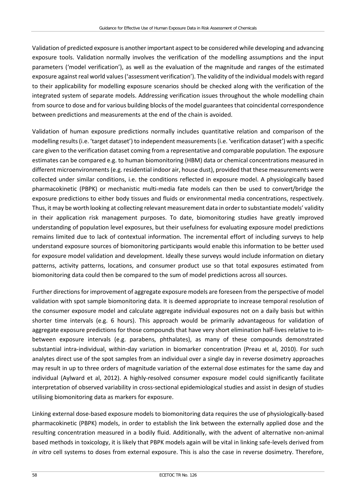Validation of predicted exposure is another important aspect to be considered while developing and advancing exposure tools. Validation normally involves the verification of the modelling assumptions and the input parameters ('model verification'), as well as the evaluation of the magnitude and ranges of the estimated exposure against real world values ('assessment verification'). The validity of the individual models with regard to their applicability for modelling exposure scenarios should be checked along with the verification of the integrated system of separate models. Addressing verification issues throughout the whole modelling chain from source to dose and for various building blocks of the model guarantees that coincidental correspondence between predictions and measurements at the end of the chain is avoided.

Validation of human exposure predictions normally includes quantitative relation and comparison of the modelling results (i.e. 'target dataset') to independent measurements (i.e. 'verification dataset') with a specific care given to the verification dataset coming from a representative and comparable population. The exposure estimates can be compared e.g. to human biomonitoring (HBM) data or chemical concentrations measured in different microenvironments (e.g. residential indoor air, house dust), provided that these measurements were collected under similar conditions, i.e. the conditions reflected in exposure model. A physiologically based pharmacokinetic (PBPK) or mechanistic multi-media fate models can then be used to convert/bridge the exposure predictions to either body tissues and fluids or environmental media concentrations, respectively. Thus, it may be worth looking at collecting relevant measurement data in order to substantiate models' validity in their application risk management purposes. To date, biomonitoring studies have greatly improved understanding of population level exposures, but their usefulness for evaluating exposure model predictions remains limited due to lack of contextual information. The incremental effort of including surveys to help understand exposure sources of biomonitoring participants would enable this information to be better used for exposure model validation and development. Ideally these surveys would include information on dietary patterns, activity patterns, locations, and consumer product use so that total exposures estimated from biomonitoring data could then be compared to the sum of model predictions across all sources.

Further directions for improvement of aggregate exposure models are foreseen from the perspective of model validation with spot sample biomonitoring data. It is deemed appropriate to increase temporal resolution of the consumer exposure model and calculate aggregate individual exposures not on a daily basis but within shorter time intervals (e.g. 6 hours). This approach would be primarily advantageous for validation of aggregate exposure predictions for those compounds that have very short elimination half-lives relative to inbetween exposure intervals (e.g. parabens, phthalates), as many of these compounds demonstrated substantial intra-individual, within-day variation in biomarker concentration (Preau et al, 2010). For such analytes direct use of the spot samples from an individual over a single day in reverse dosimetry approaches may result in up to three orders of magnitude variation of the external dose estimates for the same day and individual (Aylward et al, 2012). A highly-resolved consumer exposure model could significantly facilitate interpretation of observed variability in cross-sectional epidemiological studies and assist in design of studies utilising biomonitoring data as markers for exposure.

Linking external dose-based exposure models to biomonitoring data requires the use of physiologically-based pharmacokinetic (PBPK) models, in order to establish the link between the externally applied dose and the resulting concentration measured in a bodily fluid. Additionally, with the advent of alternative non-animal based methods in toxicology, it is likely that PBPK models again will be vital in linking safe-levels derived from *in vitro* cell systems to doses from external exposure. This is also the case in reverse dosimetry. Therefore,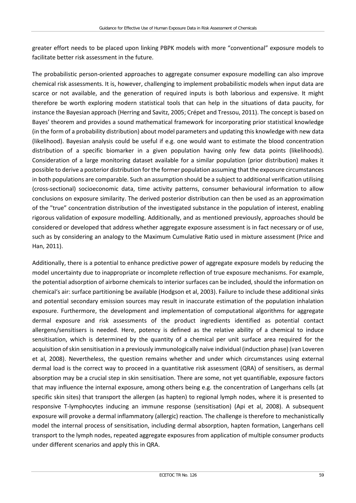greater effort needs to be placed upon linking PBPK models with more "conventional" exposure models to facilitate better risk assessment in the future.

The probabilistic person-oriented approaches to aggregate consumer exposure modelling can also improve chemical risk assessments. It is, however, challenging to implement probabilistic models when input data are scarce or not available, and the generation of required inputs is both laborious and expensive. It might therefore be worth exploring modern statistical tools that can help in the situations of data paucity, for instance the Bayesian approach (Herring and Savitz, 2005; Crépet and Tressou, 2011). The concept is based on Bayes' theorem and provides a sound mathematical framework for incorporating prior statistical knowledge (in the form of a probability distribution) about model parameters and updating this knowledge with new data (likelihood). Bayesian analysis could be useful if e.g. one would want to estimate the blood concentration distribution of a specific biomarker in a given population having only few data points (likelihoods). Consideration of a large monitoring dataset available for a similar population (prior distribution) makes it possible to derive a posterior distribution for the former population assuming that the exposure circumstances in both populations are comparable. Such an assumption should be a subject to additional verification utilising (cross-sectional) socioeconomic data, time activity patterns, consumer behavioural information to allow conclusions on exposure similarity. The derived posterior distribution can then be used as an approximation of the "true" concentration distribution of the investigated substance in the population of interest, enabling rigorous validation of exposure modelling. Additionally, and as mentioned previously, approaches should be considered or developed that address whether aggregate exposure assessment is in fact necessary or of use, such as by considering an analogy to the Maximum Cumulative Ratio used in mixture assessment (Price and Han, 2011).

Additionally, there is a potential to enhance predictive power of aggregate exposure models by reducing the model uncertainty due to inappropriate or incomplete reflection of true exposure mechanisms. For example, the potential adsorption of airborne chemicals to interior surfaces can be included, should the information on chemical's air: surface partitioning be available (Hodgson et al, 2003). Failure to include these additional sinks and potential secondary emission sources may result in inaccurate estimation of the population inhalation exposure. Furthermore, the development and implementation of computational algorithms for aggregate dermal exposure and risk assessments of the product ingredients identified as potential contact allergens/sensitisers is needed. Here, potency is defined as the relative ability of a chemical to induce sensitisation, which is determined by the quantity of a chemical per unit surface area required for the acquisition of skin sensitisation in a previously immunologically naive individual (induction phase) (van Loveren et al, 2008). Nevertheless, the question remains whether and under which circumstances using external dermal load is the correct way to proceed in a quantitative risk assessment (QRA) of sensitisers, as dermal absorption may be a crucial step in skin sensitisation. There are some, not yet quantifiable, exposure factors that may influence the internal exposure, among others being e.g. the concentration of Langerhans cells (at specific skin sites) that transport the allergen (as hapten) to regional lymph nodes, where it is presented to responsive T-lymphocytes inducing an immune response (sensitisation) (Api et al, 2008). A subsequent exposure will provoke a dermal inflammatory (allergic) reaction. The challenge is therefore to mechanistically model the internal process of sensitisation, including dermal absorption, hapten formation, Langerhans cell transport to the lymph nodes, repeated aggregate exposures from application of multiple consumer products under different scenarios and apply this in QRA.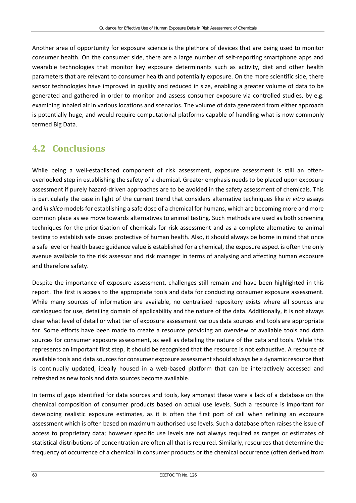Another area of opportunity for exposure science is the plethora of devices that are being used to monitor consumer health. On the consumer side, there are a large number of self-reporting smartphone apps and wearable technologies that monitor key exposure determinants such as activity, diet and other health parameters that are relevant to consumer health and potentially exposure. On the more scientific side, there sensor technologies have improved in quality and reduced in size, enabling a greater volume of data to be generated and gathered in order to monitor and assess consumer exposure via controlled studies, by e.g. examining inhaled air in various locations and scenarios. The volume of data generated from either approach is potentially huge, and would require computational platforms capable of handling what is now commonly termed Big Data.

### **4.2 Conclusions**

While being a well-established component of risk assessment, exposure assessment is still an oftenoverlooked step in establishing the safety of a chemical. Greater emphasis needs to be placed upon exposure assessment if purely hazard-driven approaches are to be avoided in the safety assessment of chemicals. This is particularly the case in light of the current trend that considers alternative techniques like *in vitro* assays and *in silico* models for establishing a safe dose of a chemical for humans, which are becoming more and more common place as we move towards alternatives to animal testing. Such methods are used as both screening techniques for the prioritisation of chemicals for risk assessment and as a complete alternative to animal testing to establish safe doses protective of human health. Also, it should always be borne in mind that once a safe level or health based guidance value is established for a chemical, the exposure aspect is often the only avenue available to the risk assessor and risk manager in terms of analysing and affecting human exposure and therefore safety.

Despite the importance of exposure assessment, challenges still remain and have been highlighted in this report. The first is access to the appropriate tools and data for conducting consumer exposure assessment. While many sources of information are available, no centralised repository exists where all sources are catalogued for use, detailing domain of applicability and the nature of the data. Additionally, it is not always clear what level of detail or what tier of exposure assessment various data sources and tools are appropriate for. Some efforts have been made to create a resource providing an overview of available tools and data sources for consumer exposure assessment, as well as detailing the nature of the data and tools. While this represents an important first step, it should be recognised that the resource is not exhaustive. A resource of available tools and data sources for consumer exposure assessment should always be a dynamic resource that is continually updated, ideally housed in a web-based platform that can be interactively accessed and refreshed as new tools and data sources become available.

In terms of gaps identified for data sources and tools, key amongst these were a lack of a database on the chemical composition of consumer products based on actual use levels. Such a resource is important for developing realistic exposure estimates, as it is often the first port of call when refining an exposure assessment which is often based on maximum authorised use levels. Such a database often raises the issue of access to proprietary data; however specific use levels are not always required as ranges or estimates of statistical distributions of concentration are often all that is required. Similarly, resources that determine the frequency of occurrence of a chemical in consumer products or the chemical occurrence (often derived from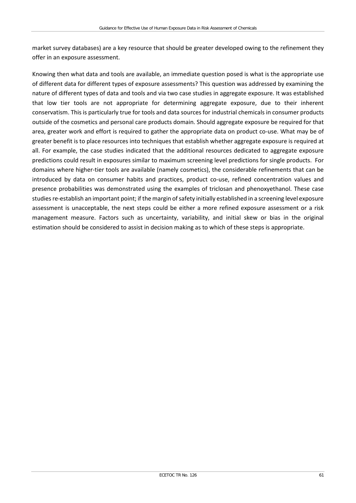market survey databases) are a key resource that should be greater developed owing to the refinement they offer in an exposure assessment.

Knowing then what data and tools are available, an immediate question posed is what is the appropriate use of different data for different types of exposure assessments? This question was addressed by examining the nature of different types of data and tools and via two case studies in aggregate exposure. It was established that low tier tools are not appropriate for determining aggregate exposure, due to their inherent conservatism. This is particularly true for tools and data sources for industrial chemicals in consumer products outside of the cosmetics and personal care products domain. Should aggregate exposure be required for that area, greater work and effort is required to gather the appropriate data on product co-use. What may be of greater benefit is to place resources into techniques that establish whether aggregate exposure is required at all. For example, the case studies indicated that the additional resources dedicated to aggregate exposure predictions could result in exposures similar to maximum screening level predictions for single products. For domains where higher-tier tools are available (namely cosmetics), the considerable refinements that can be introduced by data on consumer habits and practices, product co-use, refined concentration values and presence probabilities was demonstrated using the examples of triclosan and phenoxyethanol. These case studies re-establish an important point; if the margin of safety initially established in a screening level exposure assessment is unacceptable, the next steps could be either a more refined exposure assessment or a risk management measure. Factors such as uncertainty, variability, and initial skew or bias in the original estimation should be considered to assist in decision making as to which of these steps is appropriate.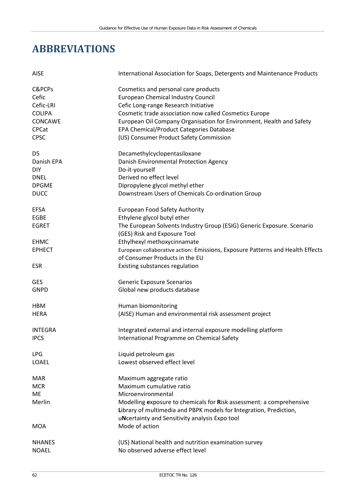# **ABBREVIATIONS**

| <b>AISE</b>    | International Association for Soaps, Detergents and Maintenance Products       |
|----------------|--------------------------------------------------------------------------------|
| C&PCPs         | Cosmetics and personal care products                                           |
| Cefic          | <b>European Chemical Industry Council</b>                                      |
| Cefic-LRI      | Cefic Long-range Research Initiative                                           |
| <b>COLIPA</b>  | Cosmetic trade association now called Cosmetics Europe                         |
| CONCAWE        | European Oil Company Organisation for Environment, Health and Safety           |
| <b>CPCat</b>   | EPA Chemical/Product Categories Database                                       |
| <b>CPSC</b>    | (US) Consumer Product Safety Commission                                        |
| D <sub>5</sub> | Decamethylcyclopentasiloxane                                                   |
| Danish EPA     | Danish Environmental Protection Agency                                         |
| <b>DIY</b>     | Do-it-yourself                                                                 |
| <b>DNEL</b>    | Derived no effect level                                                        |
| <b>DPGME</b>   | Dipropylene glycol methyl ether                                                |
| <b>DUCC</b>    | Downstream Users of Chemicals Co-ordination Group                              |
| <b>EFSA</b>    | European Food Safety Authority                                                 |
| <b>EGBE</b>    | Ethylene glycol butyl ether                                                    |
| <b>EGRET</b>   | The European Solvents Industry Group (ESIG) Generic Exposure. Scenario         |
|                | (GES) Risk and Exposure Tool                                                   |
| <b>EHMC</b>    | Ethylhexyl methoxycinnamate                                                    |
| <b>EPHECT</b>  | European collaborative action: Emissions, Exposure Patterns and Health Effects |
|                | of Consumer Products in the EU                                                 |
| <b>ESR</b>     | Existing substances regulation                                                 |
| <b>GES</b>     | <b>Generic Exposure Scenarios</b>                                              |
| <b>GNPD</b>    | Global new products database                                                   |
| HBM            | Human biomonitoring                                                            |
| <b>HERA</b>    | (AISE) Human and environmental risk assessment project                         |
| <b>INTEGRA</b> | Integrated external and internal exposure modelling platform                   |
| <b>IPCS</b>    | International Programme on Chemical Safety                                     |
| <b>LPG</b>     | Liquid petroleum gas                                                           |
| LOAEL          | Lowest observed effect level                                                   |
| <b>MAR</b>     | Maximum aggregate ratio                                                        |
| <b>MCR</b>     | Maximum cumulative ratio                                                       |
| <b>ME</b>      | Microenvironmental                                                             |
| Merlin         | Modelling exposure to chemicals for Risk assessment: a comprehensive           |
|                | Library of multimedia and PBPK models for Integration, Prediction,             |
|                | uNcertainty and Sensitivity analysis Expo tool                                 |
| MOA            | Mode of action                                                                 |
| <b>NHANES</b>  | (US) National health and nutrition examination survey                          |
| <b>NOAEL</b>   | No observed adverse effect level                                               |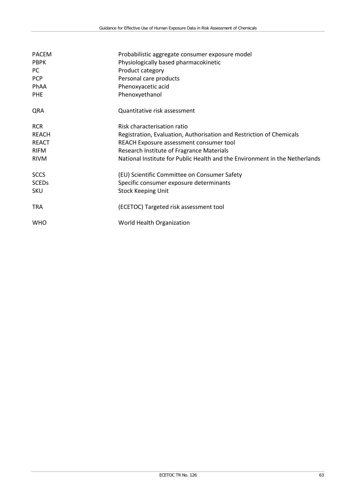| <b>PACEM</b> | Probabilistic aggregate consumer exposure model                             |
|--------------|-----------------------------------------------------------------------------|
| <b>PBPK</b>  | Physiologically based pharmacokinetic                                       |
| PC.          | Product category                                                            |
| PCP          | Personal care products                                                      |
| PhAA         | Phenoxyacetic acid                                                          |
| <b>PHE</b>   | Phenoxyethanol                                                              |
| QRA          | Quantitative risk assessment                                                |
| <b>RCR</b>   | Risk characterisation ratio                                                 |
| <b>REACH</b> | Registration, Evaluation, Authorisation and Restriction of Chemicals        |
| <b>REACT</b> | REACH Exposure assessment consumer tool                                     |
| <b>RIFM</b>  | Research Institute of Fragrance Materials                                   |
| <b>RIVM</b>  | National Institute for Public Health and the Environment in the Netherlands |
| <b>SCCS</b>  | (EU) Scientific Committee on Consumer Safety                                |
| <b>SCEDs</b> | Specific consumer exposure determinants                                     |
| SKU          | <b>Stock Keeping Unit</b>                                                   |
| <b>TRA</b>   | (ECETOC) Targeted risk assessment tool                                      |
| <b>WHO</b>   | World Health Organization                                                   |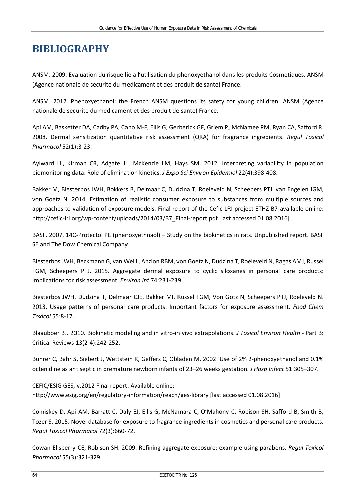# **BIBLIOGRAPHY**

ANSM. 2009. Evaluation du risque lie a l'utilisation du phenoxyethanol dans les produits Cosmetiques. ANSM (Agence nationale de securite du medicament et des produit de sante) France.

ANSM. 2012. Phenoxyethanol: the French ANSM questions its safety for young children. ANSM (Agence nationale de securite du medicament et des produit de sante) France.

Api AM, Basketter DA, Cadby PA, Cano M-F, Ellis G, Gerberick GF, Griem P, McNamee PM, Ryan CA, Safford R. 2008. Dermal sensitization quantitative risk assessment (QRA) for fragrance ingredients. *Regul Toxicol Pharmacol* 52(1):3-23.

Aylward LL, Kirman CR, Adgate JL, McKenzie LM, Hays SM. 2012. Interpreting variability in population biomonitoring data: Role of elimination kinetics. *J Expo Sci Environ Epidemiol* 22(4):398-408.

Bakker M, Biesterbos JWH, Bokkers B, Delmaar C, Dudzina T, Roeleveld N, Scheepers PTJ, van Engelen JGM, von Goetz N. 2014. Estimation of realistic consumer exposure to substances from multiple sources and approaches to validation of exposure models. Final report of the Cefic LRI project ETHZ-B7 available online: [http://cefic-lri.org/wp-content/uploads/2014/03/B7\\_Final-report.pdf](http://cefic-lri.org/wp-content/uploads/2014/03/B7_Final-report.pdf) [last accessed 01.08.2016]

BASF. 2007. 14C-Protectol PE (phenoxyethnaol) – Study on the biokinetics in rats. Unpublished report. BASF SE and The Dow Chemical Company.

Biesterbos JWH, Beckmann G, van Wel L, Anzion RBM, von Goetz N, Dudzina T, Roeleveld N, Ragas AMJ, Russel FGM, Scheepers PTJ. 2015. Aggregate dermal exposure to cyclic siloxanes in personal care products: Implications for risk assessment. *Environ Int* 74:231-239.

Biesterbos JWH, Dudzina T, Delmaar CJE, Bakker MI, Russel FGM, Von Götz N, Scheepers PTJ, Roeleveld N. 2013. Usage patterns of personal care products: Important factors for exposure assessment. *Food Chem Toxicol* 55:8-17.

Blaauboer BJ. 2010. Biokinetic modeling and in vitro-in vivo extrapolations. *J Toxicol Environ Health* - Part B: Critical Reviews 13(2-4):242-252.

Bührer C, Bahr S, Siebert J, Wettstein R, Geffers C, Obladen M. 2002. Use of 2% 2-phenoxyethanol and 0.1% octenidine as antiseptic in premature newborn infants of 23–26 weeks gestation. *J Hosp Infect* 51:305–307.

CEFIC/ESIG GES, v.2012 Final report. Available online: <http://www.esig.org/en/regulatory-information/reach/ges-library> [last accessed 01.08.2016]

Comiskey D, Api AM, Barratt C, Daly EJ, Ellis G, McNamara C, O'Mahony C, Robison SH, Safford B, Smith B, Tozer S. 2015. Novel database for exposure to fragrance ingredients in cosmetics and personal care products. *Regul Toxicol Pharmacol* 72(3):660-72.

Cowan-Ellsberry CE, Robison SH. 2009. Refining aggregate exposure: example using parabens. *Regul Toxicol Pharmacol* 55(3):321-329.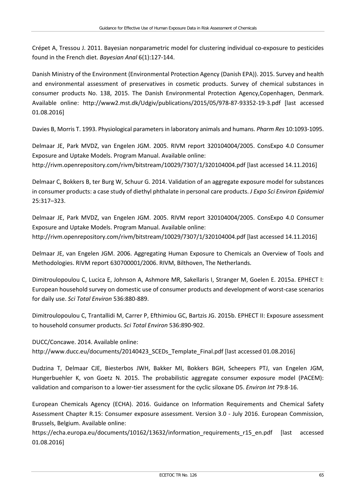Crépet A, Tressou J. 2011. Bayesian nonparametric model for clustering individual co-exposure to pesticides found in the French diet. *Bayesian Anal* 6(1):127-144.

Danish Ministry of the Environment (Environmental Protection Agency (Danish EPA)). 2015. Survey and health and environmental assessment of preservatives in cosmetic products. Survey of chemical substances in consumer products No. 138, 2015. The Danish Environmental Protection Agency,Copenhagen, Denmark. Available online: <http://www2.mst.dk/Udgiv/publications/2015/05/978-87-93352-19-3.pdf> [last accessed 01.08.2016]

Davies B, Morris T. 1993. Physiological parameters in laboratory animals and humans. *Pharm Res* 10:1093-1095.

Delmaar JE, Park MVDZ, van Engelen JGM. 2005. RIVM report 320104004/2005. ConsExpo 4.0 Consumer Exposure and Uptake Models. Program Manual. Available online: <http://rivm.openrepository.com/rivm/bitstream/10029/7307/1/320104004.pdf> [last accessed 14.11.2016]

Delmaar C, Bokkers B, ter Burg W, Schuur G. 2014. Validation of an aggregate exposure model for substances in consumer products: a case study of diethyl phthalate in personal care products. *J Expo Sci Environ Epidemiol* 25:317–323.

Delmaar JE, Park MVDZ, van Engelen JGM. 2005. RIVM report 320104004/2005. ConsExpo 4.0 Consumer Exposure and Uptake Models. Program Manual. Available online: <http://rivm.openrepository.com/rivm/bitstream/10029/7307/1/320104004.pdf> [last accessed 14.11.2016]

Delmaar JE, van Engelen JGM. 2006. Aggregating Human Exposure to Chemicals an Overview of Tools and Methodologies. RIVM report 630700001/2006. RIVM, Bilthoven, The Netherlands.

Dimitroulopoulou C, Lucica E, Johnson A, Ashmore MR, Sakellaris I, Stranger M, Goelen E. 2015a. EPHECT I: European household survey on domestic use of consumer products and development of worst-case scenarios for daily use. *Sci Total Environ* 536:880-889.

Dimitroulopoulou C, Trantallidi M, Carrer P, Efthimiou GC, Bartzis JG. 2015b. EPHECT II: Exposure assessment to household consumer products. *Sci Total Environ* 536:890-902.

DUCC/Concawe. 2014. Available online:

[http://www.ducc.eu/documents/20140423\\_SCEDs\\_Template\\_Final.pdf](http://www.ducc.eu/documents/20140423_SCEDs_Template_Final.pdf) [last accessed 01.08.2016]

Dudzina T, Delmaar CJE, Biesterbos JWH, Bakker MI, Bokkers BGH, Scheepers PTJ, van Engelen JGM, Hungerbuehler K, von Goetz N. 2015. The probabilistic aggregate consumer exposure model (PACEM): validation and comparison to a lower-tier assessment for the cyclic siloxane D5. *Environ Int* 79:8-16.

European Chemicals Agency (ECHA). 2016. Guidance on Information Requirements and Chemical Safety Assessment Chapter R.15: Consumer exposure assessment. Version 3.0 - July 2016. European Commission, Brussels, Belgium. Available online:

https://echa.europa.eu/documents/10162/13632/information requirements r15 en.pdf [last accessed 01.08.2016]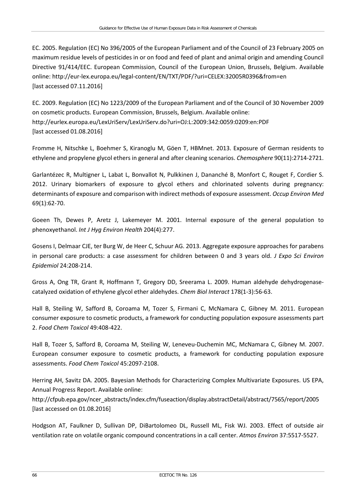EC. 2005. Regulation (EC) No 396/2005 of the European Parliament and of the Council of 23 February 2005 on maximum residue levels of pesticides in or on food and feed of plant and animal origin and amending Council Directive 91/414/EEC. European Commission, Council of the European Union, Brussels, Belgium. Available online:<http://eur-lex.europa.eu/legal-content/EN/TXT/PDF/?uri=CELEX:32005R0396&from=en> [last accessed 07.11.2016]

EC. 2009. Regulation (EC) No 1223/2009 of the European Parliament and of the Council of 30 November 2009 on cosmetic products. European Commission, Brussels, Belgium. Available online: <http://eurlex.europa.eu/LexUriServ/LexUriServ.do?uri=OJ:L:2009:342:0059:0209:en:PDF> [last accessed 01.08.2016]

Fromme H, Nitschke L, Boehmer S, Kiranoglu M, Göen T, HBMnet. 2013. Exposure of German residents to ethylene and propylene glycol ethers in general and after cleaning scenarios. *Chemosphere* 90(11):2714-2721.

Garlantézec R, Multigner L, Labat L, Bonvallot N, Pulkkinen J, Dananché B, Monfort C, Rouget F, Cordier S. 2012. Urinary biomarkers of exposure to glycol ethers and chlorinated solvents during pregnancy: determinants of exposure and comparison with indirect methods of exposure assessment. *Occup Environ Med* 69(1):62-70.

Goeen Th, Dewes P, Aretz J, Lakemeyer M. 2001. Internal exposure of the general population to phenoxyethanol. *Int J Hyg Environ Health* 204(4):277.

Gosens I, Delmaar CJE, ter Burg W, de Heer C, Schuur AG. 2013. Aggregate exposure approaches for parabens in personal care products: a case assessment for children between 0 and 3 years old. *J Expo Sci Environ Epidemiol* 24:208-214.

Gross A, Ong TR, Grant R, Hoffmann T, Gregory DD, Sreerama L. 2009. Human aldehyde dehydrogenasecatalyzed oxidation of ethylene glycol ether aldehydes. *Chem Biol Interact* 178(1-3):56-63.

Hall B, Steiling W, Safford B, Coroama M, Tozer S, Firmani C, McNamara C, Gibney M. 2011. European consumer exposure to cosmetic products, a framework for conducting population exposure assessments part 2. *Food Chem Toxicol* 49:408-422.

Hall B, Tozer S, Safford B, Coroama M, Steiling W, Leneveu-Duchemin MC, McNamara C, Gibney M. 2007. European consumer exposure to cosmetic products, a framework for conducting population exposure assessments. *Food Chem Toxicol* 45:2097-2108.

Herring AH, Savitz DA. 2005. Bayesian Methods for Characterizing Complex Multivariate Exposures. US EPA, Annual Progress Report. Available online:

[http://cfpub.epa.gov/ncer\\_abstracts/index.cfm/fuseaction/display.abstractDetail/abstract/7565/report/2005](http://cfpub.epa.gov/ncer_abstracts/index.cfm/fuseaction/display.abstractDetail/abstract/7565/report/2005) [last accessed on 01.08.2016]

Hodgson AT, Faulkner D, Sullivan DP, DiBartolomeo DL, Russell ML, Fisk WJ. 2003. Effect of outside air ventilation rate on volatile organic compound concentrations in a call center. *Atmos Environ* 37:5517-5527.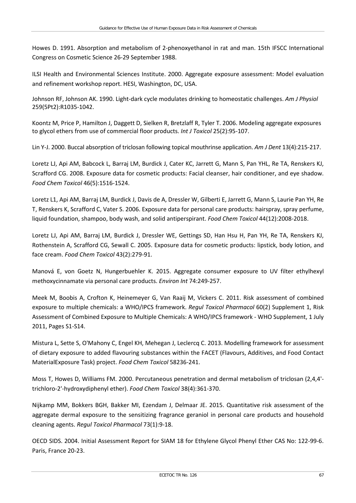Howes D. 1991. Absorption and metabolism of 2-phenoxyethanol in rat and man. 15th IFSCC International Congress on Cosmetic Science 26-29 September 1988.

ILSI Health and Environmental Sciences Institute. 2000. Aggregate exposure assessment: Model evaluation and refinement workshop report. HESI, Washington, DC, USA.

Johnson RF, Johnson AK. 1990. Light-dark cycle modulates drinking to homeostatic challenges. *Am J Physiol*  259(5Pt2):R1035-1042.

Koontz M, Price P, Hamilton J, Daggett D, Sielken R, Bretzlaff R, Tyler T. 2006. Modeling aggregate exposures to glycol ethers from use of commercial floor products. *Int J Toxicol* 25(2):95-107.

Lin Y-J. 2000. Buccal absorption of triclosan following topical mouthrinse application. *Am J Dent* 13(4):215-217.

Loretz LJ, Api AM, Babcock L, Barraj LM, Burdick J, Cater KC, Jarrett G, Mann S, Pan YHL, Re TA, Renskers KJ, Scrafford CG. 2008. Exposure data for cosmetic products: Facial cleanser, hair conditioner, and eye shadow. *Food Chem Toxicol* 46(5):1516-1524.

Loretz L1, Api AM, Barraj LM, Burdick J, Davis de A, Dressler W, Gilberti E, Jarrett G, Mann S, Laurie Pan YH, Re T, Renskers K, Scrafford C, Vater S. 2006. Exposure data for personal care products: hairspray, spray perfume, liquid foundation, shampoo, body wash, and solid antiperspirant. *Food Chem Toxicol* 44(12):2008-2018.

Loretz LJ, Api AM, Barraj LM, Burdick J, Dressler WE, Gettings SD, Han Hsu H, Pan YH, Re TA, Renskers KJ, Rothenstein A, Scrafford CG, Sewall C. 2005. Exposure data for cosmetic products: lipstick, body lotion, and face cream. *Food Chem Toxicol* 43(2):279-91.

Manová E, von Goetz N, Hungerbuehler K. 2015. Aggregate consumer exposure to UV filter ethylhexyl methoxycinnamate via personal care products. *Environ Int* 74:249-257.

Meek M, Boobis A, Crofton K, Heinemeyer G, Van Raaij M, Vickers C. 2011. Risk assessment of combined exposure to multiple chemicals: a WHO/IPCS framework. *Regul Toxicol Pharmacol* 60(2) Supplement 1, Risk Assessment of Combined Exposure to Multiple Chemicals: A WHO/IPCS framework - WHO Supplement, 1 July 2011, Pages S1-S14.

Mistura L, Sette S, O'Mahony C, Engel KH, Mehegan J, Leclercq C. 2013. Modelling framework for assessment of dietary exposure to added flavouring substances within the FACET (Flavours, Additives, and Food Contact MaterialExposure Task) project. *Food Chem Toxicol* 58236-241.

Moss T, Howes D, Williams FM. 2000. Percutaneous penetration and dermal metabolism of triclosan (2,4,4' trichloro-2'-hydroxydiphenyl ether). *Food Chem Toxicol* 38(4):361-370.

Nijkamp MM, Bokkers BGH, Bakker MI, Ezendam J, Delmaar JE. 2015. Quantitative risk assessment of the aggregate dermal exposure to the sensitizing fragrance geraniol in personal care products and household cleaning agents. *Regul Toxicol Pharmacol* 73(1):9-18.

OECD SIDS. 2004. Initial Assessment Report for SIAM 18 for Ethylene Glycol Phenyl Ether CAS No: 122-99-6. Paris, France 20-23.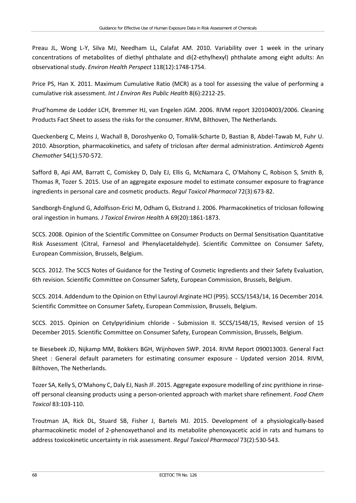Preau JL, Wong L-Y, Silva MJ, Needham LL, Calafat AM. 2010. Variability over 1 week in the urinary concentrations of metabolites of diethyl phthalate and di(2-ethylhexyl) phthalate among eight adults: An observational study. *Environ Health Perspect* 118(12):1748-1754.

Price PS, Han X. 2011. Maximum Cumulative Ratio (MCR) as a tool for assessing the value of performing a cumulative risk assessment. *Int J Environ Res Public Health* 8(6):2212-25.

Prud'homme de Lodder LCH, Bremmer HJ, van Engelen JGM. 2006. RIVM report 320104003/2006. Cleaning Products Fact Sheet to assess the risks for the consumer. RIVM, Bilthoven, The Netherlands.

Queckenberg C, Meins J, Wachall B, Doroshyenko O, Tomalik-Scharte D, Bastian B, Abdel-Tawab M, Fuhr U. 2010. Absorption, pharmacokinetics, and safety of triclosan after dermal administration. *Antimicrob Agents Chemother* 54(1):570-572.

Safford B, Api AM, Barratt C, Comiskey D, Daly EJ, Ellis G, McNamara C, O'Mahony C, Robison S, Smith B, Thomas R, Tozer S. 2015. Use of an aggregate exposure model to estimate consumer exposure to fragrance ingredients in personal care and cosmetic products. *Regul Toxicol Pharmacol* 72(3):673-82.

Sandborgh-Englund G, Adolfsson-Erici M, Odham G, Ekstrand J. 2006. Pharmacokinetics of triclosan following oral ingestion in humans. *J Toxicol Environ Health* A 69(20):1861-1873.

SCCS. 2008. Opinion of the Scientific Committee on Consumer Products on Dermal Sensitisation Quantitative Risk Assessment (Citral, Farnesol and Phenylacetaldehyde). Scientific Committee on Consumer Safety, European Commission, Brussels, Belgium.

SCCS. 2012. The SCCS Notes of Guidance for the Testing of Cosmetic Ingredients and their Safety Evaluation, 6th revision. Scientific Committee on Consumer Safety, European Commission, Brussels, Belgium.

SCCS. 2014. Addendum to the Opinion on Ethyl Lauroyl Arginate HCl (P95). SCCS/1543/14, 16 December 2014. Scientific Committee on Consumer Safety, European Commission, Brussels, Belgium.

SCCS. 2015. Opinion on Cetylpyridinium chloride - Submission II. SCCS/1548/15, Revised version of 15 December 2015. Scientific Committee on Consumer Safety, European Commission, Brussels, Belgium.

te Biesebeek JD, Nijkamp MM, Bokkers BGH, Wijnhoven SWP. 2014. RIVM Report 090013003. General Fact Sheet : General default parameters for estimating consumer exposure - Updated version 2014. RIVM, Bilthoven, The Netherlands.

Tozer SA, Kelly S, O'Mahony C, Daly EJ, Nash JF. 2015. Aggregate exposure modelling of zinc pyrithione in rinseoff personal cleansing products using a person-oriented approach with market share refinement. *Food Chem Toxicol* 83:103-110.

Troutman JA, Rick DL, Stuard SB, Fisher J, Bartels MJ. 2015. Development of a physiologically-based pharmacokinetic model of 2-phenoxyethanol and its metabolite phenoxyacetic acid in rats and humans to address toxicokinetic uncertainty in risk assessment. *Regul Toxicol Pharmacol* 73(2):530-543.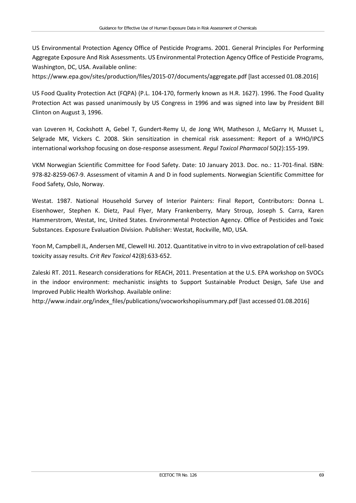US Environmental Protection Agency Office of Pesticide Programs. 2001. General Principles For Performing Aggregate Exposure And Risk Assessments. US Environmental Protection Agency Office of Pesticide Programs, Washington, DC, USA. Available online:

<https://www.epa.gov/sites/production/files/2015-07/documents/aggregate.pdf> [last accessed 01.08.2016]

US Food Quality Protection Act (FQPA) (P.L. 104-170, formerly known as H.R. 1627). 1996. The Food Quality Protection Act was passed unanimously by US Congress in 1996 and was signed into law by President Bill Clinton on August 3, 1996.

van Loveren H, Cockshott A, Gebel T, Gundert-Remy U, de Jong WH, Matheson J, McGarry H, Musset L, Selgrade MK, Vickers C. 2008. Skin sensitization in chemical risk assessment: Report of a WHO/IPCS international workshop focusing on dose-response assessment. *Regul Toxicol Pharmacol* 50(2):155-199.

VKM Norwegian Scientific Committee for Food Safety. Date: 10 January 2013. Doc. no.: 11-701-final. ISBN: 978-82-8259-067-9. Assessment of vitamin A and D in food suplements. Norwegian Scientific Committee for Food Safety, Oslo, Norway.

Westat. 1987. National Household Survey of Interior Painters: Final Report, Contributors: Donna L. Eisenhower, Stephen K. Dietz, Paul Flyer, Mary Frankenberry, Mary Stroup, Joseph S. Carra, Karen Hammerstrom, Westat, Inc, United States. Environmental Protection Agency. Office of Pesticides and Toxic Substances. Exposure Evaluation Division. Publisher: Westat, Rockville, MD, USA.

Yoon M, Campbell JL, Andersen ME, Clewell HJ. 2012. Quantitative in vitro to in vivo extrapolation of cell-based toxicity assay results. *Crit Rev Toxicol* 42(8):633-652.

Zaleski RT. 2011. Research considerations for REACH, 2011. Presentation at the U.S. EPA workshop on SVOCs in the indoor environment: mechanistic insights to Support Sustainable Product Design, Safe Use and Improved Public Health Workshop. Available online:

[http://www.indair.org/index\\_files/publications/svocworkshopiisummary.pdf](http://www.indair.org/index_files/publications/svocworkshopiisummary.pdf) [last accessed 01.08.2016]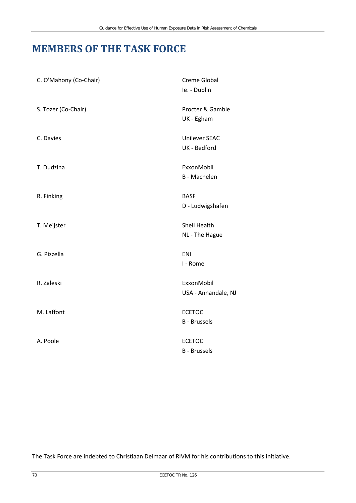## **MEMBERS OF THE TASK FORCE**

| C. O'Mahony (Co-Chair) | <b>Creme Global</b><br>le. - Dublin   |
|------------------------|---------------------------------------|
| S. Tozer (Co-Chair)    | Procter & Gamble<br>UK - Egham        |
| C. Davies              | <b>Unilever SEAC</b><br>UK - Bedford  |
| T. Dudzina             | ExxonMobil<br><b>B</b> - Machelen     |
| R. Finking             | <b>BASF</b><br>D - Ludwigshafen       |
| T. Meijster            | <b>Shell Health</b><br>NL - The Hague |
| G. Pizzella            | ENI<br>I - Rome                       |
| R. Zaleski             | ExxonMobil<br>USA - Annandale, NJ     |
| M. Laffont             | <b>ECETOC</b><br><b>B</b> - Brussels  |
| A. Poole               | <b>ECETOC</b><br><b>B</b> - Brussels  |

The Task Force are indebted to Christiaan Delmaar of RIVM for his contributions to this initiative.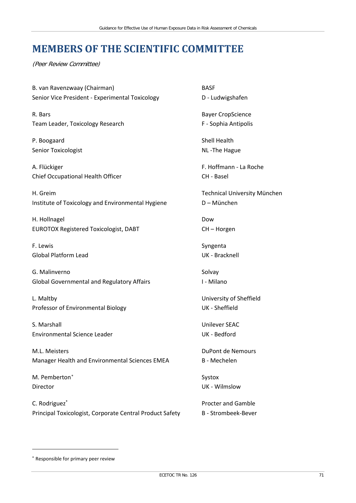## **MEMBERS OF THE SCIENTIFIC COMMITTEE**

(Peer Review Committee)

B. van Ravenzwaay (Chairman) BASF Senior Vice President - Experimental Toxicology **D** - Ludwigshafen

R. Bars Bayer CropScience Team Leader, Toxicology Research F - Sophia Antipolis

P. Boogaard Shell Health Senior Toxicologist **NL** -The Hague

A. Flückiger **F. Hoffmann - La Roche** Chief Occupational Health Officer CH - Basel

H. Greim Technical University München Institute of Toxicology and Environmental Hygiene D – München

H. Hollnagel Dow EUROTOX Registered Toxicologist, DABT CH – Horgen

F. Lewis Syngenta Global Platform Lead UK - Bracknell

G. Malinverno Solvay National Association of the Solvay Solvay Solvay Solvay Global Governmental and Regulatory Affairs **I - Milano** 

L. Maltby University of Sheffield Professor of Environmental Biology North Control UK - Sheffield

S. Marshall **S. Marshall** S. Marshall **Unilever SEAC** Environmental Science Leader National Science Leader National Science Leader National Science Leader

M.L. Meisters **DuPont de Nemours** Manager Health and Environmental Sciences EMEA B - Mechelen

M. Pemberton<sup>[∗](#page-76-0)</sup> Systox Director UK - Wilmslow

l

C. Rodriguez<sup>\*</sup> Procter and Gamble Principal Toxicologist, Corporate Central Product Safety B - Strombeek-Bever

<span id="page-76-0"></span><sup>∗</sup> Responsible for primary peer review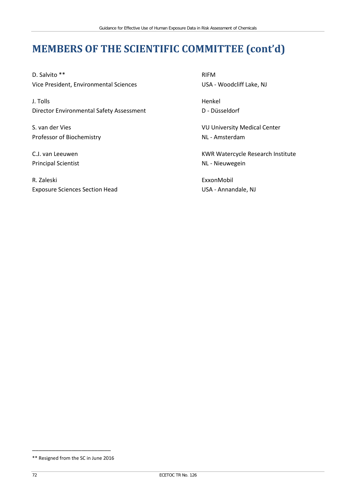# **MEMBERS OF THE SCIENTIFIC COMMITTEE (cont'd)**

D. Salvito \*\* RIFM Vice President, Environmental Sciences USA - Woodcliff Lake, NJ

J. Tolls Henkel Director Environmental Safety Assessment D - Düsseldorf

Professor of Biochemistry NL - Amsterdam

Principal Scientist **NL - Nieuwegein** 

R. Zaleski ExxonMobil Exposure Sciences Section Head USA - Annandale, NJ

S. van der Vies VU University Medical Center

C.J. van Leeuwen KWR Watercycle Research Institute

\_\_\_\_\_\_\_\_\_\_\_\_\_\_\_\_\_\_\_\_\_\_\_\_ \*\* Resigned from the SC in June 2016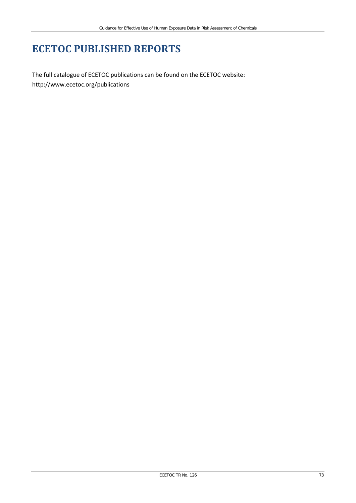# **ECETOC PUBLISHED REPORTS**

The full catalogue of ECETOC publications can be found on the ECETOC website: <http://www.ecetoc.org/publications>